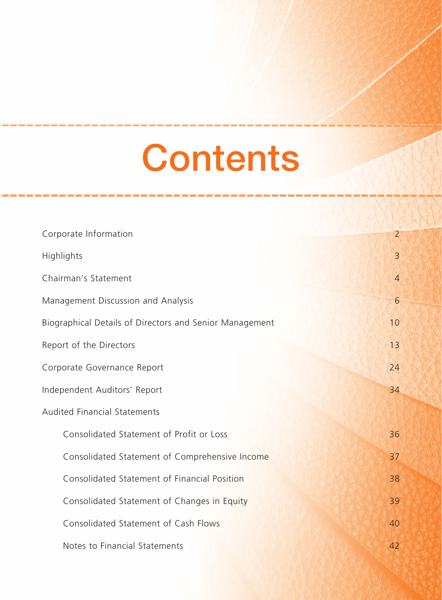# **Contents**

| Corporate Information                                   | $\overline{2}$ |
|---------------------------------------------------------|----------------|
| Highlights                                              | $\overline{3}$ |
| Chairman's Statement                                    | $\overline{4}$ |
| Management Discussion and Analysis                      | 6              |
| Biographical Details of Directors and Senior Management | 10             |
| Report of the Directors                                 | 13             |
| Corporate Governance Report                             | 24             |
| Independent Auditors' Report                            | 34             |
| <b>Audited Financial Statements</b>                     |                |
| Consolidated Statement of Profit or Loss                | 36             |
| Consolidated Statement of Comprehensive Income          | 37             |
| Consolidated Statement of Financial Position            | 38             |
| Consolidated Statement of Changes in Equity             | 39             |
| Consolidated Statement of Cash Flows                    | 40             |
| Notes to Financial Statements                           | 42             |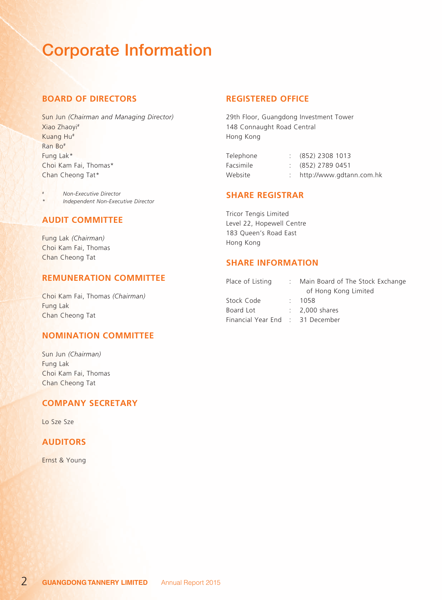# Corporate Information

# **Board of Directors**

Sun Jun *(Chairman and Managing Director)* Xiao Zhaoyi# Kuang Hu# Ran Bo# Fung Lak\* Choi Kam Fai, Thomas\* Chan Cheong Tat\*

**Registered Office**

29th Floor, Guangdong Investment Tower 148 Connaught Road Central Hong Kong

| Telephone | (852) 2308 1013            |
|-----------|----------------------------|
| Facsimile | $(852)$ 2789 0451          |
| Website   | : http://www.gdtann.com.hk |

# **Share Registrar**

Tricor Tengis Limited Level 22, Hopewell Centre 183 Queen's Road East Hong Kong

# **Share Information**

| Place of Listing                 | : Main Board of The Stock Exchange |
|----------------------------------|------------------------------------|
|                                  | of Hong Kong Limited               |
| Stock Code                       | $\cdot$ 1058                       |
| Board Lot                        | $\therefore$ 2,000 shares          |
| Financial Year End : 31 December |                                    |

# *# Non-Executive Director*

*\* Independent Non-Executive Director*

# **Audit Committee**

Fung Lak *(Chairman)* Choi Kam Fai, Thomas Chan Cheong Tat

# **Remuneration Committee**

Choi Kam Fai, Thomas *(Chairman)* Fung Lak Chan Cheong Tat

# **Nomination Committee**

Sun Jun *(Chairman)* Fung Lak Choi Kam Fai, Thomas Chan Cheong Tat

# **Company Secretary**

Lo Sze Sze

# **Auditors**

Ernst & Young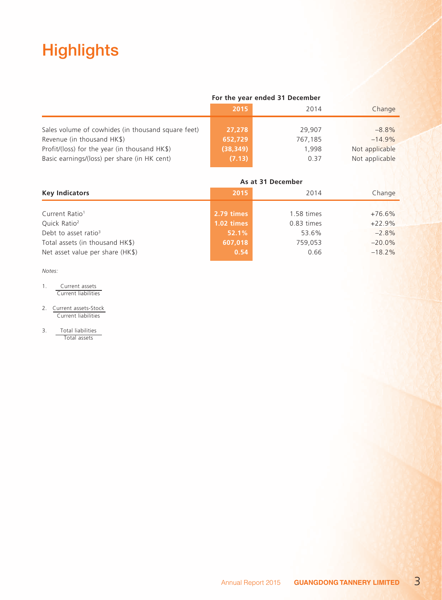# **Highlights**

|                                                    | For the year ended 31 December |         |                |  |  |
|----------------------------------------------------|--------------------------------|---------|----------------|--|--|
|                                                    | 2015                           | 2014    | Change         |  |  |
|                                                    |                                |         |                |  |  |
| Sales volume of cowhides (in thousand square feet) | 27,278                         | 29.907  | $-8.8\%$       |  |  |
| Revenue (in thousand HK\$)                         | 652,729                        | 767,185 | $-14.9%$       |  |  |
| Profit/(loss) for the year (in thousand HK\$)      | (38, 349)                      | 1.998   | Not applicable |  |  |
| Basic earnings/(loss) per share (in HK cent)       | (7.13)                         | 0.37    | Not applicable |  |  |

|                                  | As at 31 December |              |           |  |  |
|----------------------------------|-------------------|--------------|-----------|--|--|
| <b>Key Indicators</b>            | 2015              | 2014         | Change    |  |  |
|                                  |                   |              |           |  |  |
| Current Ratio <sup>1</sup>       | 2.79 times        | 1.58 times   | $+76.6%$  |  |  |
| Ouick Ratio <sup>2</sup>         | 1.02 times        | $0.83$ times | $+22.9%$  |  |  |
| Debt to asset ratio <sup>3</sup> | 52.1%             | 53.6%        | $-2.8%$   |  |  |
| Total assets (in thousand HK\$)  | 607,018           | 759.053      | $-20.0\%$ |  |  |
| Net asset value per share (HK\$) | 0.54              | 0.66         | $-18.2\%$ |  |  |

*Notes:*

- 1. Current assets Current liabilities
- 2. Current assets-Stock Current liabilities
- 3. Total liabilities Total assets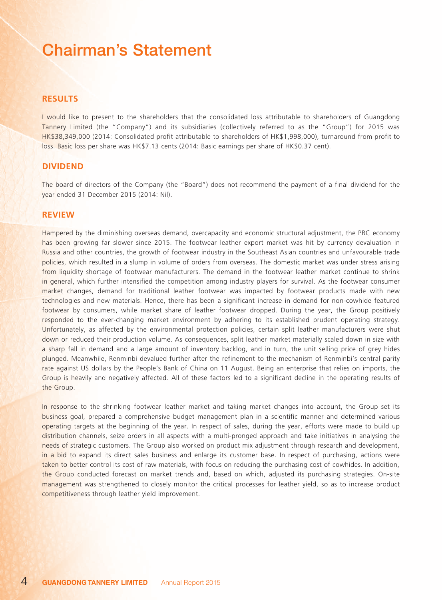# Chairman's Statement

### **Results**

I would like to present to the shareholders that the consolidated loss attributable to shareholders of Guangdong Tannery Limited (the "Company") and its subsidiaries (collectively referred to as the "Group") for 2015 was HK\$38,349,000 (2014: Consolidated profit attributable to shareholders of HK\$1,998,000), turnaround from profit to loss. Basic loss per share was HK\$7.13 cents (2014: Basic earnings per share of HK\$0.37 cent).

### **Dividend**

The board of directors of the Company (the "Board") does not recommend the payment of a final dividend for the year ended 31 December 2015 (2014: Nil).

### **Review**

Hampered by the diminishing overseas demand, overcapacity and economic structural adjustment, the PRC economy has been growing far slower since 2015. The footwear leather export market was hit by currency devaluation in Russia and other countries, the growth of footwear industry in the Southeast Asian countries and unfavourable trade policies, which resulted in a slump in volume of orders from overseas. The domestic market was under stress arising from liquidity shortage of footwear manufacturers. The demand in the footwear leather market continue to shrink in general, which further intensified the competition among industry players for survival. As the footwear consumer market changes, demand for traditional leather footwear was impacted by footwear products made with new technologies and new materials. Hence, there has been a significant increase in demand for non-cowhide featured footwear by consumers, while market share of leather footwear dropped. During the year, the Group positively responded to the ever-changing market environment by adhering to its established prudent operating strategy. Unfortunately, as affected by the environmental protection policies, certain split leather manufacturers were shut down or reduced their production volume. As consequences, split leather market materially scaled down in size with a sharp fall in demand and a large amount of inventory backlog, and in turn, the unit selling price of grey hides plunged. Meanwhile, Renminbi devalued further after the refinement to the mechanism of Renminbi's central parity rate against US dollars by the People's Bank of China on 11 August. Being an enterprise that relies on imports, the Group is heavily and negatively affected. All of these factors led to a significant decline in the operating results of the Group.

In response to the shrinking footwear leather market and taking market changes into account, the Group set its business goal, prepared a comprehensive budget management plan in a scientific manner and determined various operating targets at the beginning of the year. In respect of sales, during the year, efforts were made to build up distribution channels, seize orders in all aspects with a multi-pronged approach and take initiatives in analysing the needs of strategic customers. The Group also worked on product mix adjustment through research and development, in a bid to expand its direct sales business and enlarge its customer base. In respect of purchasing, actions were taken to better control its cost of raw materials, with focus on reducing the purchasing cost of cowhides. In addition, the Group conducted forecast on market trends and, based on which, adjusted its purchasing strategies. On-site management was strengthened to closely monitor the critical processes for leather yield, so as to increase product competitiveness through leather yield improvement.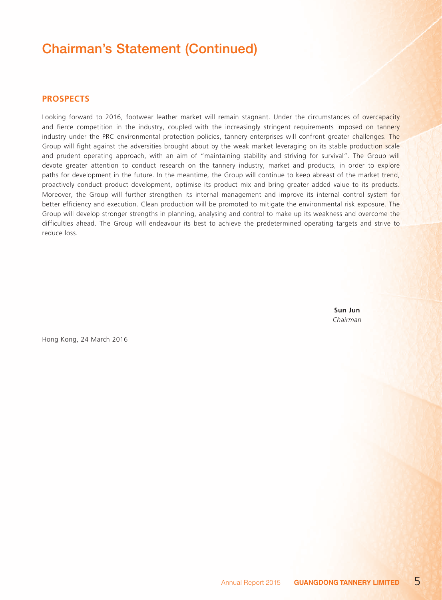# Chairman's Statement (Continued)

# **Prospects**

Looking forward to 2016, footwear leather market will remain stagnant. Under the circumstances of overcapacity and fierce competition in the industry, coupled with the increasingly stringent requirements imposed on tannery industry under the PRC environmental protection policies, tannery enterprises will confront greater challenges. The Group will fight against the adversities brought about by the weak market leveraging on its stable production scale and prudent operating approach, with an aim of "maintaining stability and striving for survival". The Group will devote greater attention to conduct research on the tannery industry, market and products, in order to explore paths for development in the future. In the meantime, the Group will continue to keep abreast of the market trend, proactively conduct product development, optimise its product mix and bring greater added value to its products. Moreover, the Group will further strengthen its internal management and improve its internal control system for better efficiency and execution. Clean production will be promoted to mitigate the environmental risk exposure. The Group will develop stronger strengths in planning, analysing and control to make up its weakness and overcome the difficulties ahead. The Group will endeavour its best to achieve the predetermined operating targets and strive to reduce loss.

> **Sun Jun** *Chairman*

Hong Kong, 24 March 2016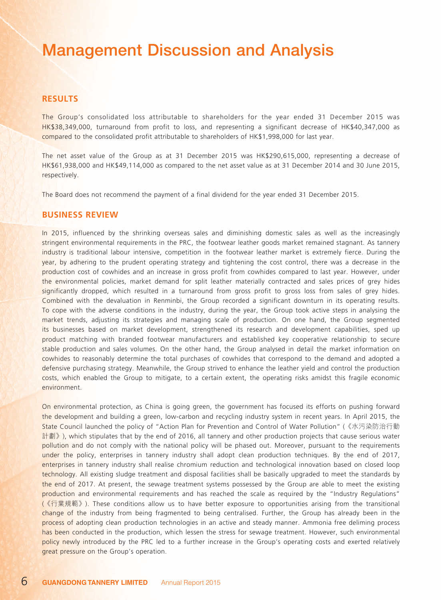# Management Discussion and Analysis

### **Results**

The Group's consolidated loss attributable to shareholders for the year ended 31 December 2015 was HK\$38,349,000, turnaround from profit to loss, and representing a significant decrease of HK\$40,347,000 as compared to the consolidated profit attributable to shareholders of HK\$1,998,000 for last year.

The net asset value of the Group as at 31 December 2015 was HK\$290,615,000, representing a decrease of HK\$61,938,000 and HK\$49,114,000 as compared to the net asset value as at 31 December 2014 and 30 June 2015, respectively.

The Board does not recommend the payment of a final dividend for the year ended 31 December 2015.

### **Business Review**

In 2015, influenced by the shrinking overseas sales and diminishing domestic sales as well as the increasingly stringent environmental requirements in the PRC, the footwear leather goods market remained stagnant. As tannery industry is traditional labour intensive, competition in the footwear leather market is extremely fierce. During the year, by adhering to the prudent operating strategy and tightening the cost control, there was a decrease in the production cost of cowhides and an increase in gross profit from cowhides compared to last year. However, under the environmental policies, market demand for split leather materially contracted and sales prices of grey hides significantly dropped, which resulted in a turnaround from gross profit to gross loss from sales of grey hides. Combined with the devaluation in Renminbi, the Group recorded a significant downturn in its operating results. To cope with the adverse conditions in the industry, during the year, the Group took active steps in analysing the market trends, adjusting its strategies and managing scale of production. On one hand, the Group segmented its businesses based on market development, strengthened its research and development capabilities, sped up product matching with branded footwear manufacturers and established key cooperative relationship to secure stable production and sales volumes. On the other hand, the Group analysed in detail the market information on cowhides to reasonably determine the total purchases of cowhides that correspond to the demand and adopted a defensive purchasing strategy. Meanwhile, the Group strived to enhance the leather yield and control the production costs, which enabled the Group to mitigate, to a certain extent, the operating risks amidst this fragile economic environment.

On environmental protection, as China is going green, the government has focused its efforts on pushing forward the development and building a green, low-carbon and recycling industry system in recent years. In April 2015, the State Council launched the policy of "Action Plan for Prevention and Control of Water Pollution" (《水污染防治行動 計劃》), which stipulates that by the end of 2016, all tannery and other production projects that cause serious water pollution and do not comply with the national policy will be phased out. Moreover, pursuant to the requirements under the policy, enterprises in tannery industry shall adopt clean production techniques. By the end of 2017, enterprises in tannery industry shall realise chromium reduction and technological innovation based on closed loop technology. All existing sludge treatment and disposal facilities shall be basically upgraded to meet the standards by the end of 2017. At present, the sewage treatment systems possessed by the Group are able to meet the existing production and environmental requirements and has reached the scale as required by the "Industry Regulations" (《行業規範》). These conditions allow us to have better exposure to opportunities arising from the transitional change of the industry from being fragmented to being centralised. Further, the Group has already been in the process of adopting clean production technologies in an active and steady manner. Ammonia free deliming process has been conducted in the production, which lessen the stress for sewage treatment. However, such environmental policy newly introduced by the PRC led to a further increase in the Group's operating costs and exerted relatively great pressure on the Group's operation.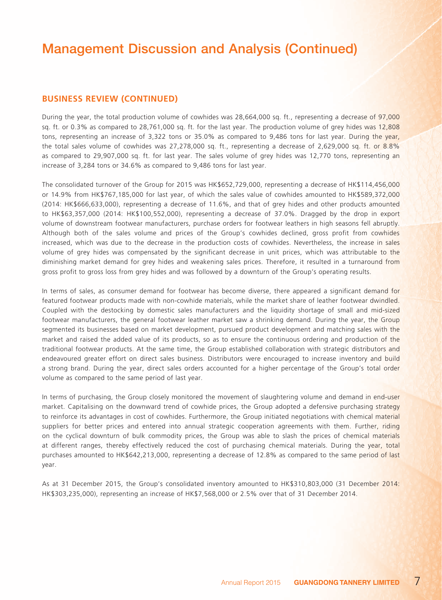# Management Discussion and Analysis (Continued)

### **Business Review (Continued)**

During the year, the total production volume of cowhides was 28,664,000 sq. ft., representing a decrease of 97,000 sq. ft. or 0.3% as compared to 28,761,000 sq. ft. for the last year. The production volume of grey hides was 12,808 tons, representing an increase of 3,322 tons or 35.0% as compared to 9,486 tons for last year. During the year, the total sales volume of cowhides was 27,278,000 sq. ft., representing a decrease of 2,629,000 sq. ft. or 8.8% as compared to 29,907,000 sq. ft. for last year. The sales volume of grey hides was 12,770 tons, representing an increase of 3,284 tons or 34.6% as compared to 9,486 tons for last year.

The consolidated turnover of the Group for 2015 was HK\$652,729,000, representing a decrease of HK\$114,456,000 or 14.9% from HK\$767,185,000 for last year, of which the sales value of cowhides amounted to HK\$589,372,000 (2014: HK\$666,633,000), representing a decrease of 11.6%, and that of grey hides and other products amounted to HK\$63,357,000 (2014: HK\$100,552,000), representing a decrease of 37.0%. Dragged by the drop in export volume of downstream footwear manufacturers, purchase orders for footwear leathers in high seasons fell abruptly. Although both of the sales volume and prices of the Group's cowhides declined, gross profit from cowhides increased, which was due to the decrease in the production costs of cowhides. Nevertheless, the increase in sales volume of grey hides was compensated by the significant decrease in unit prices, which was attributable to the diminishing market demand for grey hides and weakening sales prices. Therefore, it resulted in a turnaround from gross profit to gross loss from grey hides and was followed by a downturn of the Group's operating results.

In terms of sales, as consumer demand for footwear has become diverse, there appeared a significant demand for featured footwear products made with non-cowhide materials, while the market share of leather footwear dwindled. Coupled with the destocking by domestic sales manufacturers and the liquidity shortage of small and mid-sized footwear manufacturers, the general footwear leather market saw a shrinking demand. During the year, the Group segmented its businesses based on market development, pursued product development and matching sales with the market and raised the added value of its products, so as to ensure the continuous ordering and production of the traditional footwear products. At the same time, the Group established collaboration with strategic distributors and endeavoured greater effort on direct sales business. Distributors were encouraged to increase inventory and build a strong brand. During the year, direct sales orders accounted for a higher percentage of the Group's total order volume as compared to the same period of last year.

In terms of purchasing, the Group closely monitored the movement of slaughtering volume and demand in end-user market. Capitalising on the downward trend of cowhide prices, the Group adopted a defensive purchasing strategy to reinforce its advantages in cost of cowhides. Furthermore, the Group initiated negotiations with chemical material suppliers for better prices and entered into annual strategic cooperation agreements with them. Further, riding on the cyclical downturn of bulk commodity prices, the Group was able to slash the prices of chemical materials at different ranges, thereby effectively reduced the cost of purchasing chemical materials. During the year, total purchases amounted to HK\$642,213,000, representing a decrease of 12.8% as compared to the same period of last year.

As at 31 December 2015, the Group's consolidated inventory amounted to HK\$310,803,000 (31 December 2014: HK\$303,235,000), representing an increase of HK\$7,568,000 or 2.5% over that of 31 December 2014.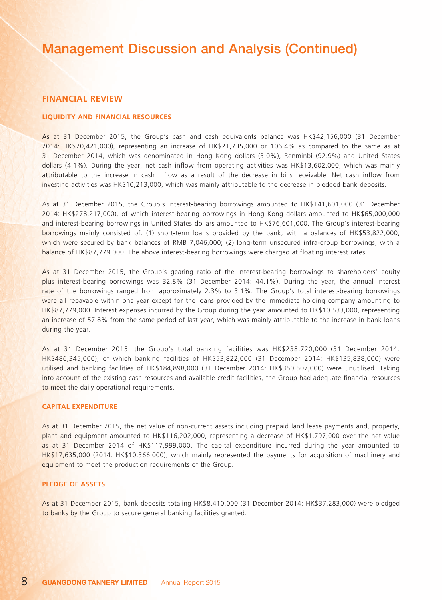### **Financial Review**

#### **LIQUIDITY AND FINANCIAL RESOURCES**

As at 31 December 2015, the Group's cash and cash equivalents balance was HK\$42,156,000 (31 December 2014: HK\$20,421,000), representing an increase of HK\$21,735,000 or 106.4% as compared to the same as at 31 December 2014, which was denominated in Hong Kong dollars (3.0%), Renminbi (92.9%) and United States dollars (4.1%). During the year, net cash inflow from operating activities was HK\$13,602,000, which was mainly attributable to the increase in cash inflow as a result of the decrease in bills receivable. Net cash inflow from investing activities was HK\$10,213,000, which was mainly attributable to the decrease in pledged bank deposits.

As at 31 December 2015, the Group's interest-bearing borrowings amounted to HK\$141,601,000 (31 December 2014: HK\$278,217,000), of which interest-bearing borrowings in Hong Kong dollars amounted to HK\$65,000,000 and interest-bearing borrowings in United States dollars amounted to HK\$76,601,000. The Group's interest-bearing borrowings mainly consisted of: (1) short-term loans provided by the bank, with a balances of HK\$53,822,000, which were secured by bank balances of RMB 7,046,000; (2) long-term unsecured intra-group borrowings, with a balance of HK\$87,779,000. The above interest-bearing borrowings were charged at floating interest rates.

As at 31 December 2015, the Group's gearing ratio of the interest-bearing borrowings to shareholders' equity plus interest-bearing borrowings was 32.8% (31 December 2014: 44.1%). During the year, the annual interest rate of the borrowings ranged from approximately 2.3% to 3.1%. The Group's total interest-bearing borrowings were all repayable within one year except for the loans provided by the immediate holding company amounting to HK\$87,779,000. Interest expenses incurred by the Group during the year amounted to HK\$10,533,000, representing an increase of 57.8% from the same period of last year, which was mainly attributable to the increase in bank loans during the year.

As at 31 December 2015, the Group's total banking facilities was HK\$238,720,000 (31 December 2014: HK\$486,345,000), of which banking facilities of HK\$53,822,000 (31 December 2014: HK\$135,838,000) were utilised and banking facilities of HK\$184,898,000 (31 December 2014: HK\$350,507,000) were unutilised. Taking into account of the existing cash resources and available credit facilities, the Group had adequate financial resources to meet the daily operational requirements.

#### **CAPITAL EXPENDITURE**

As at 31 December 2015, the net value of non-current assets including prepaid land lease payments and, property, plant and equipment amounted to HK\$116,202,000, representing a decrease of HK\$1,797,000 over the net value as at 31 December 2014 of HK\$117,999,000. The capital expenditure incurred during the year amounted to HK\$17,635,000 (2014: HK\$10,366,000), which mainly represented the payments for acquisition of machinery and equipment to meet the production requirements of the Group.

#### **PLEDGE OF ASSETS**

As at 31 December 2015, bank deposits totaling HK\$8,410,000 (31 December 2014: HK\$37,283,000) were pledged to banks by the Group to secure general banking facilities granted.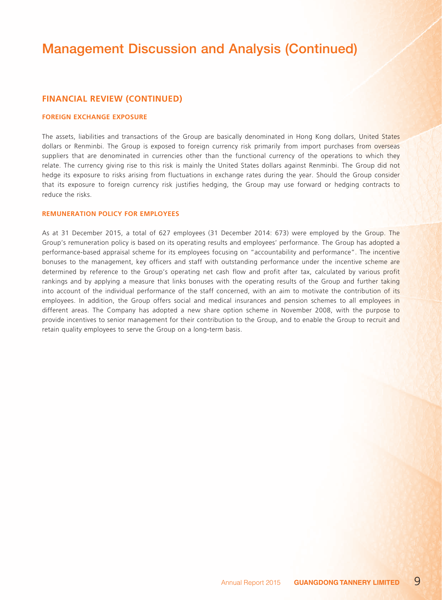# Management Discussion and Analysis (Continued)

# **Financial Review (Continued)**

#### **FOREIGN EXCHANGE EXPOSURE**

The assets, liabilities and transactions of the Group are basically denominated in Hong Kong dollars, United States dollars or Renminbi. The Group is exposed to foreign currency risk primarily from import purchases from overseas suppliers that are denominated in currencies other than the functional currency of the operations to which they relate. The currency giving rise to this risk is mainly the United States dollars against Renminbi. The Group did not hedge its exposure to risks arising from fluctuations in exchange rates during the year. Should the Group consider that its exposure to foreign currency risk justifies hedging, the Group may use forward or hedging contracts to reduce the risks.

#### **REMUNERATION POLICY FOR EMPLOYEES**

As at 31 December 2015, a total of 627 employees (31 December 2014: 673) were employed by the Group. The Group's remuneration policy is based on its operating results and employees' performance. The Group has adopted a performance-based appraisal scheme for its employees focusing on "accountability and performance". The incentive bonuses to the management, key officers and staff with outstanding performance under the incentive scheme are determined by reference to the Group's operating net cash flow and profit after tax, calculated by various profit rankings and by applying a measure that links bonuses with the operating results of the Group and further taking into account of the individual performance of the staff concerned, with an aim to motivate the contribution of its employees. In addition, the Group offers social and medical insurances and pension schemes to all employees in different areas. The Company has adopted a new share option scheme in November 2008, with the purpose to provide incentives to senior management for their contribution to the Group, and to enable the Group to recruit and retain quality employees to serve the Group on a long-term basis.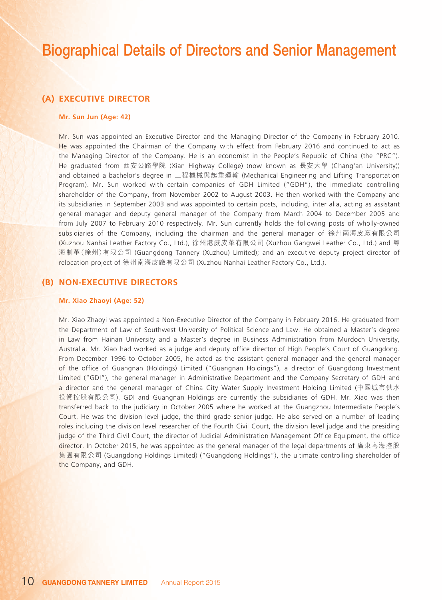# Biographical Details of Directors and Senior Management

# **(A) Executive Director**

#### **Mr. Sun Jun (Age: 42)**

Mr. Sun was appointed an Executive Director and the Managing Director of the Company in February 2010. He was appointed the Chairman of the Company with effect from February 2016 and continued to act as the Managing Director of the Company. He is an economist in the People's Republic of China (the "PRC"). He graduated from 西安公路學院 (Xian Highway College) (now known as 長安大學 (Chang'an University)) and obtained a bachelor's degree in 工程機械與起重運輸 (Mechanical Engineering and Lifting Transportation Program). Mr. Sun worked with certain companies of GDH Limited ("GDH"), the immediate controlling shareholder of the Company, from November 2002 to August 2003. He then worked with the Company and its subsidiaries in September 2003 and was appointed to certain posts, including, inter alia, acting as assistant general manager and deputy general manager of the Company from March 2004 to December 2005 and from July 2007 to February 2010 respectively. Mr. Sun currently holds the following posts of wholly-owned subsidiaries of the Company, including the chairman and the general manager of 徐州南海皮廠有限公司 (Xuzhou Nanhai Leather Factory Co., Ltd.), 徐州港威皮革有限公司 (Xuzhou Gangwei Leather Co., Ltd.) and 粵 海制革(徐州)有限公司 (Guangdong Tannery (Xuzhou) Limited); and an executive deputy project director of relocation project of 徐州南海皮廠有限公司 (Xuzhou Nanhai Leather Factory Co., Ltd.).

# **(B) Non-Executive Directors**

#### **Mr. Xiao Zhaoyi (Age: 52)**

Mr. Xiao Zhaoyi was appointed a Non-Executive Director of the Company in February 2016. He graduated from the Department of Law of Southwest University of Political Science and Law. He obtained a Master's degree in Law from Hainan University and a Master's degree in Business Administration from Murdoch University, Australia. Mr. Xiao had worked as a judge and deputy office director of High People's Court of Guangdong. From December 1996 to October 2005, he acted as the assistant general manager and the general manager of the office of Guangnan (Holdings) Limited ("Guangnan Holdings"), a director of Guangdong Investment Limited ("GDI"), the general manager in Administrative Department and the Company Secretary of GDH and a director and the general manager of China City Water Supply Investment Holding Limited (中國城市供水 投資控股有限公司). GDI and Guangnan Holdings are currently the subsidiaries of GDH. Mr. Xiao was then transferred back to the judiciary in October 2005 where he worked at the Guangzhou Intermediate People's Court. He was the division level judge, the third grade senior judge. He also served on a number of leading roles including the division level researcher of the Fourth Civil Court, the division level judge and the presiding judge of the Third Civil Court, the director of Judicial Administration Management Office Equipment, the office director. In October 2015, he was appointed as the general manager of the legal departments of 廣東粵海控股 集團有限公司 (Guangdong Holdings Limited) ("Guangdong Holdings"), the ultimate controlling shareholder of the Company, and GDH.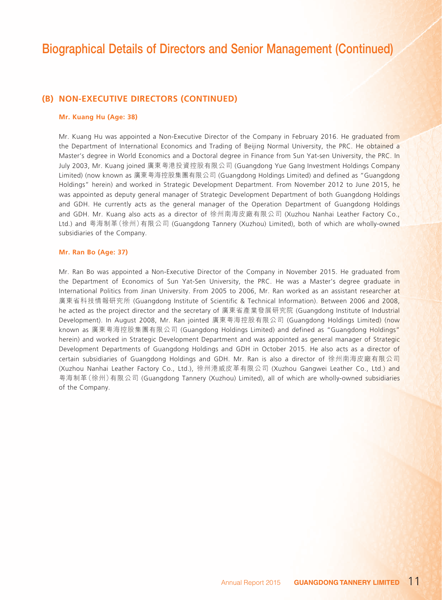# **(B) Non-Executive Directors (Continued)**

#### **Mr. Kuang Hu (Age: 38)**

Mr. Kuang Hu was appointed a Non-Executive Director of the Company in February 2016. He graduated from the Department of International Economics and Trading of Beijing Normal University, the PRC. He obtained a Master's degree in World Economics and a Doctoral degree in Finance from Sun Yat-sen University, the PRC. In July 2003, Mr. Kuang joined 廣東粵港投資控股有限公司 (Guangdong Yue Gang Investment Holdings Company Limited) (now known as 廣東粵海控股集團有限公司 (Guangdong Holdings Limited) and defined as "Guangdong Holdings" herein) and worked in Strategic Development Department. From November 2012 to June 2015, he was appointed as deputy general manager of Strategic Development Department of both Guangdong Holdings and GDH. He currently acts as the general manager of the Operation Department of Guangdong Holdings and GDH. Mr. Kuang also acts as a director of 徐州南海皮廠有限公司 (Xuzhou Nanhai Leather Factory Co., Ltd.) and 粵海制革(徐州)有限公司 (Guangdong Tannery (Xuzhou) Limited), both of which are wholly-owned subsidiaries of the Company.

#### **Mr. Ran Bo (Age: 37)**

Mr. Ran Bo was appointed a Non-Executive Director of the Company in November 2015. He graduated from the Department of Economics of Sun Yat-Sen University, the PRC. He was a Master's degree graduate in International Politics from Jinan University. From 2005 to 2006, Mr. Ran worked as an assistant researcher at 廣東省科技情報研究所 (Guangdong Institute of Scientific & Technical Information). Between 2006 and 2008, he acted as the project director and the secretary of 廣東省產業發展研究院 (Guangdong Institute of Industrial Development). In August 2008, Mr. Ran jointed 廣東粵海控股有限公司 (Guangdong Holdings Limited) (now known as 廣東粵海控股集團有限公司 (Guangdong Holdings Limited) and defined as "Guangdong Holdings" herein) and worked in Strategic Development Department and was appointed as general manager of Strategic Development Departments of Guangdong Holdings and GDH in October 2015. He also acts as a director of certain subsidiaries of Guangdong Holdings and GDH. Mr. Ran is also a director of 徐州南海皮廠有限公司 (Xuzhou Nanhai Leather Factory Co., Ltd.), 徐州港威皮革有限公司 (Xuzhou Gangwei Leather Co., Ltd.) and 粵海制革(徐州)有限公司 (Guangdong Tannery (Xuzhou) Limited), all of which are wholly-owned subsidiaries of the Company.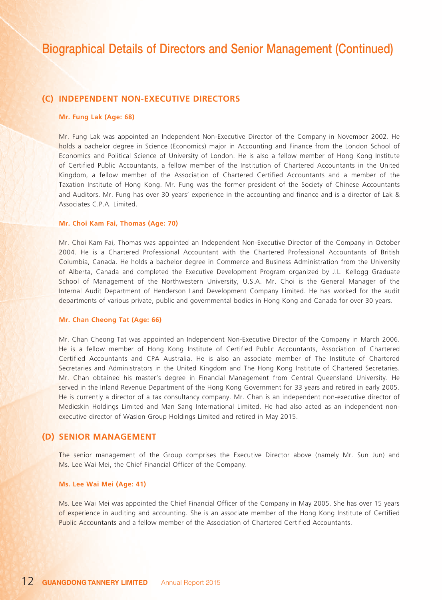# **(C) Independent Non-Executive Directors**

#### **Mr. Fung Lak (Age: 68)**

Mr. Fung Lak was appointed an Independent Non-Executive Director of the Company in November 2002. He holds a bachelor degree in Science (Economics) major in Accounting and Finance from the London School of Economics and Political Science of University of London. He is also a fellow member of Hong Kong Institute of Certified Public Accountants, a fellow member of the Institution of Chartered Accountants in the United Kingdom, a fellow member of the Association of Chartered Certified Accountants and a member of the Taxation Institute of Hong Kong. Mr. Fung was the former president of the Society of Chinese Accountants and Auditors. Mr. Fung has over 30 years' experience in the accounting and finance and is a director of Lak & Associates C.P.A. Limited.

#### **Mr. Choi Kam Fai, Thomas (Age: 70)**

Mr. Choi Kam Fai, Thomas was appointed an Independent Non-Executive Director of the Company in October 2004. He is a Chartered Professional Accountant with the Chartered Professional Accountants of British Columbia, Canada. He holds a bachelor degree in Commerce and Business Administration from the University of Alberta, Canada and completed the Executive Development Program organized by J.L. Kellogg Graduate School of Management of the Northwestern University, U.S.A. Mr. Choi is the General Manager of the Internal Audit Department of Henderson Land Development Company Limited. He has worked for the audit departments of various private, public and governmental bodies in Hong Kong and Canada for over 30 years.

#### **Mr. Chan Cheong Tat (Age: 66)**

Mr. Chan Cheong Tat was appointed an Independent Non-Executive Director of the Company in March 2006. He is a fellow member of Hong Kong Institute of Certified Public Accountants, Association of Chartered Certified Accountants and CPA Australia. He is also an associate member of The Institute of Chartered Secretaries and Administrators in the United Kingdom and The Hong Kong Institute of Chartered Secretaries. Mr. Chan obtained his master's degree in Financial Management from Central Queensland University. He served in the Inland Revenue Department of the Hong Kong Government for 33 years and retired in early 2005. He is currently a director of a tax consultancy company. Mr. Chan is an independent non-executive director of Medicskin Holdings Limited and Man Sang International Limited. He had also acted as an independent nonexecutive director of Wasion Group Holdings Limited and retired in May 2015.

### **(D) Senior Management**

The senior management of the Group comprises the Executive Director above (namely Mr. Sun Jun) and Ms. Lee Wai Mei, the Chief Financial Officer of the Company.

#### **Ms. Lee Wai Mei (Age: 41)**

Ms. Lee Wai Mei was appointed the Chief Financial Officer of the Company in May 2005. She has over 15 years of experience in auditing and accounting. She is an associate member of the Hong Kong Institute of Certified Public Accountants and a fellow member of the Association of Chartered Certified Accountants.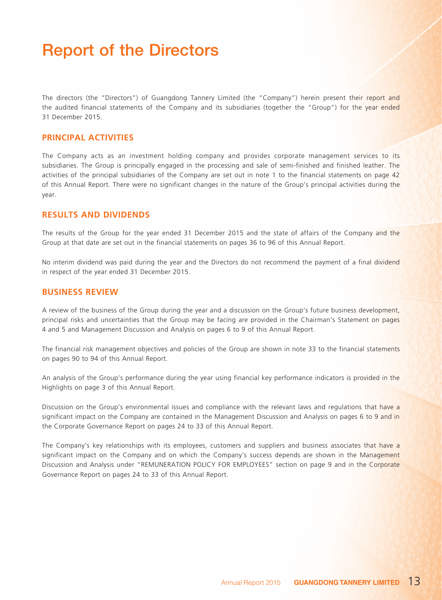# Report of the Directors

The directors (the "Directors") of Guangdong Tannery Limited (the "Company") herein present their report and the audited financial statements of the Company and its subsidiaries (together the "Group") for the year ended 31 December 2015.

# **PRINCIPAL ACTIVITIES**

The Company acts as an investment holding company and provides corporate management services to its subsidiaries. The Group is principally engaged in the processing and sale of semi-finished and finished leather. The activities of the principal subsidiaries of the Company are set out in note 1 to the financial statements on page 42 of this Annual Report. There were no significant changes in the nature of the Group's principal activities during the year.

### **RESULTS AND DIVIDENDS**

The results of the Group for the year ended 31 December 2015 and the state of affairs of the Company and the Group at that date are set out in the financial statements on pages 36 to 96 of this Annual Report.

No interim dividend was paid during the year and the Directors do not recommend the payment of a final dividend in respect of the year ended 31 December 2015.

### **BUSINESS REVIEW**

A review of the business of the Group during the year and a discussion on the Group's future business development, principal risks and uncertainties that the Group may be facing are provided in the Chairman's Statement on pages 4 and 5 and Management Discussion and Analysis on pages 6 to 9 of this Annual Report.

The financial risk management objectives and policies of the Group are shown in note 33 to the financial statements on pages 90 to 94 of this Annual Report.

An analysis of the Group's performance during the year using financial key performance indicators is provided in the Highlights on page 3 of this Annual Report.

Discussion on the Group's environmental issues and compliance with the relevant laws and regulations that have a significant impact on the Company are contained in the Management Discussion and Analysis on pages 6 to 9 and in the Corporate Governance Report on pages 24 to 33 of this Annual Report.

The Company's key relationships with its employees, customers and suppliers and business associates that have a significant impact on the Company and on which the Company's success depends are shown in the Management Discussion and Analysis under "REMUNERATION POLICY FOR EMPLOYEES" section on page 9 and in the Corporate Governance Report on pages 24 to 33 of this Annual Report.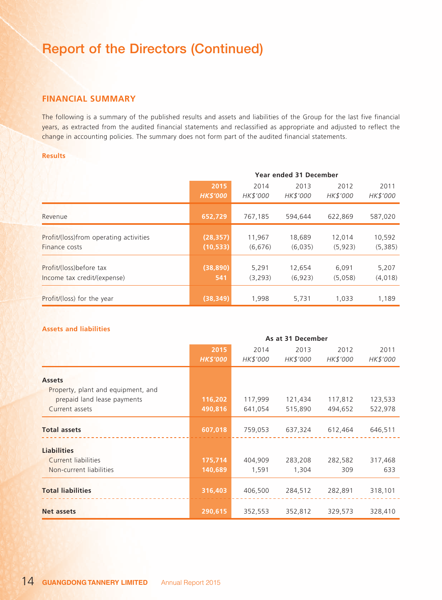# **FINANCIAL SUMMARY**

The following is a summary of the published results and assets and liabilities of the Group for the last five financial years, as extracted from the audited financial statements and reclassified as appropriate and adjusted to reflect the change in accounting policies. The summary does not form part of the audited financial statements.

#### **Results**

|                                                          | Year ended 31 December |                   |                    |                   |                    |  |  |
|----------------------------------------------------------|------------------------|-------------------|--------------------|-------------------|--------------------|--|--|
|                                                          | 2015                   | 2014              | 2013               | 2012              | 2011               |  |  |
|                                                          | <b>HK\$'000</b>        | HK\$'000          | HK\$'000           | HK\$'000          | HK\$'000           |  |  |
| Revenue                                                  | 652,729                | 767,185           | 594.644            | 622,869           | 587,020            |  |  |
| Profit/(loss) from operating activities<br>Finance costs | (28, 357)<br>(10, 533) | 11,967<br>(6,676) | 18,689<br>(6,035)  | 12,014<br>(5,923) | 10,592<br>(5, 385) |  |  |
| Profit/(loss)before tax<br>Income tax credit/(expense)   | (38, 890)<br>541       | 5,291<br>(3,293)  | 12,654<br>(6, 923) | 6,091<br>(5,058)  | 5,207<br>(4,018)   |  |  |
| Profit/(loss) for the year                               | (38, 349)              | 1,998             | 5,731              | 1,033             | 1,189              |  |  |

### **Assets and liabilities**

|                                    | As at 31 December |          |          |          |          |  |  |
|------------------------------------|-------------------|----------|----------|----------|----------|--|--|
|                                    | 2015              | 2014     | 2013     | 2012     | 2011     |  |  |
|                                    | <b>HK\$'000</b>   | HK\$'000 | HK\$'000 | HK\$'000 | HK\$'000 |  |  |
| <b>Assets</b>                      |                   |          |          |          |          |  |  |
| Property, plant and equipment, and |                   |          |          |          |          |  |  |
| prepaid land lease payments        | 116,202           | 117,999  | 121,434  | 117,812  | 123,533  |  |  |
| Current assets                     | 490,816           | 641,054  | 515,890  | 494,652  | 522,978  |  |  |
| <b>Total assets</b>                | 607,018           | 759,053  | 637,324  | 612,464  | 646,511  |  |  |
|                                    |                   |          |          |          |          |  |  |
| <b>Liabilities</b>                 |                   |          |          |          |          |  |  |
| Current liabilities                | 175,714           | 404,909  | 283,208  | 282,582  | 317,468  |  |  |
| Non-current liabilities            | 140,689           | 1,591    | 1,304    | 309      | 633      |  |  |
|                                    |                   |          |          |          |          |  |  |
| <b>Total liabilities</b>           | 316,403           | 406,500  | 284,512  | 282,891  | 318,101  |  |  |
|                                    |                   |          |          |          |          |  |  |
| <b>Net assets</b>                  | 290,615           | 352,553  | 352,812  | 329,573  | 328,410  |  |  |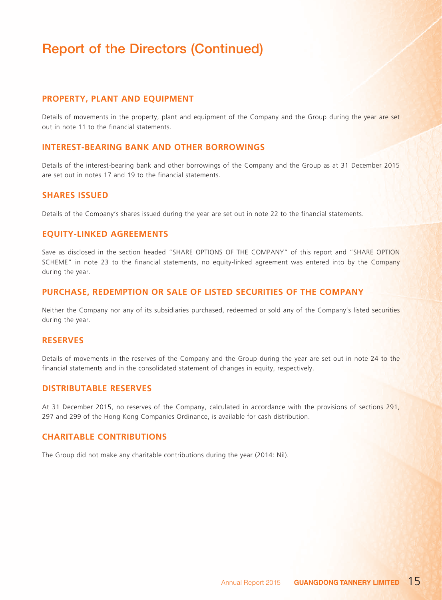### **PROPERTY, PLANT AND EQUIPMENT**

Details of movements in the property, plant and equipment of the Company and the Group during the year are set out in note 11 to the financial statements.

# **INTEREST-BEARING BANK AND OTHER BORROWINGS**

Details of the interest-bearing bank and other borrowings of the Company and the Group as at 31 December 2015 are set out in notes 17 and 19 to the financial statements.

### **SHARES ISSUED**

Details of the Company's shares issued during the year are set out in note 22 to the financial statements.

#### **EQUITY-LINKED AGREEMENTS**

Save as disclosed in the section headed "SHARE OPTIONS OF THE COMPANY" of this report and "SHARE OPTION SCHEME" in note 23 to the financial statements, no equity-linked agreement was entered into by the Company during the year.

# **PURCHASE, REDEMPTION OR SALE OF LISTED SECURITIES OF THE COMPANY**

Neither the Company nor any of its subsidiaries purchased, redeemed or sold any of the Company's listed securities during the year.

#### **RESERVES**

Details of movements in the reserves of the Company and the Group during the year are set out in note 24 to the financial statements and in the consolidated statement of changes in equity, respectively.

# **DISTRIBUTABLE RESERVES**

At 31 December 2015, no reserves of the Company, calculated in accordance with the provisions of sections 291, 297 and 299 of the Hong Kong Companies Ordinance, is available for cash distribution.

# **CHARITABLE CONTRIBUTIONS**

The Group did not make any charitable contributions during the year (2014: Nil).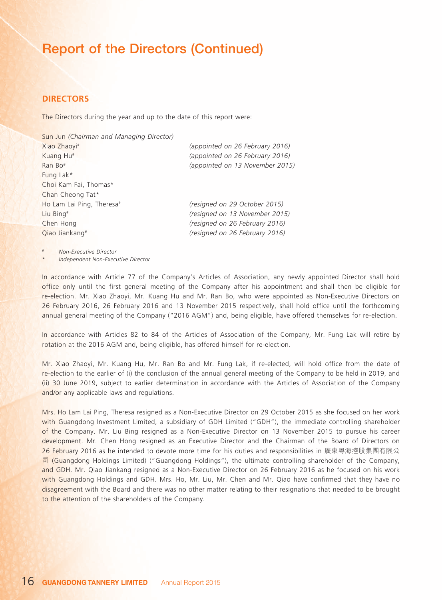# **DIRECTORS**

The Directors during the year and up to the date of this report were:

| Sun Jun (Chairman and Managing Director) |                                 |
|------------------------------------------|---------------------------------|
| Xiao Zhaoyi#                             | (appointed on 26 February 2016) |
| Kuang Hu#                                | (appointed on 26 February 2016) |
| $Ran Bo*$                                | (appointed on 13 November 2015) |
| Fung Lak*                                |                                 |
| Choi Kam Fai, Thomas*                    |                                 |
| Chan Cheong Tat*                         |                                 |
| Ho Lam Lai Ping, Theresa#                | (resigned on 29 October 2015)   |
| Liu Bing#                                | (resigned on 13 November 2015)  |
| Chen Hong                                | (resigned on 26 February 2016)  |
| Qiao Jiankang#                           | (resigned on 26 February 2016)  |
|                                          |                                 |

# *Non-Executive Director*

\* *Independent Non-Executive Director*

In accordance with Article 77 of the Company's Articles of Association, any newly appointed Director shall hold office only until the first general meeting of the Company after his appointment and shall then be eligible for re-election. Mr. Xiao Zhaoyi, Mr. Kuang Hu and Mr. Ran Bo, who were appointed as Non-Executive Directors on 26 February 2016, 26 February 2016 and 13 November 2015 respectively, shall hold office until the forthcoming annual general meeting of the Company ("2016 AGM") and, being eligible, have offered themselves for re-election.

In accordance with Articles 82 to 84 of the Articles of Association of the Company, Mr. Fung Lak will retire by rotation at the 2016 AGM and, being eligible, has offered himself for re-election.

Mr. Xiao Zhaoyi, Mr. Kuang Hu, Mr. Ran Bo and Mr. Fung Lak, if re-elected, will hold office from the date of re-election to the earlier of (i) the conclusion of the annual general meeting of the Company to be held in 2019, and (ii) 30 June 2019, subject to earlier determination in accordance with the Articles of Association of the Company and/or any applicable laws and regulations.

Mrs. Ho Lam Lai Ping, Theresa resigned as a Non-Executive Director on 29 October 2015 as she focused on her work with Guangdong Investment Limited, a subsidiary of GDH Limited ("GDH"), the immediate controlling shareholder of the Company. Mr. Liu Bing resigned as a Non-Executive Director on 13 November 2015 to pursue his career development. Mr. Chen Hong resigned as an Executive Director and the Chairman of the Board of Directors on 26 February 2016 as he intended to devote more time for his duties and responsibilities in 廣東粵海控股集團有限公 司 (Guangdong Holdings Limited) ("Guangdong Holdings"), the ultimate controlling shareholder of the Company, and GDH. Mr. Qiao Jiankang resigned as a Non-Executive Director on 26 February 2016 as he focused on his work with Guangdong Holdings and GDH. Mrs. Ho, Mr. Liu, Mr. Chen and Mr. Qiao have confirmed that they have no disagreement with the Board and there was no other matter relating to their resignations that needed to be brought to the attention of the shareholders of the Company.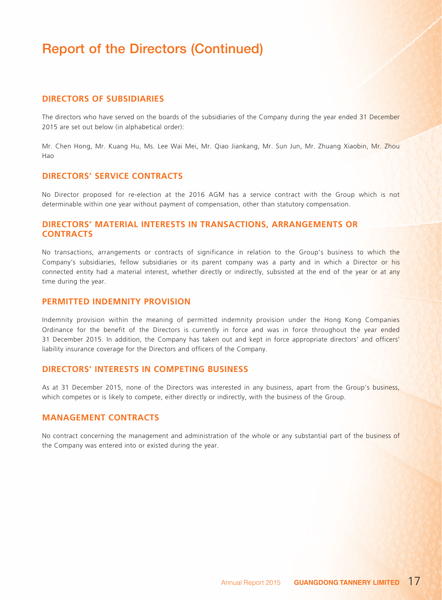## **DIRECTORS OF SUBSIDIARIES**

The directors who have served on the boards of the subsidiaries of the Company during the year ended 31 December 2015 are set out below (in alphabetical order):

Mr. Chen Hong, Mr. Kuang Hu, Ms. Lee Wai Mei, Mr. Qiao Jiankang, Mr. Sun Jun, Mr. Zhuang Xiaobin, Mr. Zhou Hao

# **DIRECTORS' SERVICE CONTRaCTS**

No Director proposed for re-election at the 2016 AGM has a service contract with the Group which is not determinable within one year without payment of compensation, other than statutory compensation.

# **DIRECTORS' MATERIAL INTERESTS IN TRANSACTIONS, ARRANGEMENTs OR CONTRACTs**

No transactions, arrangements or contracts of significance in relation to the Group's business to which the Company's subsidiaries, fellow subsidiaries or its parent company was a party and in which a Director or his connected entity had a material interest, whether directly or indirectly, subsisted at the end of the year or at any time during the year.

### **PERMITTED INDEMNITY PROVISION**

Indemnity provision within the meaning of permitted indemnity provision under the Hong Kong Companies Ordinance for the benefit of the Directors is currently in force and was in force throughout the year ended 31 December 2015. In addition, the Company has taken out and kept in force appropriate directors' and officers' liability insurance coverage for the Directors and officers of the Company.

# **DIRECTORS' INTERESTS IN COMPETING BUSINESS**

As at 31 December 2015, none of the Directors was interested in any business, apart from the Group's business, which competes or is likely to compete, either directly or indirectly, with the business of the Group.

# **MANAGEMENT CONTRACTS**

No contract concerning the management and administration of the whole or any substantial part of the business of the Company was entered into or existed during the year.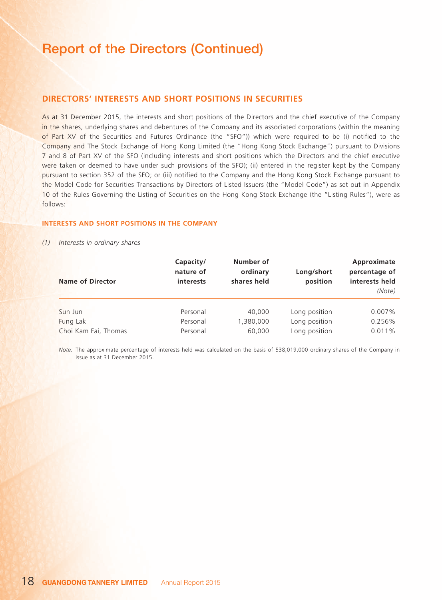# **DIRECTORS' INTERESTS AND SHORT POSITIONS IN SECURITIES**

As at 31 December 2015, the interests and short positions of the Directors and the chief executive of the Company in the shares, underlying shares and debentures of the Company and its associated corporations (within the meaning of Part XV of the Securities and Futures Ordinance (the "SFO")) which were required to be (i) notified to the Company and The Stock Exchange of Hong Kong Limited (the "Hong Kong Stock Exchange") pursuant to Divisions 7 and 8 of Part XV of the SFO (including interests and short positions which the Directors and the chief executive were taken or deemed to have under such provisions of the SFO); (ii) entered in the register kept by the Company pursuant to section 352 of the SFO; or (iii) notified to the Company and the Hong Kong Stock Exchange pursuant to the Model Code for Securities Transactions by Directors of Listed Issuers (the "Model Code") as set out in Appendix 10 of the Rules Governing the Listing of Securities on the Hong Kong Stock Exchange (the "Listing Rules"), were as follows:

#### **INTERESTS AND SHORT POSITIONS IN THE COMPANY**

#### *(1) Interests in ordinary shares*

| <b>Name of Director</b> | Capacity/<br>nature of<br>interests | Number of<br>ordinary<br>shares held | Long/short<br>position | Approximate<br>percentage of<br>interests held<br>(Note) |
|-------------------------|-------------------------------------|--------------------------------------|------------------------|----------------------------------------------------------|
| Sun Jun                 | Personal                            | 40,000                               | Long position          | $0.007\%$                                                |
| Fung Lak                | Personal                            | 1,380,000                            | Long position          | 0.256%                                                   |
| Choi Kam Fai, Thomas    | Personal                            | 60,000                               | Long position          | 0.011%                                                   |

*Note:* The approximate percentage of interests held was calculated on the basis of 538,019,000 ordinary shares of the Company in issue as at 31 December 2015.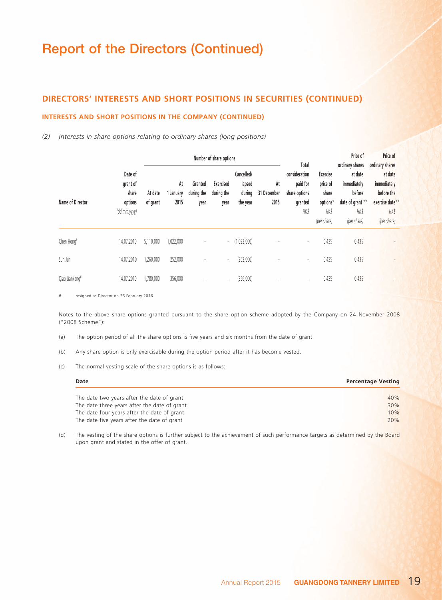# **DIRECTORS' INTERESTS AND SHORT POSITIONS IN SECURITIES (Continued)**

#### **INTERESTS AND SHORT POSITIONS IN THE COMPANY (CONTINUED)**

*(2) Interests in share options relating to ordinary shares (long positions)*

|                            |                                                         |                     | Number of share options |                               |                                 |                                            |                           | Total                                                                |                                                                                | Price of<br>ordinary shares                                                 | Price of<br>ordinary shares                                                    |  |
|----------------------------|---------------------------------------------------------|---------------------|-------------------------|-------------------------------|---------------------------------|--------------------------------------------|---------------------------|----------------------------------------------------------------------|--------------------------------------------------------------------------------|-----------------------------------------------------------------------------|--------------------------------------------------------------------------------|--|
| Name of Director           | Date of<br>grant of<br>share<br>options<br>(dd.mm.yyyy) | At date<br>of grant | At<br>January<br>2015   | Granted<br>during the<br>year | Exercised<br>during the<br>year | Cancelled/<br>lapsed<br>during<br>the year | At<br>31 December<br>2015 | consideration<br>paid for<br>share options<br>granted<br><b>HK\$</b> | <b>Exercise</b><br>price of<br>share<br>options*<br><b>HK\$</b><br>(per share) | at date<br>immediately<br>before<br>date of grant **<br>HK\$<br>(per share) | at date<br>immediately<br>before the<br>exercise date**<br>HK\$<br>(per share) |  |
| Chen Hong#                 | 14.07.2010                                              | 5,110,000           | 1,022,000               |                               | $\overline{\phantom{a}}$        | (1,022,000)                                |                           | -                                                                    | 0.435                                                                          | 0.435                                                                       |                                                                                |  |
| Sun Jun                    | 14.07.2010                                              | ,260,000            | 252,000                 |                               | $\overline{\phantom{a}}$        | (252,000)                                  |                           | $\overline{\phantom{0}}$                                             | 0.435                                                                          | 0.435                                                                       |                                                                                |  |
| Qiao Jiankang <sup>#</sup> | 14.07.2010                                              | 1,780,000           | 356,000                 |                               | $\overline{\phantom{a}}$        | (356,000)                                  |                           | $\overline{\phantom{0}}$                                             | 0.435                                                                          | 0.435                                                                       |                                                                                |  |

# resigned as Director on 26 February 2016

Notes to the above share options granted pursuant to the share option scheme adopted by the Company on 24 November 2008 ("2008 Scheme"):

- (a) The option period of all the share options is five years and six months from the date of grant.
- (b) Any share option is only exercisable during the option period after it has become vested.
- (c) The normal vesting scale of the share options is as follows:

| Date                                         | <b>Percentage Vesting</b> |
|----------------------------------------------|---------------------------|
| The date two years after the date of grant   | 40%                       |
| The date three years after the date of grant | 30%                       |
| The date four years after the date of grant  | 10%                       |
| The date five years after the date of grant  | 20%                       |

(d) The vesting of the share options is further subject to the achievement of such performance targets as determined by the Board upon grant and stated in the offer of grant.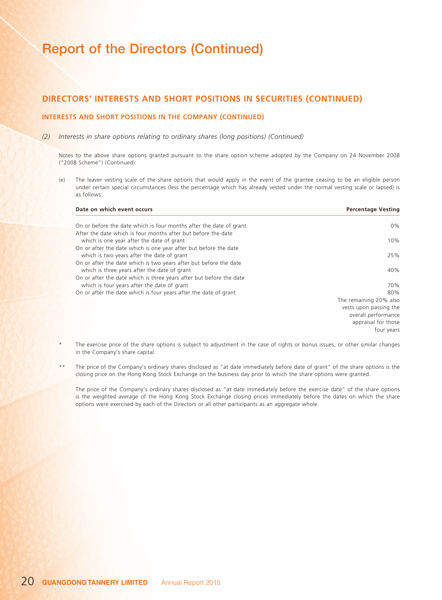# **DIRECTORS' INTERESTS AND SHORT POSITIONS IN SECURITIES (Continued)**

#### **INTERESTS AND SHORT POSITIONS IN THE COMPANY (CONTINUED)**

#### *(2) Interests in share options relating to ordinary shares (long positions) (Continued)*

Notes to the above share options granted pursuant to the share option scheme adopted by the Company on 24 November 2008 ("2008 Scheme") (Continued):

(e) The leaver vesting scale of the share options that would apply in the event of the grantee ceasing to be an eligible person under certain special circumstances (less the percentage which has already vested under the normal vesting scale or lapsed) is as follows:

| Date on which event occurs                                          | <b>Percentage Vesting</b> |
|---------------------------------------------------------------------|---------------------------|
| On or before the date which is four months after the date of grant  | 0%                        |
| After the date which is four months after but before the date       |                           |
| which is one year after the date of grant                           | 10%                       |
| On or after the date which is one year after but before the date    |                           |
| which is two years after the date of grant                          | 25%                       |
| On or after the date which is two years after but before the date   |                           |
| which is three years after the date of grant                        | 40%                       |
| On or after the date which is three years after but before the date |                           |
| which is four years after the date of grant                         | 70%                       |
| On or after the date which is four years after the date of grant    | 80%                       |
|                                                                     | The remaining 20% also    |
|                                                                     | vests upon passing the    |
|                                                                     | overall performance       |
|                                                                     | appraisal for those       |
|                                                                     | four years                |

- The exercise price of the share options is subject to adjustment in the case of rights or bonus issues, or other similar changes in the Company's share capital.
- The price of the Company's ordinary shares disclosed as "at date immediately before date of grant" of the share options is the closing price on the Hong Kong Stock Exchange on the business day prior to which the share options were granted.

The price of the Company's ordinary shares disclosed as "at date immediately before the exercise date" of the share options is the weighted average of the Hong Kong Stock Exchange closing prices immediately before the dates on which the share options were exercised by each of the Directors or all other participants as an aggregate whole.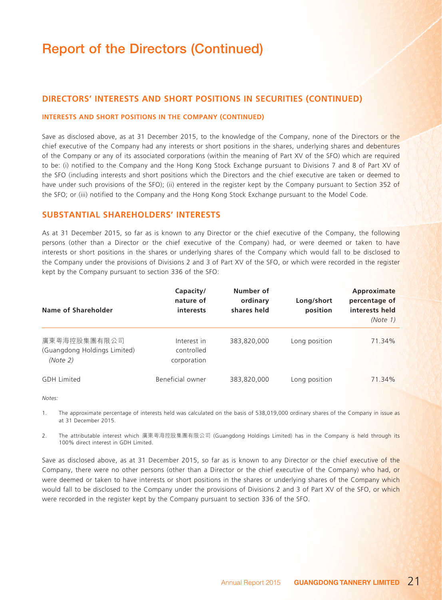# **DIRECTORS' INTERESTS AND SHORT POSITIONS IN SECURITIES (Continued)**

#### **INTERESTS AND SHORT POSITIONS IN THE COMPANY (CONTINUED)**

Save as disclosed above, as at 31 December 2015, to the knowledge of the Company, none of the Directors or the chief executive of the Company had any interests or short positions in the shares, underlying shares and debentures of the Company or any of its associated corporations (within the meaning of Part XV of the SFO) which are required to be: (i) notified to the Company and the Hong Kong Stock Exchange pursuant to Divisions 7 and 8 of Part XV of the SFO (including interests and short positions which the Directors and the chief executive are taken or deemed to have under such provisions of the SFO); (ii) entered in the register kept by the Company pursuant to Section 352 of the SFO; or (iii) notified to the Company and the Hong Kong Stock Exchange pursuant to the Model Code.

# **SUBSTANTIAL SHAREHOLDERS' INTERESTS**

As at 31 December 2015, so far as is known to any Director or the chief executive of the Company, the following persons (other than a Director or the chief executive of the Company) had, or were deemed or taken to have interests or short positions in the shares or underlying shares of the Company which would fall to be disclosed to the Company under the provisions of Divisions 2 and 3 of Part XV of the SFO, or which were recorded in the register kept by the Company pursuant to section 336 of the SFO:

| Name of Shareholder                                      | Capacity/<br>nature of<br>interests      | Number of<br>ordinary<br>shares held | Long/short<br>position | Approximate<br>percentage of<br>interests held<br>(Note 1) |
|----------------------------------------------------------|------------------------------------------|--------------------------------------|------------------------|------------------------------------------------------------|
| 廣東粤海控股集團有限公司<br>(Guangdong Holdings Limited)<br>(Note 2) | Interest in<br>controlled<br>corporation | 383,820,000                          | Long position          | 71.34%                                                     |
| <b>GDH</b> Limited                                       | Beneficial owner                         | 383,820,000                          | Long position          | 71.34%                                                     |

*Notes:*

- 1. The approximate percentage of interests held was calculated on the basis of 538,019,000 ordinary shares of the Company in issue as at 31 December 2015.
- 2. The attributable interest which 廣東粵海控股集團有限公司 (Guangdong Holdings Limited) has in the Company is held through its 100% direct interest in GDH Limited.

Save as disclosed above, as at 31 December 2015, so far as is known to any Director or the chief executive of the Company, there were no other persons (other than a Director or the chief executive of the Company) who had, or were deemed or taken to have interests or short positions in the shares or underlying shares of the Company which would fall to be disclosed to the Company under the provisions of Divisions 2 and 3 of Part XV of the SFO, or which were recorded in the register kept by the Company pursuant to section 336 of the SFO.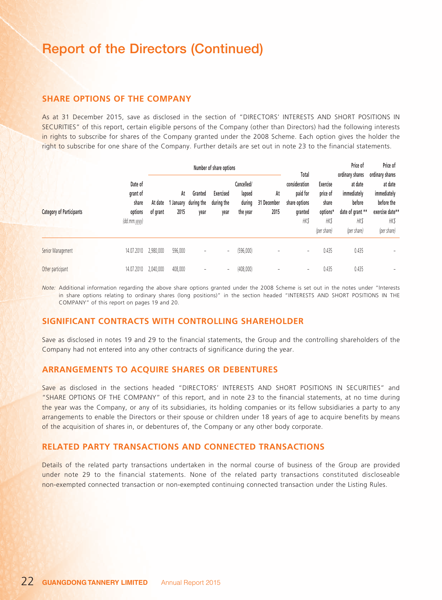# **SHARE OPTIONS OF THE COMPANY**

As at 31 December 2015, save as disclosed in the section of "DIRECTORS' INTERESTS AND SHORT POSITIONS IN SECURITIES" of this report, certain eligible persons of the Company (other than Directors) had the following interests in rights to subscribe for shares of the Company granted under the 2008 Scheme. Each option gives the holder the right to subscribe for one share of the Company. Further details are set out in note 23 to the financial statements.

|                                 | Number of share options                                 |                     |            |                                         | Total                           |                                            | Price of<br>ordinary shares | Price of<br>ordinary shares                                          |                                                                                |                                                                             |                                                                                |
|---------------------------------|---------------------------------------------------------|---------------------|------------|-----------------------------------------|---------------------------------|--------------------------------------------|-----------------------------|----------------------------------------------------------------------|--------------------------------------------------------------------------------|-----------------------------------------------------------------------------|--------------------------------------------------------------------------------|
| <b>Category of Participants</b> | Date of<br>grant of<br>share<br>options<br>(dd.mm.yyyy) | At date<br>of grant | At<br>2015 | Granted<br>1 January during the<br>year | Exercised<br>during the<br>year | Cancelled/<br>lapsed<br>during<br>the year | At<br>31 December<br>2015   | consideration<br>paid for<br>share options<br>granted<br><b>HK\$</b> | <b>Exercise</b><br>price of<br>share<br>options*<br><b>HK\$</b><br>(per share) | at date<br>immediately<br>before<br>date of grant **<br>HK\$<br>(per share) | at date<br>immediately<br>before the<br>exercise date**<br>HK\$<br>(per share) |
| Senior Management               | 14.07.2010                                              | 2,980,000           | 596,000    |                                         | $\overline{\phantom{a}}$        | (596,000)                                  |                             | -                                                                    | 0.435                                                                          | 0.435                                                                       |                                                                                |
| Other participant               | 14.07.2010                                              | 2,040,000           | 408,000    |                                         | $\overline{\phantom{a}}$        | (408,000)                                  |                             | $\overline{\phantom{0}}$                                             | 0.435                                                                          | 0.435                                                                       |                                                                                |

*Note:* Additional information regarding the above share options granted under the 2008 Scheme is set out in the notes under "Interests in share options relating to ordinary shares (long positions)" in the section headed "INTERESTS AND SHORT POSITIONS IN THE COMPANY" of this report on pages 19 and 20.

# **SIGNIFICANT CONTRACTS WITH CONTROLLING SHAREHOLDER**

Save as disclosed in notes 19 and 29 to the financial statements, the Group and the controlling shareholders of the Company had not entered into any other contracts of significance during the year.

### **ARRANGEMENTS TO ACQUIRE SHARES OR DEBENTURES**

Save as disclosed in the sections headed "DIRECTORS' INTERESTS AND SHORT POSITIONS IN SECURITIES" and "SHARE OPTIONS OF THE COMPANY" of this report, and in note 23 to the financial statements, at no time during the year was the Company, or any of its subsidiaries, its holding companies or its fellow subsidiaries a party to any arrangements to enable the Directors or their spouse or children under 18 years of age to acquire benefits by means of the acquisition of shares in, or debentures of, the Company or any other body corporate.

### **RELATED PARTY TRANSACTIONS AND CONNECTED TRANSACTIONS**

Details of the related party transactions undertaken in the normal course of business of the Group are provided under note 29 to the financial statements. None of the related party transactions constituted discloseable non-exempted connected transaction or non-exempted continuing connected transaction under the Listing Rules.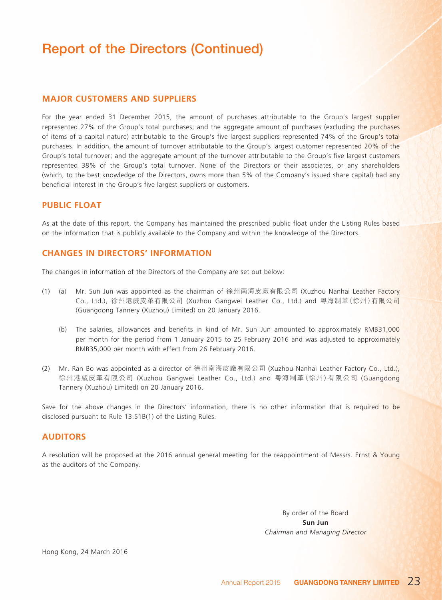# **MAJOR CUSTOMERS AND SUPPLIERS**

For the year ended 31 December 2015, the amount of purchases attributable to the Group's largest supplier represented 27% of the Group's total purchases; and the aggregate amount of purchases (excluding the purchases of items of a capital nature) attributable to the Group's five largest suppliers represented 74% of the Group's total purchases. In addition, the amount of turnover attributable to the Group's largest customer represented 20% of the Group's total turnover; and the aggregate amount of the turnover attributable to the Group's five largest customers represented 38% of the Group's total turnover. None of the Directors or their associates, or any shareholders (which, to the best knowledge of the Directors, owns more than 5% of the Company's issued share capital) had any beneficial interest in the Group's five largest suppliers or customers.

# **PUBLIC FLOAT**

As at the date of this report, the Company has maintained the prescribed public float under the Listing Rules based on the information that is publicly available to the Company and within the knowledge of the Directors.

# **CHANGES IN DIRECTORS' INFORMATION**

The changes in information of the Directors of the Company are set out below:

- (1) (a) Mr. Sun Jun was appointed as the chairman of 徐州南海皮廠有限公司 (Xuzhou Nanhai Leather Factory Co., Ltd.), 徐州港威皮革有限公司 (Xuzhou Gangwei Leather Co., Ltd.) and 粵海制革(徐州)有限公司 (Guangdong Tannery (Xuzhou) Limited) on 20 January 2016.
	- (b) The salaries, allowances and benefits in kind of Mr. Sun Jun amounted to approximately RMB31,000 per month for the period from 1 January 2015 to 25 February 2016 and was adjusted to approximately RMB35,000 per month with effect from 26 February 2016.
- (2) Mr. Ran Bo was appointed as a director of 徐州南海皮廠有限公司 (Xuzhou Nanhai Leather Factory Co., Ltd.), 徐州港威皮革有限公司 (Xuzhou Gangwei Leather Co., Ltd.) and 粵海制革(徐州)有限公司 (Guangdong Tannery (Xuzhou) Limited) on 20 January 2016.

Save for the above changes in the Directors' information, there is no other information that is required to be disclosed pursuant to Rule 13.51B(1) of the Listing Rules.

# **AUDITORS**

A resolution will be proposed at the 2016 annual general meeting for the reappointment of Messrs. Ernst & Young as the auditors of the Company.

> By order of the Board **Sun Jun** *Chairman and Managing Director*

Hong Kong, 24 March 2016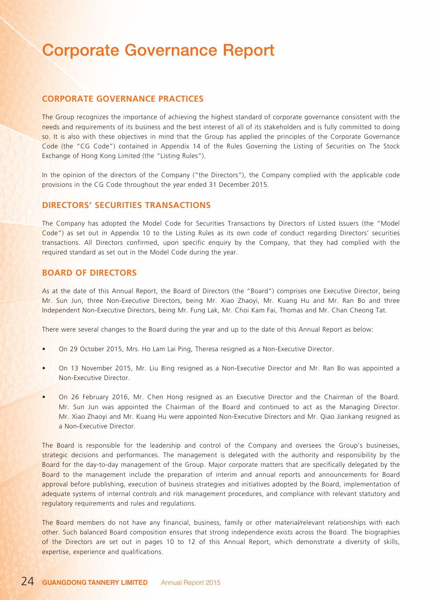# Corporate Governance Report

# **CORPORATE GOVERNANCE PRACTICES**

The Group recognizes the importance of achieving the highest standard of corporate governance consistent with the needs and requirements of its business and the best interest of all of its stakeholders and is fully committed to doing so. It is also with these objectives in mind that the Group has applied the principles of the Corporate Governance Code (the "CG Code") contained in Appendix 14 of the Rules Governing the Listing of Securities on The Stock Exchange of Hong Kong Limited (the "Listing Rules").

In the opinion of the directors of the Company ("the Directors"), the Company complied with the applicable code provisions in the CG Code throughout the year ended 31 December 2015.

# **DIRECTORS' SECURITIES TRANSACTIONS**

The Company has adopted the Model Code for Securities Transactions by Directors of Listed Issuers (the "Model Code") as set out in Appendix 10 to the Listing Rules as its own code of conduct regarding Directors' securities transactions. All Directors confirmed, upon specific enquiry by the Company, that they had complied with the required standard as set out in the Model Code during the year.

### **BOARD OF DIRECTORS**

As at the date of this Annual Report, the Board of Directors (the "Board") comprises one Executive Director, being Mr. Sun Jun, three Non-Executive Directors, being Mr. Xiao Zhaoyi, Mr. Kuang Hu and Mr. Ran Bo and three Independent Non-Executive Directors, being Mr. Fung Lak, Mr. Choi Kam Fai, Thomas and Mr. Chan Cheong Tat.

There were several changes to the Board during the year and up to the date of this Annual Report as below:

- • On 29 October 2015, Mrs. Ho Lam Lai Ping, Theresa resigned as a Non-Executive Director.
- On 13 November 2015, Mr. Liu Bing resigned as a Non-Executive Director and Mr. Ran Bo was appointed a Non-Executive Director.
- On 26 February 2016, Mr. Chen Hong resigned as an Executive Director and the Chairman of the Board. Mr. Sun Jun was appointed the Chairman of the Board and continued to act as the Managing Director. Mr. Xiao Zhaoyi and Mr. Kuang Hu were appointed Non-Executive Directors and Mr. Qiao Jiankang resigned as a Non-Executive Director.

The Board is responsible for the leadership and control of the Company and oversees the Group's businesses, strategic decisions and performances. The management is delegated with the authority and responsibility by the Board for the day-to-day management of the Group. Major corporate matters that are specifically delegated by the Board to the management include the preparation of interim and annual reports and announcements for Board approval before publishing, execution of business strategies and initiatives adopted by the Board, implementation of adequate systems of internal controls and risk management procedures, and compliance with relevant statutory and regulatory requirements and rules and regulations.

The Board members do not have any financial, business, family or other material∕relevant relationships with each other. Such balanced Board composition ensures that strong independence exists across the Board. The biographies of the Directors are set out in pages 10 to 12 of this Annual Report, which demonstrate a diversity of skills, expertise, experience and qualifications.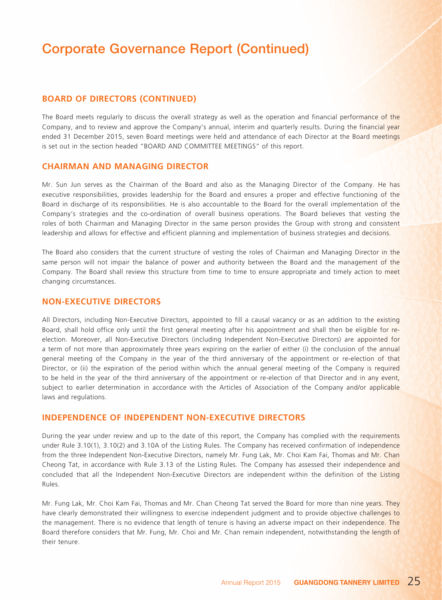# **BOARD OF DIRECTORS (Continued)**

The Board meets regularly to discuss the overall strategy as well as the operation and financial performance of the Company, and to review and approve the Company's annual, interim and quarterly results. During the financial year ended 31 December 2015, seven Board meetings were held and attendance of each Director at the Board meetings is set out in the section headed "BOARD AND COMMITTEE MEETINGS" of this report.

### **CHAIRMAN AND MANAGING DIRECTOR**

Mr. Sun Jun serves as the Chairman of the Board and also as the Managing Director of the Company. He has executive responsibilities, provides leadership for the Board and ensures a proper and effective functioning of the Board in discharge of its responsibilities. He is also accountable to the Board for the overall implementation of the Company's strategies and the co-ordination of overall business operations. The Board believes that vesting the roles of both Chairman and Managing Director in the same person provides the Group with strong and consistent leadership and allows for effective and efficient planning and implementation of business strategies and decisions.

The Board also considers that the current structure of vesting the roles of Chairman and Managing Director in the same person will not impair the balance of power and authority between the Board and the management of the Company. The Board shall review this structure from time to time to ensure appropriate and timely action to meet changing circumstances.

### **NON-EXECUTIVE DIRECTORS**

All Directors, including Non-Executive Directors, appointed to fill a causal vacancy or as an addition to the existing Board, shall hold office only until the first general meeting after his appointment and shall then be eligible for reelection. Moreover, all Non-Executive Directors (including Independent Non-Executive Directors) are appointed for a term of not more than approximately three years expiring on the earlier of either (i) the conclusion of the annual general meeting of the Company in the year of the third anniversary of the appointment or re-election of that Director, or (ii) the expiration of the period within which the annual general meeting of the Company is required to be held in the year of the third anniversary of the appointment or re-election of that Director and in any event, subject to earlier determination in accordance with the Articles of Association of the Company and/or applicable laws and regulations.

# **INDEPENDENCE OF INDEPENDENT NON-EXECUTIVE DIRECTORS**

During the year under review and up to the date of this report, the Company has complied with the requirements under Rule 3.10(1), 3.10(2) and 3.10A of the Listing Rules. The Company has received confirmation of independence from the three Independent Non-Executive Directors, namely Mr. Fung Lak, Mr. Choi Kam Fai, Thomas and Mr. Chan Cheong Tat, in accordance with Rule 3.13 of the Listing Rules. The Company has assessed their independence and concluded that all the Independent Non-Executive Directors are independent within the definition of the Listing Rules.

Mr. Fung Lak, Mr. Choi Kam Fai, Thomas and Mr. Chan Cheong Tat served the Board for more than nine years. They have clearly demonstrated their willingness to exercise independent judgment and to provide objective challenges to the management. There is no evidence that length of tenure is having an adverse impact on their independence. The Board therefore considers that Mr. Fung, Mr. Choi and Mr. Chan remain independent, notwithstanding the length of their tenure.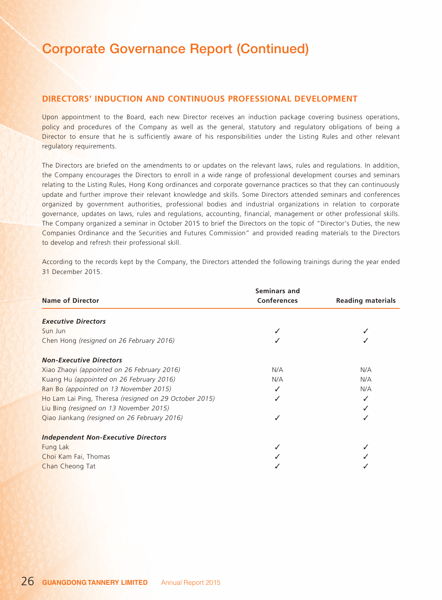# **DIRECTORS' INDUCTION AND CONTINUOUS PROFESSIONAL DEVELOPMENT**

Upon appointment to the Board, each new Director receives an induction package covering business operations, policy and procedures of the Company as well as the general, statutory and regulatory obligations of being a Director to ensure that he is sufficiently aware of his responsibilities under the Listing Rules and other relevant regulatory requirements.

The Directors are briefed on the amendments to or updates on the relevant laws, rules and regulations. In addition, the Company encourages the Directors to enroll in a wide range of professional development courses and seminars relating to the Listing Rules, Hong Kong ordinances and corporate governance practices so that they can continuously update and further improve their relevant knowledge and skills. Some Directors attended seminars and conferences organized by government authorities, professional bodies and industrial organizations in relation to corporate governance, updates on laws, rules and regulations, accounting, financial, management or other professional skills. The Company organized a seminar in October 2015 to brief the Directors on the topic of "Director's Duties, the new Companies Ordinance and the Securities and Futures Commission" and provided reading materials to the Directors to develop and refresh their professional skill.

According to the records kept by the Company, the Directors attended the following trainings during the year ended 31 December 2015.

|                                                        | Seminars and       |                          |  |
|--------------------------------------------------------|--------------------|--------------------------|--|
| <b>Name of Director</b>                                | <b>Conferences</b> | <b>Reading materials</b> |  |
| <b>Executive Directors</b>                             |                    |                          |  |
| Sun Jun                                                |                    |                          |  |
| Chen Hong (resigned on 26 February 2016)               |                    |                          |  |
| <b>Non-Executive Directors</b>                         |                    |                          |  |
| Xiao Zhaoyi (appointed on 26 February 2016)            | N/A                | N/A                      |  |
| Kuang Hu (appointed on 26 February 2016)               | N/A                | N/A                      |  |
| Ran Bo (appointed on 13 November 2015)                 |                    | N/A                      |  |
| Ho Lam Lai Ping, Theresa (resigned on 29 October 2015) |                    |                          |  |
| Liu Bing (resigned on 13 November 2015)                |                    |                          |  |
| Qiao Jiankang (resigned on 26 February 2016)           |                    |                          |  |
| <b>Independent Non-Executive Directors</b>             |                    |                          |  |
| <b>Fung Lak</b>                                        |                    |                          |  |
| Choi Kam Fai, Thomas                                   |                    |                          |  |
| Chan Cheong Tat                                        |                    |                          |  |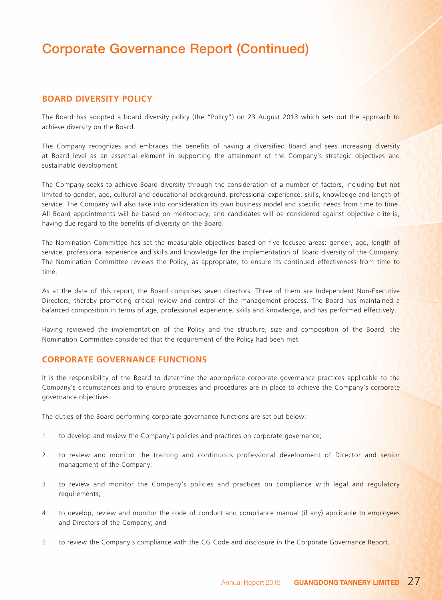# **BOARD DIVERSITY POLICY**

The Board has adopted a board diversity policy (the "Policy") on 23 August 2013 which sets out the approach to achieve diversity on the Board.

The Company recognizes and embraces the benefits of having a diversified Board and sees increasing diversity at Board level as an essential element in supporting the attainment of the Company's strategic objectives and sustainable development.

The Company seeks to achieve Board diversity through the consideration of a number of factors, including but not limited to gender, age, cultural and educational background, professional experience, skills, knowledge and length of service. The Company will also take into consideration its own business model and specific needs from time to time. All Board appointments will be based on meritocracy, and candidates will be considered against objective criteria, having due regard to the benefits of diversity on the Board.

The Nomination Committee has set the measurable objectives based on five focused areas: gender, age, length of service, professional experience and skills and knowledge for the implementation of Board diversity of the Company. The Nomination Committee reviews the Policy, as appropriate, to ensure its continued effectiveness from time to time.

As at the date of this report, the Board comprises seven directors. Three of them are Independent Non-Executive Directors, thereby promoting critical review and control of the management process. The Board has maintained a balanced composition in terms of age, professional experience, skills and knowledge, and has performed effectively.

Having reviewed the implementation of the Policy and the structure, size and composition of the Board, the Nomination Committee considered that the requirement of the Policy had been met.

# **CORPORATE GOVERNANCE FUNCTIONS**

It is the responsibility of the Board to determine the appropriate corporate governance practices applicable to the Company's circumstances and to ensure processes and procedures are in place to achieve the Company's corporate governance objectives.

The duties of the Board performing corporate governance functions are set out below:

- 1. to develop and review the Company's policies and practices on corporate governance;
- 2. to review and monitor the training and continuous professional development of Director and senior management of the Company;
- 3. to review and monitor the Company's policies and practices on compliance with legal and regulatory requirements;
- 4. to develop, review and monitor the code of conduct and compliance manual (if any) applicable to employees and Directors of the Company; and
- 5. to review the Company's compliance with the CG Code and disclosure in the Corporate Governance Report.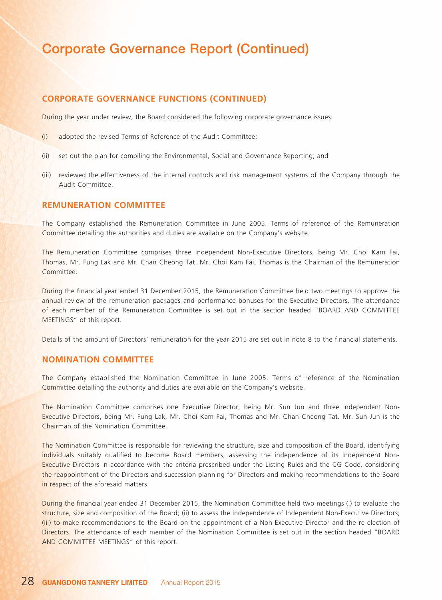# **CORPORATE GOVERNANCE FUNCTIONS (Continued)**

During the year under review, the Board considered the following corporate governance issues:

- (i) adopted the revised Terms of Reference of the Audit Committee;
- (ii) set out the plan for compiling the Environmental, Social and Governance Reporting; and
- (iii) reviewed the effectiveness of the internal controls and risk management systems of the Company through the Audit Committee.

### **REMUNERATION COMMITTEE**

The Company established the Remuneration Committee in June 2005. Terms of reference of the Remuneration Committee detailing the authorities and duties are available on the Company's website.

The Remuneration Committee comprises three Independent Non-Executive Directors, being Mr. Choi Kam Fai, Thomas, Mr. Fung Lak and Mr. Chan Cheong Tat. Mr. Choi Kam Fai, Thomas is the Chairman of the Remuneration Committee.

During the financial year ended 31 December 2015, the Remuneration Committee held two meetings to approve the annual review of the remuneration packages and performance bonuses for the Executive Directors. The attendance of each member of the Remuneration Committee is set out in the section headed "BOARD AND COMMITTEE MEETINGS" of this report.

Details of the amount of Directors' remuneration for the year 2015 are set out in note 8 to the financial statements.

# **NOMINATION COMMITTEE**

The Company established the Nomination Committee in June 2005. Terms of reference of the Nomination Committee detailing the authority and duties are available on the Company's website.

The Nomination Committee comprises one Executive Director, being Mr. Sun Jun and three Independent Non-Executive Directors, being Mr. Fung Lak, Mr. Choi Kam Fai, Thomas and Mr. Chan Cheong Tat. Mr. Sun Jun is the Chairman of the Nomination Committee.

The Nomination Committee is responsible for reviewing the structure, size and composition of the Board, identifying individuals suitably qualified to become Board members, assessing the independence of its Independent Non-Executive Directors in accordance with the criteria prescribed under the Listing Rules and the CG Code, considering the reappointment of the Directors and succession planning for Directors and making recommendations to the Board in respect of the aforesaid matters.

During the financial year ended 31 December 2015, the Nomination Committee held two meetings (i) to evaluate the structure, size and composition of the Board; (ii) to assess the independence of Independent Non-Executive Directors; (iii) to make recommendations to the Board on the appointment of a Non-Executive Director and the re-election of Directors. The attendance of each member of the Nomination Committee is set out in the section headed "BOARD AND COMMITTEE MEETINGS" of this report.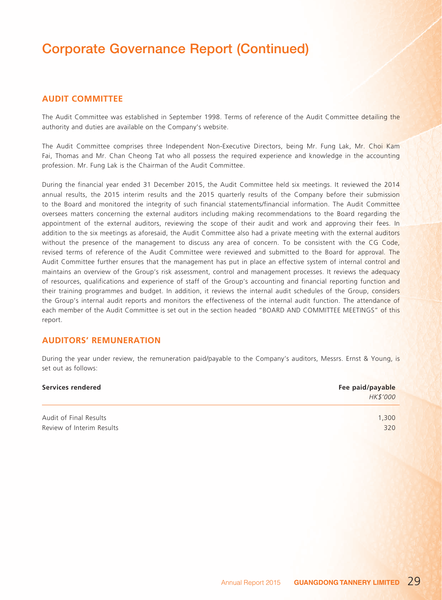# **AUDIT COMMITTEE**

The Audit Committee was established in September 1998. Terms of reference of the Audit Committee detailing the authority and duties are available on the Company's website.

The Audit Committee comprises three Independent Non-Executive Directors, being Mr. Fung Lak, Mr. Choi Kam Fai, Thomas and Mr. Chan Cheong Tat who all possess the required experience and knowledge in the accounting profession. Mr. Fung Lak is the Chairman of the Audit Committee.

During the financial year ended 31 December 2015, the Audit Committee held six meetings. It reviewed the 2014 annual results, the 2015 interim results and the 2015 quarterly results of the Company before their submission to the Board and monitored the integrity of such financial statements/financial information. The Audit Committee oversees matters concerning the external auditors including making recommendations to the Board regarding the appointment of the external auditors, reviewing the scope of their audit and work and approving their fees. In addition to the six meetings as aforesaid, the Audit Committee also had a private meeting with the external auditors without the presence of the management to discuss any area of concern. To be consistent with the CG Code, revised terms of reference of the Audit Committee were reviewed and submitted to the Board for approval. The Audit Committee further ensures that the management has put in place an effective system of internal control and maintains an overview of the Group's risk assessment, control and management processes. It reviews the adequacy of resources, qualifications and experience of staff of the Group's accounting and financial reporting function and their training programmes and budget. In addition, it reviews the internal audit schedules of the Group, considers the Group's internal audit reports and monitors the effectiveness of the internal audit function. The attendance of each member of the Audit Committee is set out in the section headed "BOARD AND COMMITTEE MEETINGS" of this report.

## **AUDITORS' REMUNERATION**

During the year under review, the remuneration paid/payable to the Company's auditors, Messrs. Ernst & Young, is set out as follows:

| Services rendered         | Fee paid/payable<br>HK\$'000 |
|---------------------------|------------------------------|
| Audit of Final Results    | 1,300                        |
| Review of Interim Results | 320                          |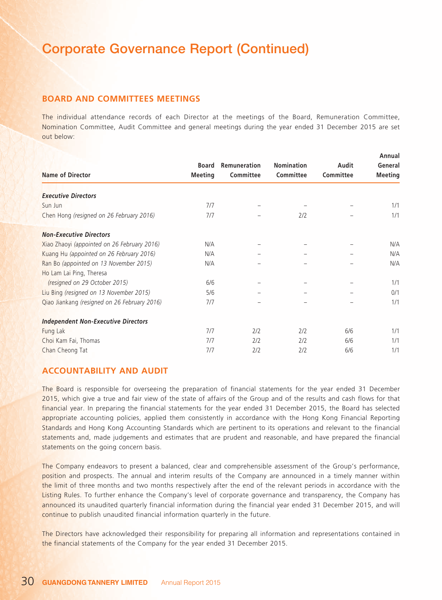# **BOARD AND COMMITTEES MEETINGS**

The individual attendance records of each Director at the meetings of the Board, Remuneration Committee, Nomination Committee, Audit Committee and general meetings during the year ended 31 December 2015 are set out below:

|                                              |                | Remuneration |                   | Audit     | Annual                    |  |
|----------------------------------------------|----------------|--------------|-------------------|-----------|---------------------------|--|
|                                              | <b>Board</b>   |              | <b>Nomination</b> |           | General<br><b>Meeting</b> |  |
| <b>Name of Director</b>                      | <b>Meeting</b> | Committee    | Committee         | Committee |                           |  |
| <b>Executive Directors</b>                   |                |              |                   |           |                           |  |
| Sun Jun                                      | 7/7            |              |                   |           | 1/1                       |  |
| Chen Hong (resigned on 26 February 2016)     | 7/7            |              | 2/2               |           | 1/1                       |  |
| <b>Non-Executive Directors</b>               |                |              |                   |           |                           |  |
| Xiao Zhaoyi (appointed on 26 February 2016)  | N/A            |              |                   |           | N/A                       |  |
| Kuang Hu (appointed on 26 February 2016)     | N/A            |              |                   |           | N/A                       |  |
| Ran Bo (appointed on 13 November 2015)       | N/A            |              |                   |           | N/A                       |  |
| Ho Lam Lai Ping, Theresa                     |                |              |                   |           |                           |  |
| (resigned on 29 October 2015)                | 6/6            |              |                   |           | 1/1                       |  |
| Liu Bing (resigned on 13 November 2015)      | 5/6            |              |                   |           | 0/1                       |  |
| Qiao Jiankang (resigned on 26 February 2016) | 7/7            |              |                   |           | 1/1                       |  |
| <b>Independent Non-Executive Directors</b>   |                |              |                   |           |                           |  |
| Fung Lak                                     | 7/7            | 2/2          | 2/2               | 6/6       | 1/1                       |  |
| Choi Kam Fai, Thomas                         | 7/7            | 2/2          | 2/2               | 6/6       | 1/1                       |  |
| Chan Cheong Tat                              | 7/7            | 2/2          | 2/2               | 6/6       | 1/1                       |  |

# **ACCOUNTABILITY AND AUDIT**

The Board is responsible for overseeing the preparation of financial statements for the year ended 31 December 2015, which give a true and fair view of the state of affairs of the Group and of the results and cash flows for that financial year. In preparing the financial statements for the year ended 31 December 2015, the Board has selected appropriate accounting policies, applied them consistently in accordance with the Hong Kong Financial Reporting Standards and Hong Kong Accounting Standards which are pertinent to its operations and relevant to the financial statements and, made judgements and estimates that are prudent and reasonable, and have prepared the financial statements on the going concern basis.

The Company endeavors to present a balanced, clear and comprehensible assessment of the Group's performance, position and prospects. The annual and interim results of the Company are announced in a timely manner within the limit of three months and two months respectively after the end of the relevant periods in accordance with the Listing Rules. To further enhance the Company's level of corporate governance and transparency, the Company has announced its unaudited quarterly financial information during the financial year ended 31 December 2015, and will continue to publish unaudited financial information quarterly in the future.

The Directors have acknowledged their responsibility for preparing all information and representations contained in the financial statements of the Company for the year ended 31 December 2015.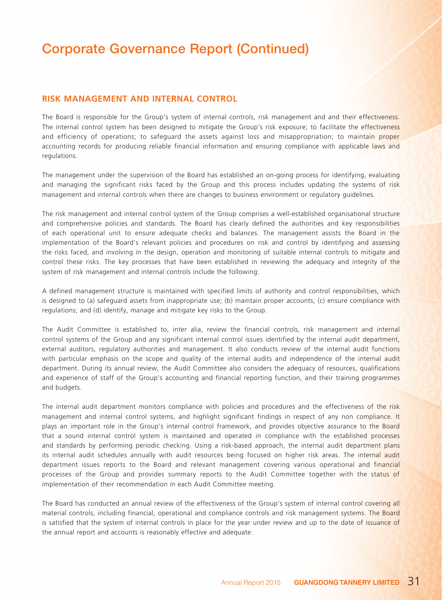# **RISK MANAGEMENT AND INTERNAL CONTROL**

The Board is responsible for the Group's system of internal controls, risk management and and their effectiveness. The internal control system has been designed to mitigate the Group's risk exposure; to facilitate the effectiveness and efficiency of operations; to safeguard the assets against loss and misappropriation; to maintain proper accounting records for producing reliable financial information and ensuring compliance with applicable laws and regulations.

The management under the supervision of the Board has established an on-going process for identifying, evaluating and managing the significant risks faced by the Group and this process includes updating the systems of risk management and internal controls when there are changes to business environment or regulatory guidelines.

The risk management and internal control system of the Group comprises a well-established organisational structure and comprehensive policies and standards. The Board has clearly defined the authorities and key responsibilities of each operational unit to ensure adequate checks and balances. The management assists the Board in the implementation of the Board's relevant policies and procedures on risk and control by identifying and assessing the risks faced, and involving in the design, operation and monitoring of suitable internal controls to mitigate and control these risks. The key processes that have been established in reviewing the adequacy and integrity of the system of risk management and internal controls include the following:

A defined management structure is maintained with specified limits of authority and control responsibilities, which is designed to (a) safeguard assets from inappropriate use; (b) maintain proper accounts; (c) ensure compliance with regulations; and (d) identify, manage and mitigate key risks to the Group.

The Audit Committee is established to, inter alia, review the financial controls, risk management and internal control systems of the Group and any significant internal control issues identified by the internal audit department, external auditors, regulatory authorities and management. It also conducts review of the internal audit functions with particular emphasis on the scope and quality of the internal audits and independence of the internal audit department. During its annual review, the Audit Committee also considers the adequacy of resources, qualifications and experience of staff of the Group's accounting and financial reporting function, and their training programmes and budgets.

The internal audit department monitors compliance with policies and procedures and the effectiveness of the risk management and internal control systems, and highlight significant findings in respect of any non compliance. It plays an important role in the Group's internal control framework, and provides objective assurance to the Board that a sound internal control system is maintained and operated in compliance with the established processes and standards by performing periodic checking. Using a risk-based approach, the internal audit department plans its internal audit schedules annually with audit resources being focused on higher risk areas. The internal audit department issues reports to the Board and relevant management covering various operational and financial processes of the Group and provides summary reports to the Audit Committee together with the status of implementation of their recommendation in each Audit Committee meeting.

The Board has conducted an annual review of the effectiveness of the Group's system of internal control covering all material controls, including financial, operational and compliance controls and risk management systems. The Board is satisfied that the system of internal controls in place for the year under review and up to the date of issuance of the annual report and accounts is reasonably effective and adequate.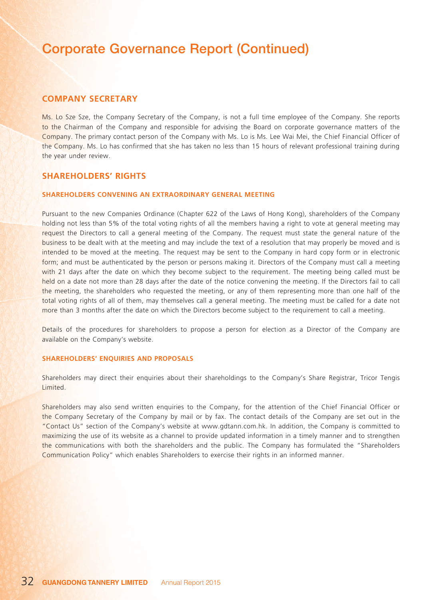# **COMPANY SECRETARY**

Ms. Lo Sze Sze, the Company Secretary of the Company, is not a full time employee of the Company. She reports to the Chairman of the Company and responsible for advising the Board on corporate governance matters of the Company. The primary contact person of the Company with Ms. Lo is Ms. Lee Wai Mei, the Chief Financial Officer of the Company. Ms. Lo has confirmed that she has taken no less than 15 hours of relevant professional training during the year under review.

## **SHAREHOLDERS' RIGHTS**

#### **SHAREHOLDERS CONVENING AN EXTRAORDINARY GENERAL MEETING**

Pursuant to the new Companies Ordinance (Chapter 622 of the Laws of Hong Kong), shareholders of the Company holding not less than 5% of the total voting rights of all the members having a right to vote at general meeting may request the Directors to call a general meeting of the Company. The request must state the general nature of the business to be dealt with at the meeting and may include the text of a resolution that may properly be moved and is intended to be moved at the meeting. The request may be sent to the Company in hard copy form or in electronic form; and must be authenticated by the person or persons making it. Directors of the Company must call a meeting with 21 days after the date on which they become subject to the requirement. The meeting being called must be held on a date not more than 28 days after the date of the notice convening the meeting. If the Directors fail to call the meeting, the shareholders who requested the meeting, or any of them representing more than one half of the total voting rights of all of them, may themselves call a general meeting. The meeting must be called for a date not more than 3 months after the date on which the Directors become subject to the requirement to call a meeting.

Details of the procedures for shareholders to propose a person for election as a Director of the Company are available on the Company's website.

#### **SHAREHOLDERS' ENQUIRIES AND PROPOSALS**

Shareholders may direct their enquiries about their shareholdings to the Company's Share Registrar, Tricor Tengis Limited.

Shareholders may also send written enquiries to the Company, for the attention of the Chief Financial Officer or the Company Secretary of the Company by mail or by fax. The contact details of the Company are set out in the "Contact Us" section of the Company's website at www.gdtann.com.hk. In addition, the Company is committed to maximizing the use of its website as a channel to provide updated information in a timely manner and to strengthen the communications with both the shareholders and the public. The Company has formulated the "Shareholders Communication Policy" which enables Shareholders to exercise their rights in an informed manner.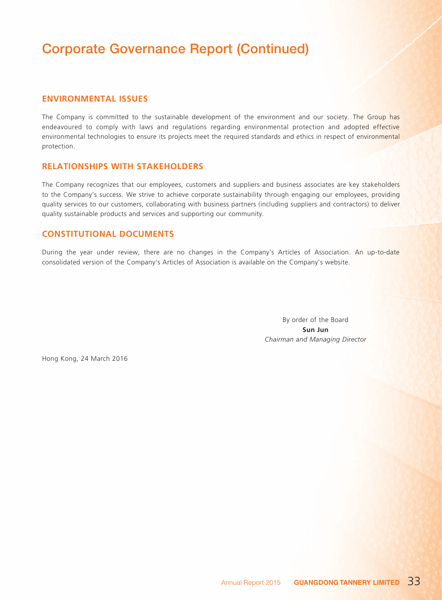## **ENVIRONMENTAL ISSUES**

The Company is committed to the sustainable development of the environment and our society. The Group has endeavoured to comply with laws and regulations regarding environmental protection and adopted effective environmental technologies to ensure its projects meet the required standards and ethics in respect of environmental protection.

### **RELATIONSHIPS WITH STAKEHOLDERS**

The Company recognizes that our employees, customers and suppliers and business associates are key stakeholders to the Company's success. We strive to achieve corporate sustainability through engaging our employees, providing quality services to our customers, collaborating with business partners (including suppliers and contractors) to deliver quality sustainable products and services and supporting our community.

### **CONSTITUTIONAL DOCUMENTS**

During the year under review, there are no changes in the Company's Articles of Association. An up-to-date consolidated version of the Company's Articles of Association is available on the Company's website.

> By order of the Board **Sun Jun** *Chairman and Managing Director*

Hong Kong, 24 March 2016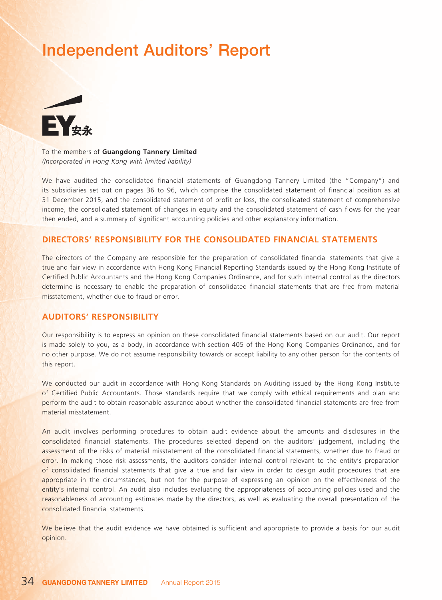# Independent Auditors' Report



To the members of **Guangdong Tannery Limited** *(Incorporated in Hong Kong with limited liability)*

We have audited the consolidated financial statements of Guangdong Tannery Limited (the "Company") and its subsidiaries set out on pages 36 to 96, which comprise the consolidated statement of financial position as at 31 December 2015, and the consolidated statement of profit or loss, the consolidated statement of comprehensive income, the consolidated statement of changes in equity and the consolidated statement of cash flows for the year then ended, and a summary of significant accounting policies and other explanatory information.

### **Directors' responsibility for the consolidated financial statements**

The directors of the Company are responsible for the preparation of consolidated financial statements that give a true and fair view in accordance with Hong Kong Financial Reporting Standards issued by the Hong Kong Institute of Certified Public Accountants and the Hong Kong Companies Ordinance, and for such internal control as the directors determine is necessary to enable the preparation of consolidated financial statements that are free from material misstatement, whether due to fraud or error.

### **Auditors' responsibility**

Our responsibility is to express an opinion on these consolidated financial statements based on our audit. Our report is made solely to you, as a body, in accordance with section 405 of the Hong Kong Companies Ordinance, and for no other purpose. We do not assume responsibility towards or accept liability to any other person for the contents of this report.

We conducted our audit in accordance with Hong Kong Standards on Auditing issued by the Hong Kong Institute of Certified Public Accountants. Those standards require that we comply with ethical requirements and plan and perform the audit to obtain reasonable assurance about whether the consolidated financial statements are free from material misstatement.

An audit involves performing procedures to obtain audit evidence about the amounts and disclosures in the consolidated financial statements. The procedures selected depend on the auditors' judgement, including the assessment of the risks of material misstatement of the consolidated financial statements, whether due to fraud or error. In making those risk assessments, the auditors consider internal control relevant to the entity's preparation of consolidated financial statements that give a true and fair view in order to design audit procedures that are appropriate in the circumstances, but not for the purpose of expressing an opinion on the effectiveness of the entity's internal control. An audit also includes evaluating the appropriateness of accounting policies used and the reasonableness of accounting estimates made by the directors, as well as evaluating the overall presentation of the consolidated financial statements.

We believe that the audit evidence we have obtained is sufficient and appropriate to provide a basis for our audit opinion.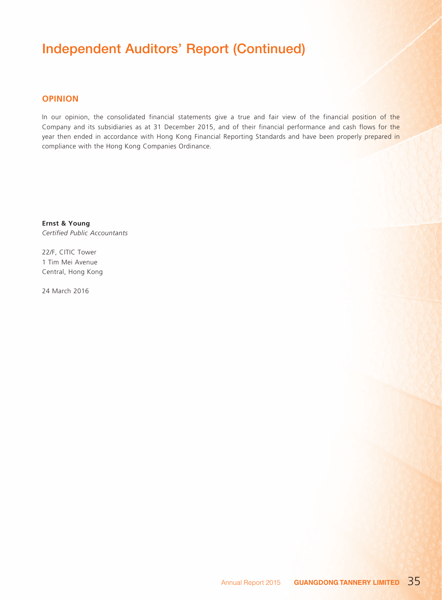# Independent Auditors' Report (Continued)

# **Opinion**

In our opinion, the consolidated financial statements give a true and fair view of the financial position of the Company and its subsidiaries as at 31 December 2015, and of their financial performance and cash flows for the year then ended in accordance with Hong Kong Financial Reporting Standards and have been properly prepared in compliance with the Hong Kong Companies Ordinance.

**Ernst & Young** *Certified Public Accountants*

22/F, CITIC Tower 1 Tim Mei Avenue Central, Hong Kong

24 March 2016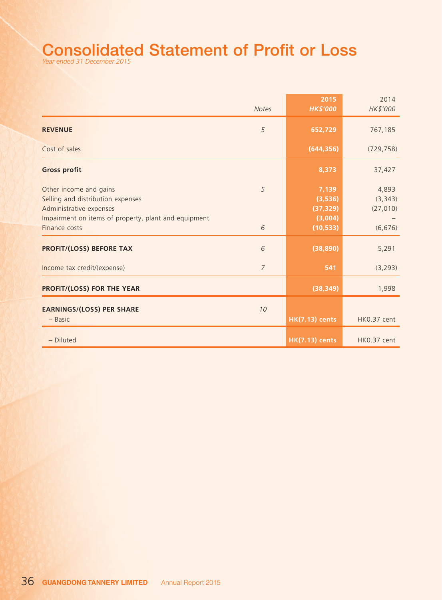# Consolidated Statement of Profit or Loss

*Year ended 31 December 2015*

|                                                                                                                                                | <b>Notes</b>   | 2015<br><b>HK\$'000</b>                  | 2014<br>HK\$'000               |
|------------------------------------------------------------------------------------------------------------------------------------------------|----------------|------------------------------------------|--------------------------------|
| <b>REVENUE</b>                                                                                                                                 | 5              | 652,729                                  | 767,185                        |
| Cost of sales                                                                                                                                  |                | (644, 356)                               | (729, 758)                     |
| <b>Gross profit</b>                                                                                                                            |                | 8,373                                    | 37,427                         |
| Other income and gains<br>Selling and distribution expenses<br>Administrative expenses<br>Impairment on items of property, plant and equipment | 5              | 7,139<br>(3,536)<br>(37, 329)<br>(3,004) | 4,893<br>(3, 343)<br>(27, 010) |
| <b>Finance costs</b>                                                                                                                           | 6              | (10, 533)                                | (6, 676)                       |
| <b>PROFIT/(LOSS) BEFORE TAX</b>                                                                                                                | 6              | (38, 890)                                | 5,291                          |
| Income tax credit/(expense)                                                                                                                    | $\overline{7}$ | 541                                      | (3, 293)                       |
| <b>PROFIT/(LOSS) FOR THE YEAR</b>                                                                                                              |                | (38, 349)                                | 1,998                          |
| <b>EARNINGS/(LOSS) PER SHARE</b><br>- Basic                                                                                                    | 10             | <b>HK(7.13) cents</b>                    | <b>HK0.37 cent</b>             |
| - Diluted                                                                                                                                      |                | <b>HK(7.13) cents</b>                    | HK0.37 cent                    |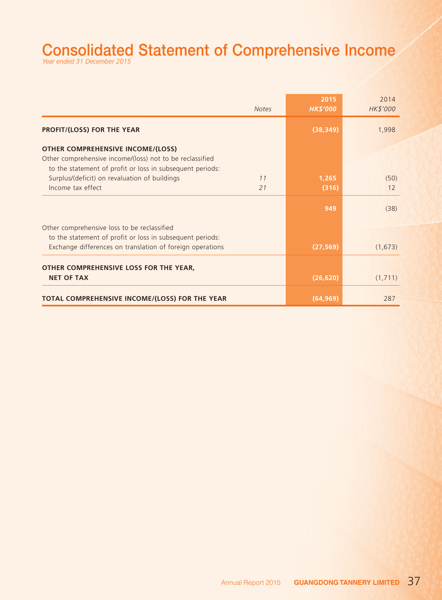# Consolidated Statement of Comprehensive Income

*Year ended 31 December 2015*

|                                                                                                                                                                       | <b>Notes</b> | 2015<br><b>HK\$'000</b> | 2014<br>HK\$'000 |
|-----------------------------------------------------------------------------------------------------------------------------------------------------------------------|--------------|-------------------------|------------------|
| PROFIT/(LOSS) FOR THE YEAR                                                                                                                                            |              | (38, 349)               | 1,998            |
| <b>OTHER COMPREHENSIVE INCOME/(LOSS)</b><br>Other comprehensive income/(loss) not to be reclassified<br>to the statement of profit or loss in subsequent periods:     |              |                         |                  |
| Surplus/(deficit) on revaluation of buildings<br>Income tax effect                                                                                                    | 11<br>21     | 1,265<br>(316)          | (50)<br>12       |
|                                                                                                                                                                       |              | 949                     | (38)             |
| Other comprehensive loss to be reclassified<br>to the statement of profit or loss in subsequent periods:<br>Exchange differences on translation of foreign operations |              | (27, 569)               | (1,673)          |
| OTHER COMPREHENSIVE LOSS FOR THE YEAR,<br><b>NET OF TAX</b>                                                                                                           |              | (26, 620)               | (1, 711)         |
| TOTAL COMPREHENSIVE INCOME/(LOSS) FOR THE YEAR                                                                                                                        |              | (64, 969)               | 287              |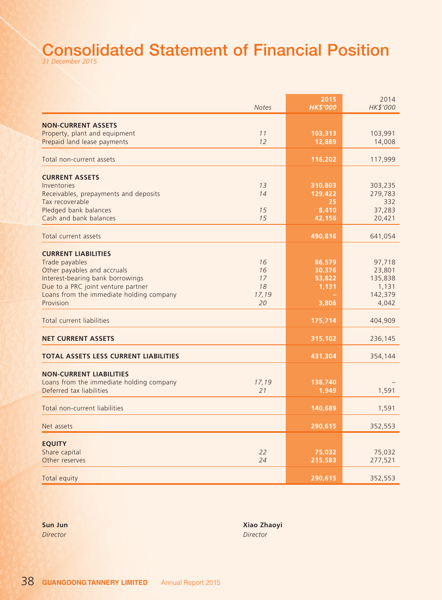# Consolidated Statement of Financial Position

*31 December 2015*

|                                                                                                                                                                                                                | <b>Notes</b>                        | 2015<br><b>HK\$'000</b>                      | 2014<br>HK\$'000                                         |
|----------------------------------------------------------------------------------------------------------------------------------------------------------------------------------------------------------------|-------------------------------------|----------------------------------------------|----------------------------------------------------------|
| <b>NON-CURRENT ASSETS</b><br>Property, plant and equipment<br>Prepaid land lease payments                                                                                                                      | 11<br>12                            | 103,313<br>12,889                            | 103,991<br>14,008                                        |
| Total non-current assets                                                                                                                                                                                       |                                     | 116,202                                      | 117,999                                                  |
| <b>CURRENT ASSETS</b><br>Inventories<br>Receivables, prepayments and deposits<br>Tax recoverable<br>Pledged bank balances<br>Cash and bank balances                                                            | 13<br>14<br>15<br>15                | 310,803<br>129,422<br>25<br>8,410<br>42,156  | 303,235<br>279,783<br>332<br>37,283<br>20,421            |
| Total current assets                                                                                                                                                                                           |                                     | 490,816                                      | 641,054                                                  |
| <b>CURRENT LIABILITIES</b><br>Trade payables<br>Other payables and accruals<br>Interest-bearing bank borrowings<br>Due to a PRC joint venture partner<br>Loans from the immediate holding company<br>Provision | 16<br>16<br>17<br>18<br>17,19<br>20 | 86,579<br>30,376<br>53,822<br>1,131<br>3,806 | 97,718<br>23,801<br>135,838<br>1,131<br>142,379<br>4,042 |
| <b>Total current liabilities</b>                                                                                                                                                                               |                                     | 175,714                                      | 404,909                                                  |
| <b>NET CURRENT ASSETS</b>                                                                                                                                                                                      |                                     | 315,102                                      | 236,145                                                  |
| TOTAL ASSETS LESS CURRENT LIABILITIES                                                                                                                                                                          |                                     | 431,304                                      | 354,144                                                  |
| <b>NON-CURRENT LIABILITIES</b><br>Loans from the immediate holding company<br>Deferred tax liabilities                                                                                                         | 17,19<br>21                         | 138,740<br>1,949                             | 1,591                                                    |
| Total non-current liabilities                                                                                                                                                                                  |                                     | 140,689                                      | 1,591                                                    |
| Net assets                                                                                                                                                                                                     |                                     | 290,615                                      | 352,553                                                  |
| <b>EQUITY</b><br>Share capital<br>Other reserves                                                                                                                                                               | 22<br>24                            | 75,032<br>215,583                            | 75,032<br>277,521                                        |
| Total equity                                                                                                                                                                                                   |                                     | 290,615                                      | 352,553                                                  |

**Sun Jun Xiao Zhaoyi** *Director Director*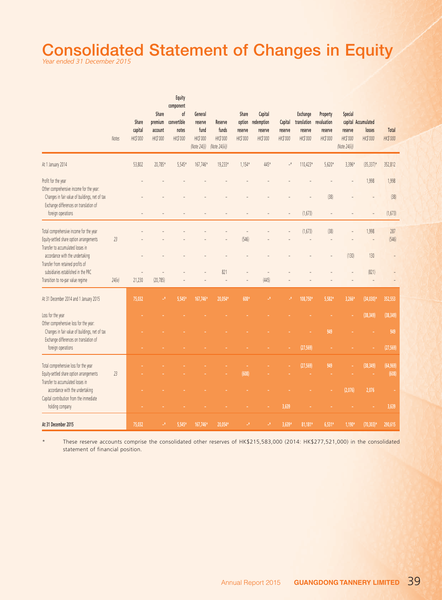# Consolidated Statement of Changes in Equity

*Year ended 31 December 2015*

|                                                                                                                                                             | Notes  | Share<br>capital<br>HK\$'000 | Share<br>premium<br>account<br>HK\$'000 | Equity<br>component<br>of<br>convertible<br>notes<br>HK\$'000 | General<br>reserve<br>fund<br>HK\$'000<br>(Note $24(i)$ ) | Reserve<br>funds<br>HK\$'000<br>(Note 24(iii)) | Share<br>option<br>reserve<br>HK\$'000 | Capital<br>redemption<br>reserve<br>HK\$'000 | Capital<br>reserve<br>HK\$'000 | Exchange<br>translation<br>reserve<br>HK\$'000 | Property<br>revaluation<br>reserve<br>HK\$'000 | Special<br>reserve<br>HK\$'000<br>(Note 24(ii)) | capital Accumulated<br>losses<br>HK\$'000 | Total<br>HK\$'000  |
|-------------------------------------------------------------------------------------------------------------------------------------------------------------|--------|------------------------------|-----------------------------------------|---------------------------------------------------------------|-----------------------------------------------------------|------------------------------------------------|----------------------------------------|----------------------------------------------|--------------------------------|------------------------------------------------|------------------------------------------------|-------------------------------------------------|-------------------------------------------|--------------------|
| At 1 January 2014                                                                                                                                           |        | 53,802                       | 20,785*                                 | $5,545*$                                                      | 167,746*                                                  | 19,233*                                        | $1,154*$                               | 445*                                         | $\overrightarrow{z}$           | 110,423*                                       | $5,620*$                                       | 3,396*                                          | $(35, 337)^*$                             | 352,812            |
| Profit for the year<br>Other comprehensive income for the year:<br>Changes in fair value of buildings, net of tax<br>Exchange differences on translation of |        |                              |                                         |                                                               |                                                           |                                                |                                        |                                              |                                |                                                | (38)                                           |                                                 | 1,998                                     | 1,998<br>(38)      |
| foreign operations                                                                                                                                          |        |                              |                                         |                                                               |                                                           |                                                |                                        |                                              |                                | (1,673)                                        | $\overline{a}$                                 |                                                 |                                           | (1,673)            |
| Total comprehensive income for the year<br>Equity-settled share option arrangements<br>Transfer to accumulated losses in                                    | 23     |                              |                                         |                                                               |                                                           |                                                | (546)                                  |                                              |                                | (1,673)                                        | (38)                                           |                                                 | 1,998                                     | 287<br>(546)       |
| accordance with the undertaking<br>Transfer from retained profits of<br>subsidiaries established in the PRC                                                 |        |                              |                                         |                                                               |                                                           | 821                                            |                                        |                                              |                                |                                                |                                                | (130)                                           | 130<br>(821)                              |                    |
| Transition to no-par value regime                                                                                                                           | 24(iv) | 21,230                       | (20, 785)                               |                                                               |                                                           |                                                |                                        | (445)                                        |                                |                                                |                                                |                                                 |                                           |                    |
| At 31 December 2014 and 1 January 2015                                                                                                                      |        | 75,032                       | L,                                      | 5.545*                                                        | 167,746*                                                  | 20,054*                                        | $608*$                                 | ÷*                                           | A.                             | 108,750*                                       | 5,582*                                         | $3,266*$                                        | $(34,030)*$                               | 352,553            |
| Loss for the year<br>Other comprehensive loss for the year:                                                                                                 |        |                              |                                         |                                                               |                                                           |                                                |                                        |                                              |                                |                                                |                                                |                                                 | (38, 349)                                 | (38, 349)          |
| Changes in fair value of buildings, net of tax<br>Exchange differences on translation of                                                                    |        |                              |                                         |                                                               |                                                           |                                                |                                        |                                              |                                |                                                | 949                                            |                                                 |                                           | 949                |
| foreign operations                                                                                                                                          |        |                              |                                         |                                                               |                                                           |                                                |                                        |                                              |                                | (27, 569)                                      |                                                |                                                 |                                           | (27, 569)          |
| Total comprehensive loss for the year<br>Equity-settled share option arrangements<br>Transfer to accumulated losses in                                      | 23     |                              |                                         |                                                               |                                                           |                                                | (608)                                  |                                              |                                | (27, 569)                                      | 949                                            |                                                 | (38, 349)                                 | (64, 969)<br>(608) |
| accordance with the undertaking<br>Capital contribution from the immediate                                                                                  |        |                              |                                         |                                                               |                                                           |                                                |                                        |                                              |                                |                                                |                                                | (2,076)                                         | 2,076                                     | ÷                  |
| holding company                                                                                                                                             |        |                              |                                         |                                                               |                                                           |                                                |                                        |                                              | 3,639                          |                                                |                                                |                                                 |                                           | 3,639              |
| At 31 December 2015                                                                                                                                         |        | 75.032                       | $\pm$ *                                 | 5.545*                                                        | 167,746*                                                  | 20.054*                                        | ωk                                     | L*                                           | $3,639*$                       | 81,181*                                        | $6,531*$                                       | $1,190*$                                        | $(70, 303)*$                              | 290,615            |

These reserve accounts comprise the consolidated other reserves of HK\$215,583,000 (2014: HK\$277,521,000) in the consolidated statement of financial position.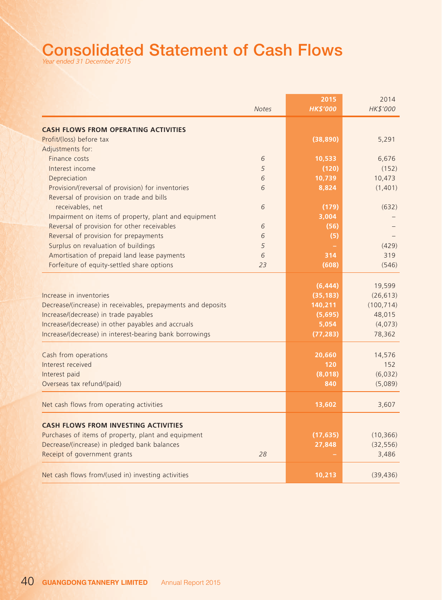# Consolidated Statement of Cash Flows

*Year ended 31 December 2015*

|                                                              | <b>Notes</b> | 2015<br><b>HK\$'000</b> | 2014<br>HK\$'000 |
|--------------------------------------------------------------|--------------|-------------------------|------------------|
| <b>CASH FLOWS FROM OPERATING ACTIVITIES</b>                  |              |                         |                  |
| Profit/(loss) before tax                                     |              | (38, 890)               | 5,291            |
| Adjustments for:                                             |              |                         |                  |
| Finance costs                                                | 6            | 10,533                  | 6,676            |
| Interest income                                              | 5            | (120)                   | (152)            |
| Depreciation                                                 | 6            | 10,739                  | 10,473           |
| Provision/(reversal of provision) for inventories            | 6            | 8,824                   | (1,401)          |
| Reversal of provision on trade and bills                     |              |                         |                  |
| receivables, net                                             | 6            | (179)                   | (632)            |
| Impairment on items of property, plant and equipment         |              | 3,004                   |                  |
| Reversal of provision for other receivables                  | 6            | (56)                    |                  |
| Reversal of provision for prepayments                        | 6            | (5)                     |                  |
| Surplus on revaluation of buildings                          | 5            |                         | (429)            |
| Amortisation of prepaid land lease payments                  | 6            | 314                     | 319              |
| Forfeiture of equity-settled share options                   | 23           | (608)                   | (546)            |
|                                                              |              |                         |                  |
|                                                              |              | (6, 444)                | 19,599           |
| Increase in inventories                                      |              | (35, 183)               | (26, 613)        |
| Decrease/(increase) in receivables, prepayments and deposits |              | 140,211                 | (100, 714)       |
| Increase/(decrease) in trade payables                        |              | (5,695)                 | 48,015           |
| Increase/(decrease) in other payables and accruals           |              | 5,054                   | (4,073)          |
| Increase/(decrease) in interest-bearing bank borrowings      |              | (77, 283)               | 78,362           |
|                                                              |              |                         |                  |
| Cash from operations                                         |              | 20,660                  | 14,576           |
| Interest received                                            |              | 120                     | 152              |
| Interest paid                                                |              | (8,018)                 | (6,032)          |
| Overseas tax refund/(paid)                                   |              | 840                     | (5,089)          |
| Net cash flows from operating activities                     |              | 13,602                  | 3,607            |
|                                                              |              |                         |                  |
| <b>CASH FLOWS FROM INVESTING ACTIVITIES</b>                  |              |                         |                  |
| Purchases of items of property, plant and equipment          |              | (17, 635)               | (10, 366)        |
| Decrease/(increase) in pledged bank balances                 |              | 27,848                  | (32, 556)        |
| Receipt of government grants                                 | 28           |                         | 3,486            |
| Net cash flows from/(used in) investing activities           |              | 10,213                  | (39, 436)        |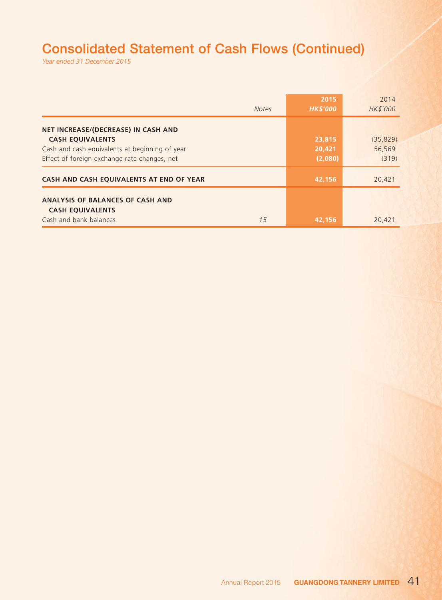# Consolidated Statement of Cash Flows (Continued)

*Year ended 31 December 2015*

| <b>Notes</b>                                                                                                                                                     | 2015<br><b>HK\$'000</b>     | 2014<br>HK\$'000             |
|------------------------------------------------------------------------------------------------------------------------------------------------------------------|-----------------------------|------------------------------|
| NET INCREASE/(DECREASE) IN CASH AND<br><b>CASH EQUIVALENTS</b><br>Cash and cash equivalents at beginning of year<br>Effect of foreign exchange rate changes, net | 23,815<br>20,421<br>(2,080) | (35, 829)<br>56,569<br>(319) |
| CASH AND CASH EQUIVALENTS AT END OF YEAR                                                                                                                         | 42,156                      | 20,421                       |
| <b>ANALYSIS OF BALANCES OF CASH AND</b><br><b>CASH EQUIVALENTS</b><br>Cash and bank balances<br>15                                                               | 42.156                      | 20,421                       |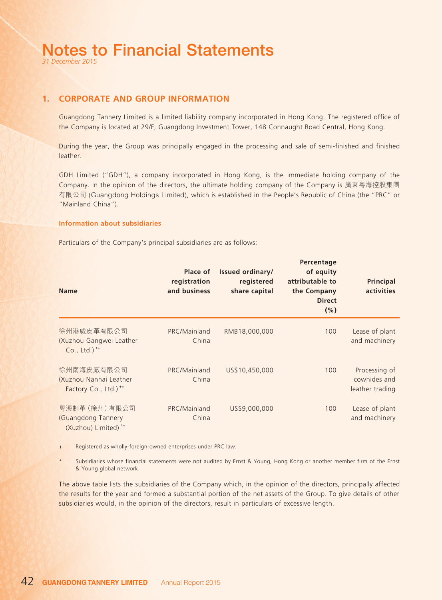Notes to Financial Statements

*31 December 2015*

### **1. CORPORATE AND GROUP INFORMATION**

Guangdong Tannery Limited is a limited liability company incorporated in Hong Kong. The registered office of the Company is located at 29/F, Guangdong Investment Tower, 148 Connaught Road Central, Hong Kong.

During the year, the Group was principally engaged in the processing and sale of semi-finished and finished leather.

GDH Limited ("GDH"), a company incorporated in Hong Kong, is the immediate holding company of the Company. In the opinion of the directors, the ultimate holding company of the Company is 廣東粵海控股集團 有限公司 (Guangdong Holdings Limited), which is established in the People's Republic of China (the "PRC" or "Mainland China").

#### **Information about subsidiaries**

Particulars of the Company's principal subsidiaries are as follows:

| <b>Name</b>                                                              | Place of<br>registration<br>and business | <b>Issued ordinary/</b><br>registered<br>share capital | Percentage<br>of equity<br>attributable to<br>the Company<br><b>Direct</b><br>(% ) | Principal<br>activities                          |
|--------------------------------------------------------------------------|------------------------------------------|--------------------------------------------------------|------------------------------------------------------------------------------------|--------------------------------------------------|
| 徐州港威皮革有限公司<br>(Xuzhou Gangwei Leather<br>$Co.$ Ltd.) **                  | PRC/Mainland<br>China                    | RMB18,000,000                                          | 100                                                                                | Lease of plant<br>and machinery                  |
| 徐州南海皮廠有限公司<br>(Xuzhou Nanhai Leather<br>Factory Co., Ltd.) <sup>+*</sup> | PRC/Mainland<br>China                    | US\$10,450,000                                         | 100                                                                                | Processing of<br>cowhides and<br>leather trading |
| 粤海制革 (徐州) 有限公司<br>(Guangdong Tannery<br>(Xuzhou) Limited) <sup>+*</sup>  | PRC/Mainland<br>China                    | US\$9,000,000                                          | 100                                                                                | Lease of plant<br>and machinery                  |

Registered as wholly-foreign-owned enterprises under PRC law.

Subsidiaries whose financial statements were not audited by Ernst & Young, Hong Kong or another member firm of the Ernst & Young global network.

The above table lists the subsidiaries of the Company which, in the opinion of the directors, principally affected the results for the year and formed a substantial portion of the net assets of the Group. To give details of other subsidiaries would, in the opinion of the directors, result in particulars of excessive length.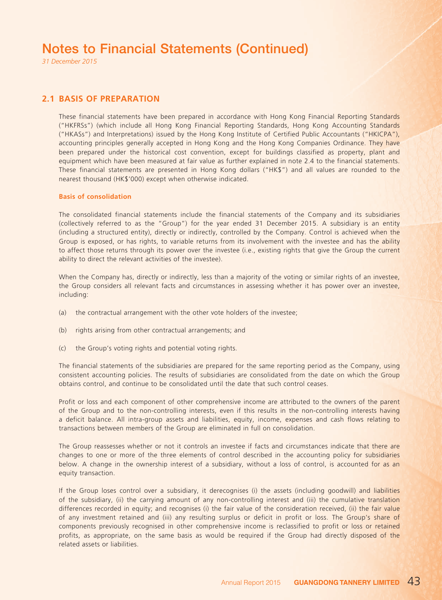*31 December 2015*

### **2.1 BASIS OF PREPARATION**

These financial statements have been prepared in accordance with Hong Kong Financial Reporting Standards ("HKFRSs") (which include all Hong Kong Financial Reporting Standards, Hong Kong Accounting Standards ("HKASs") and Interpretations) issued by the Hong Kong Institute of Certified Public Accountants ("HKICPA"), accounting principles generally accepted in Hong Kong and the Hong Kong Companies Ordinance. They have been prepared under the historical cost convention, except for buildings classified as property, plant and equipment which have been measured at fair value as further explained in note 2.4 to the financial statements. These financial statements are presented in Hong Kong dollars ("HK\$") and all values are rounded to the nearest thousand (HK\$'000) except when otherwise indicated.

#### **Basis of consolidation**

The consolidated financial statements include the financial statements of the Company and its subsidiaries (collectively referred to as the "Group") for the year ended 31 December 2015. A subsidiary is an entity (including a structured entity), directly or indirectly, controlled by the Company. Control is achieved when the Group is exposed, or has rights, to variable returns from its involvement with the investee and has the ability to affect those returns through its power over the investee (i.e., existing rights that give the Group the current ability to direct the relevant activities of the investee).

When the Company has, directly or indirectly, less than a majority of the voting or similar rights of an investee, the Group considers all relevant facts and circumstances in assessing whether it has power over an investee, including:

- (a) the contractual arrangement with the other vote holders of the investee;
- (b) rights arising from other contractual arrangements; and
- (c) the Group's voting rights and potential voting rights.

The financial statements of the subsidiaries are prepared for the same reporting period as the Company, using consistent accounting policies. The results of subsidiaries are consolidated from the date on which the Group obtains control, and continue to be consolidated until the date that such control ceases.

Profit or loss and each component of other comprehensive income are attributed to the owners of the parent of the Group and to the non-controlling interests, even if this results in the non-controlling interests having a deficit balance. All intra-group assets and liabilities, equity, income, expenses and cash flows relating to transactions between members of the Group are eliminated in full on consolidation.

The Group reassesses whether or not it controls an investee if facts and circumstances indicate that there are changes to one or more of the three elements of control described in the accounting policy for subsidiaries below. A change in the ownership interest of a subsidiary, without a loss of control, is accounted for as an equity transaction.

If the Group loses control over a subsidiary, it derecognises (i) the assets (including goodwill) and liabilities of the subsidiary, (ii) the carrying amount of any non-controlling interest and (iii) the cumulative translation differences recorded in equity; and recognises (i) the fair value of the consideration received, (ii) the fair value of any investment retained and (iii) any resulting surplus or deficit in profit or loss. The Group's share of components previously recognised in other comprehensive income is reclassified to profit or loss or retained profits, as appropriate, on the same basis as would be required if the Group had directly disposed of the related assets or liabilities.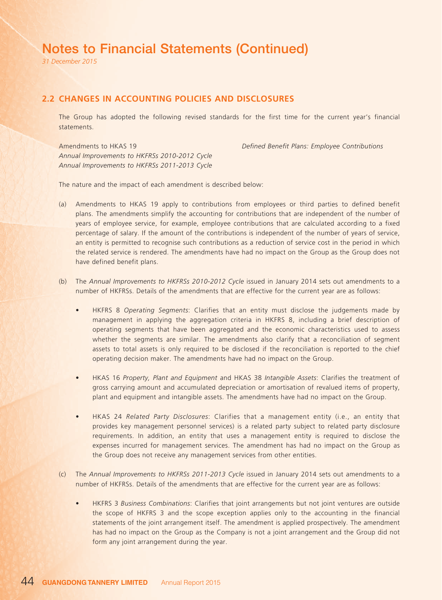*31 December 2015*

## **2.2 CHANGES IN ACCOUNTING POLICIES AND DISCLOSURES**

The Group has adopted the following revised standards for the first time for the current year's financial statements.

*Annual Improvements to HKFRSs 2010-2012 Cycle Annual Improvements to HKFRSs 2011-2013 Cycle*

Amendments to HKAS 19 *Defined Benefit Plans: Employee Contributions*

The nature and the impact of each amendment is described below:

- (a) Amendments to HKAS 19 apply to contributions from employees or third parties to defined benefit plans. The amendments simplify the accounting for contributions that are independent of the number of years of employee service, for example, employee contributions that are calculated according to a fixed percentage of salary. If the amount of the contributions is independent of the number of years of service, an entity is permitted to recognise such contributions as a reduction of service cost in the period in which the related service is rendered. The amendments have had no impact on the Group as the Group does not have defined benefit plans.
- (b) The *Annual Improvements to HKFRSs 2010-2012 Cycle* issued in January 2014 sets out amendments to a number of HKFRSs. Details of the amendments that are effective for the current year are as follows:
	- HKFRS 8 Operating Segments: Clarifies that an entity must disclose the judgements made by management in applying the aggregation criteria in HKFRS 8, including a brief description of operating segments that have been aggregated and the economic characteristics used to assess whether the segments are similar. The amendments also clarify that a reconciliation of segment assets to total assets is only required to be disclosed if the reconciliation is reported to the chief operating decision maker. The amendments have had no impact on the Group.
	- • HKAS 16 *Property, Plant and Equipment* and HKAS 38 *Intangible Assets*: Clarifies the treatment of gross carrying amount and accumulated depreciation or amortisation of revalued items of property, plant and equipment and intangible assets. The amendments have had no impact on the Group.
	- HKAS 24 Related Party Disclosures: Clarifies that a management entity (i.e., an entity that provides key management personnel services) is a related party subject to related party disclosure requirements. In addition, an entity that uses a management entity is required to disclose the expenses incurred for management services. The amendment has had no impact on the Group as the Group does not receive any management services from other entities.
- (c) The *Annual Improvements to HKFRSs 2011-2013 Cycle* issued in January 2014 sets out amendments to a number of HKFRSs. Details of the amendments that are effective for the current year are as follows:
	- HKFRS 3 *Business Combinations*: Clarifies that joint arrangements but not joint ventures are outside the scope of HKFRS 3 and the scope exception applies only to the accounting in the financial statements of the joint arrangement itself. The amendment is applied prospectively. The amendment has had no impact on the Group as the Company is not a joint arrangement and the Group did not form any joint arrangement during the year.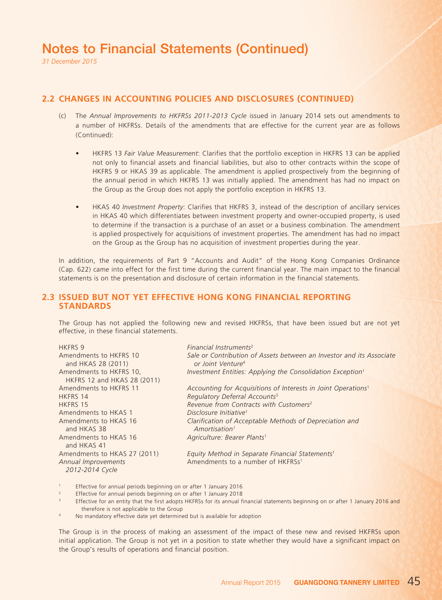### **2.2 CHANGES IN ACCOUNTING POLICIES AND DISCLOSURES (continued)**

- (c) The *Annual Improvements to HKFRSs 2011-2013 Cycle* issued in January 2014 sets out amendments to a number of HKFRSs. Details of the amendments that are effective for the current year are as follows (Continued):
	- HKFRS 13 Fair Value Measurement: Clarifies that the portfolio exception in HKFRS 13 can be applied not only to financial assets and financial liabilities, but also to other contracts within the scope of HKFRS 9 or HKAS 39 as applicable. The amendment is applied prospectively from the beginning of the annual period in which HKFRS 13 was initially applied. The amendment has had no impact on the Group as the Group does not apply the portfolio exception in HKFRS 13.
	- HKAS 40 *Investment Property*: Clarifies that HKFRS 3, instead of the description of ancillary services in HKAS 40 which differentiates between investment property and owner-occupied property, is used to determine if the transaction is a purchase of an asset or a business combination. The amendment is applied prospectively for acquisitions of investment properties. The amendment has had no impact on the Group as the Group has no acquisition of investment properties during the year.

In addition, the requirements of Part 9 "Accounts and Audit" of the Hong Kong Companies Ordinance (Cap. 622) came into effect for the first time during the current financial year. The main impact to the financial statements is on the presentation and disclosure of certain information in the financial statements.

### **2.3 ISSUED BUT NOT YET EFFECTIVE HONG KONG FINANCIAL REPORTING STANDARDS**

The Group has not applied the following new and revised HKFRSs, that have been issued but are not yet effective, in these financial statements.

| <b>HKFRS 9</b>               | Financial Instruments <sup>2</sup>                                        |
|------------------------------|---------------------------------------------------------------------------|
| Amendments to HKFRS 10       | Sale or Contribution of Assets between an Investor and its Associate      |
| and HKAS 28 (2011)           | or Joint Venture <sup>4</sup>                                             |
| Amendments to HKFRS 10,      | Investment Entities: Applying the Consolidation Exception <sup>1</sup>    |
| HKFRS 12 and HKAS 28 (2011)  |                                                                           |
| Amendments to HKFRS 11       | Accounting for Acquisitions of Interests in Joint Operations <sup>1</sup> |
| HKFRS 14                     | Regulatory Deferral Accounts <sup>3</sup>                                 |
| <b>HKFRS 15</b>              | Revenue from Contracts with Customers <sup>2</sup>                        |
| Amendments to HKAS 1         | Disclosure Initiative <sup>1</sup>                                        |
| Amendments to HKAS 16        | Clarification of Acceptable Methods of Depreciation and                   |
| and HKAS 38                  | Amortisation <sup>1</sup>                                                 |
| Amendments to HKAS 16        | Agriculture: Bearer Plants <sup>1</sup>                                   |
| and HKAS 41                  |                                                                           |
| Amendments to HKAS 27 (2011) | Equity Method in Separate Financial Statements <sup>1</sup>               |
| Annual Improvements          | Amendments to a number of HKFRSs <sup>1</sup>                             |
| 2012-2014 Cycle              |                                                                           |

<sup>1</sup> Effective for annual periods beginning on or after 1 January 2016

- <sup>2</sup> Effective for annual periods beginning on or after 1 January 2018
- Effective for an entity that the first adopts HKFRSs for its annual financial statements beginning on or after 1 January 2016 and therefore is not applicable to the Group
- No mandatory effective date yet determined but is available for adoption

The Group is in the process of making an assessment of the impact of these new and revised HKFRSs upon initial application. The Group is not yet in a position to state whether they would have a significant impact on the Group's results of operations and financial position.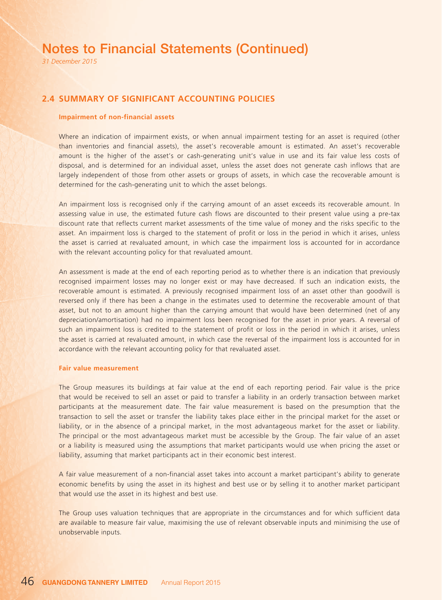## **2.4 SUMMARY OF SIGNIFICANT ACCOUNTING POLICIES**

#### **Impairment of non-financial assets**

Where an indication of impairment exists, or when annual impairment testing for an asset is required (other than inventories and financial assets), the asset's recoverable amount is estimated. An asset's recoverable amount is the higher of the asset's or cash-generating unit's value in use and its fair value less costs of disposal, and is determined for an individual asset, unless the asset does not generate cash inflows that are largely independent of those from other assets or groups of assets, in which case the recoverable amount is determined for the cash-generating unit to which the asset belongs.

An impairment loss is recognised only if the carrying amount of an asset exceeds its recoverable amount. In assessing value in use, the estimated future cash flows are discounted to their present value using a pre-tax discount rate that reflects current market assessments of the time value of money and the risks specific to the asset. An impairment loss is charged to the statement of profit or loss in the period in which it arises, unless the asset is carried at revaluated amount, in which case the impairment loss is accounted for in accordance with the relevant accounting policy for that revaluated amount.

An assessment is made at the end of each reporting period as to whether there is an indication that previously recognised impairment losses may no longer exist or may have decreased. If such an indication exists, the recoverable amount is estimated. A previously recognised impairment loss of an asset other than goodwill is reversed only if there has been a change in the estimates used to determine the recoverable amount of that asset, but not to an amount higher than the carrying amount that would have been determined (net of any depreciation/amortisation) had no impairment loss been recognised for the asset in prior years. A reversal of such an impairment loss is credited to the statement of profit or loss in the period in which it arises, unless the asset is carried at revaluated amount, in which case the reversal of the impairment loss is accounted for in accordance with the relevant accounting policy for that revaluated asset.

#### **Fair value measurement**

The Group measures its buildings at fair value at the end of each reporting period. Fair value is the price that would be received to sell an asset or paid to transfer a liability in an orderly transaction between market participants at the measurement date. The fair value measurement is based on the presumption that the transaction to sell the asset or transfer the liability takes place either in the principal market for the asset or liability, or in the absence of a principal market, in the most advantageous market for the asset or liability. The principal or the most advantageous market must be accessible by the Group. The fair value of an asset or a liability is measured using the assumptions that market participants would use when pricing the asset or liability, assuming that market participants act in their economic best interest.

A fair value measurement of a non-financial asset takes into account a market participant's ability to generate economic benefits by using the asset in its highest and best use or by selling it to another market participant that would use the asset in its highest and best use.

The Group uses valuation techniques that are appropriate in the circumstances and for which sufficient data are available to measure fair value, maximising the use of relevant observable inputs and minimising the use of unobservable inputs.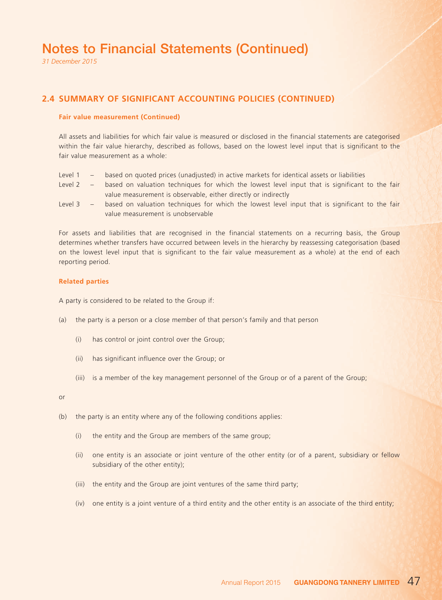*31 December 2015*

## **2.4 SUMMARY OF SIGNIFICANT ACCOUNTING POLICIES (continued)**

#### **Fair value measurement (Continued)**

All assets and liabilities for which fair value is measured or disclosed in the financial statements are categorised within the fair value hierarchy, described as follows, based on the lowest level input that is significant to the fair value measurement as a whole:

- Level 1 based on quoted prices (unadjusted) in active markets for identical assets or liabilities
- Level 2 based on valuation techniques for which the lowest level input that is significant to the fair value measurement is observable, either directly or indirectly
- Level  $3 -$  based on valuation techniques for which the lowest level input that is significant to the fair value measurement is unobservable

For assets and liabilities that are recognised in the financial statements on a recurring basis, the Group determines whether transfers have occurred between levels in the hierarchy by reassessing categorisation (based on the lowest level input that is significant to the fair value measurement as a whole) at the end of each reporting period.

#### **Related parties**

A party is considered to be related to the Group if:

- (a) the party is a person or a close member of that person's family and that person
	- (i) has control or joint control over the Group;
	- (ii) has significant influence over the Group; or
	- (iii) is a member of the key management personnel of the Group or of a parent of the Group;

or

- (b) the party is an entity where any of the following conditions applies:
	- (i) the entity and the Group are members of the same group;
	- (ii) one entity is an associate or joint venture of the other entity (or of a parent, subsidiary or fellow subsidiary of the other entity);
	- (iii) the entity and the Group are joint ventures of the same third party;
	- (iv) one entity is a joint venture of a third entity and the other entity is an associate of the third entity;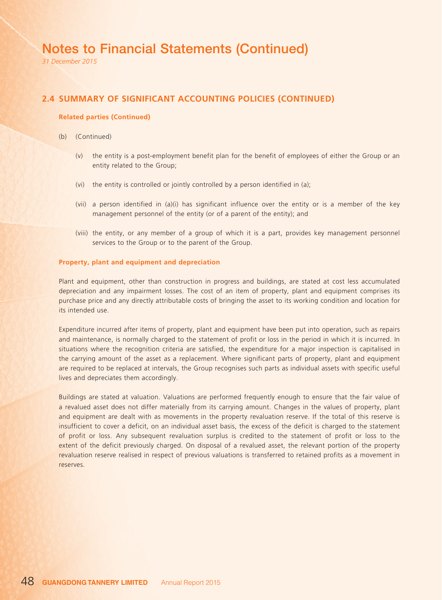## **2.4 SUMMARY OF SIGNIFICANT ACCOUNTING POLICIES (continued)**

#### **Related parties (Continued)**

#### (b) (Continued)

- (v) the entity is a post-employment benefit plan for the benefit of employees of either the Group or an entity related to the Group;
- (vi) the entity is controlled or jointly controlled by a person identified in (a);
- (vii) a person identified in (a)(i) has significant influence over the entity or is a member of the key management personnel of the entity (or of a parent of the entity); and
- (viii) the entity, or any member of a group of which it is a part, provides key management personnel services to the Group or to the parent of the Group.

#### **Property, plant and equipment and depreciation**

Plant and equipment, other than construction in progress and buildings, are stated at cost less accumulated depreciation and any impairment losses. The cost of an item of property, plant and equipment comprises its purchase price and any directly attributable costs of bringing the asset to its working condition and location for its intended use.

Expenditure incurred after items of property, plant and equipment have been put into operation, such as repairs and maintenance, is normally charged to the statement of profit or loss in the period in which it is incurred. In situations where the recognition criteria are satisfied, the expenditure for a major inspection is capitalised in the carrying amount of the asset as a replacement. Where significant parts of property, plant and equipment are required to be replaced at intervals, the Group recognises such parts as individual assets with specific useful lives and depreciates them accordingly.

Buildings are stated at valuation. Valuations are performed frequently enough to ensure that the fair value of a revalued asset does not differ materially from its carrying amount. Changes in the values of property, plant and equipment are dealt with as movements in the property revaluation reserve. If the total of this reserve is insufficient to cover a deficit, on an individual asset basis, the excess of the deficit is charged to the statement of profit or loss. Any subsequent revaluation surplus is credited to the statement of profit or loss to the extent of the deficit previously charged. On disposal of a revalued asset, the relevant portion of the property revaluation reserve realised in respect of previous valuations is transferred to retained profits as a movement in reserves.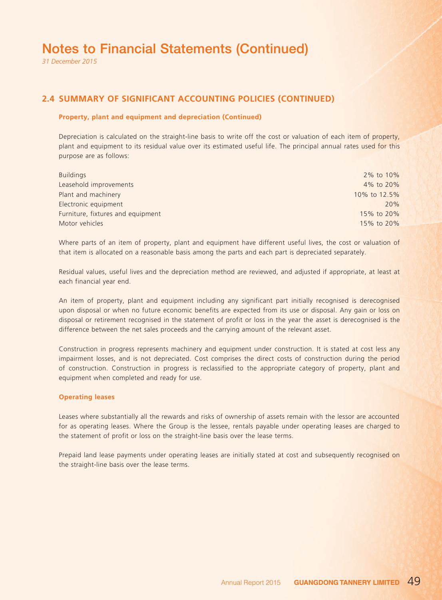*31 December 2015*

## **2.4 SUMMARY OF SIGNIFICANT ACCOUNTING POLICIES (continued)**

#### **Property, plant and equipment and depreciation (Continued)**

Depreciation is calculated on the straight-line basis to write off the cost or valuation of each item of property, plant and equipment to its residual value over its estimated useful life. The principal annual rates used for this purpose are as follows:

| <b>Buildings</b>                  | 2% to 10%    |
|-----------------------------------|--------------|
| Leasehold improvements            | 4% to 20%    |
| Plant and machinery               | 10% to 12.5% |
| Electronic equipment              | 20%          |
| Furniture, fixtures and equipment | 15% to 20%   |
| Motor vehicles                    | 15% to 20%   |

Where parts of an item of property, plant and equipment have different useful lives, the cost or valuation of that item is allocated on a reasonable basis among the parts and each part is depreciated separately.

Residual values, useful lives and the depreciation method are reviewed, and adjusted if appropriate, at least at each financial year end.

An item of property, plant and equipment including any significant part initially recognised is derecognised upon disposal or when no future economic benefits are expected from its use or disposal. Any gain or loss on disposal or retirement recognised in the statement of profit or loss in the year the asset is derecognised is the difference between the net sales proceeds and the carrying amount of the relevant asset.

Construction in progress represents machinery and equipment under construction. It is stated at cost less any impairment losses, and is not depreciated. Cost comprises the direct costs of construction during the period of construction. Construction in progress is reclassified to the appropriate category of property, plant and equipment when completed and ready for use.

#### **Operating leases**

Leases where substantially all the rewards and risks of ownership of assets remain with the lessor are accounted for as operating leases. Where the Group is the lessee, rentals payable under operating leases are charged to the statement of profit or loss on the straight-line basis over the lease terms.

Prepaid land lease payments under operating leases are initially stated at cost and subsequently recognised on the straight-line basis over the lease terms.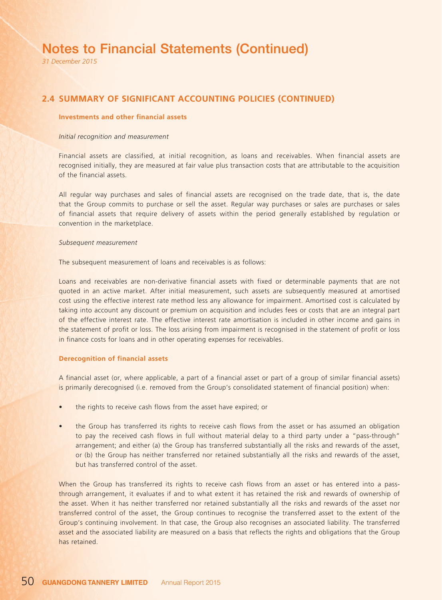*31 December 2015*

## **2.4 SUMMARY OF SIGNIFICANT ACCOUNTING POLICIES (continued)**

#### **Investments and other financial assets**

#### *Initial recognition and measurement*

Financial assets are classified, at initial recognition, as loans and receivables. When financial assets are recognised initially, they are measured at fair value plus transaction costs that are attributable to the acquisition of the financial assets.

All regular way purchases and sales of financial assets are recognised on the trade date, that is, the date that the Group commits to purchase or sell the asset. Regular way purchases or sales are purchases or sales of financial assets that require delivery of assets within the period generally established by regulation or convention in the marketplace.

#### *Subsequent measurement*

The subsequent measurement of loans and receivables is as follows:

Loans and receivables are non-derivative financial assets with fixed or determinable payments that are not quoted in an active market. After initial measurement, such assets are subsequently measured at amortised cost using the effective interest rate method less any allowance for impairment. Amortised cost is calculated by taking into account any discount or premium on acquisition and includes fees or costs that are an integral part of the effective interest rate. The effective interest rate amortisation is included in other income and gains in the statement of profit or loss. The loss arising from impairment is recognised in the statement of profit or loss in finance costs for loans and in other operating expenses for receivables.

#### **Derecognition of financial assets**

A financial asset (or, where applicable, a part of a financial asset or part of a group of similar financial assets) is primarily derecognised (i.e. removed from the Group's consolidated statement of financial position) when:

- the rights to receive cash flows from the asset have expired; or
- the Group has transferred its rights to receive cash flows from the asset or has assumed an obligation to pay the received cash flows in full without material delay to a third party under a "pass-through" arrangement; and either (a) the Group has transferred substantially all the risks and rewards of the asset, or (b) the Group has neither transferred nor retained substantially all the risks and rewards of the asset, but has transferred control of the asset.

When the Group has transferred its rights to receive cash flows from an asset or has entered into a passthrough arrangement, it evaluates if and to what extent it has retained the risk and rewards of ownership of the asset. When it has neither transferred nor retained substantially all the risks and rewards of the asset nor transferred control of the asset, the Group continues to recognise the transferred asset to the extent of the Group's continuing involvement. In that case, the Group also recognises an associated liability. The transferred asset and the associated liability are measured on a basis that reflects the rights and obligations that the Group has retained.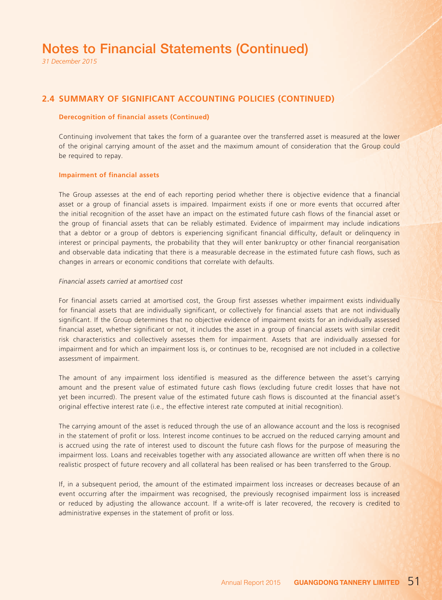*31 December 2015*

## **2.4 SUMMARY OF SIGNIFICANT ACCOUNTING POLICIES (continued)**

#### **Derecognition of financial assets (Continued)**

Continuing involvement that takes the form of a guarantee over the transferred asset is measured at the lower of the original carrying amount of the asset and the maximum amount of consideration that the Group could be required to repay.

#### **Impairment of financial assets**

The Group assesses at the end of each reporting period whether there is objective evidence that a financial asset or a group of financial assets is impaired. Impairment exists if one or more events that occurred after the initial recognition of the asset have an impact on the estimated future cash flows of the financial asset or the group of financial assets that can be reliably estimated. Evidence of impairment may include indications that a debtor or a group of debtors is experiencing significant financial difficulty, default or delinquency in interest or principal payments, the probability that they will enter bankruptcy or other financial reorganisation and observable data indicating that there is a measurable decrease in the estimated future cash flows, such as changes in arrears or economic conditions that correlate with defaults.

#### *Financial assets carried at amortised cost*

For financial assets carried at amortised cost, the Group first assesses whether impairment exists individually for financial assets that are individually significant, or collectively for financial assets that are not individually significant. If the Group determines that no objective evidence of impairment exists for an individually assessed financial asset, whether significant or not, it includes the asset in a group of financial assets with similar credit risk characteristics and collectively assesses them for impairment. Assets that are individually assessed for impairment and for which an impairment loss is, or continues to be, recognised are not included in a collective assessment of impairment.

The amount of any impairment loss identified is measured as the difference between the asset's carrying amount and the present value of estimated future cash flows (excluding future credit losses that have not yet been incurred). The present value of the estimated future cash flows is discounted at the financial asset's original effective interest rate (i.e., the effective interest rate computed at initial recognition).

The carrying amount of the asset is reduced through the use of an allowance account and the loss is recognised in the statement of profit or loss. Interest income continues to be accrued on the reduced carrying amount and is accrued using the rate of interest used to discount the future cash flows for the purpose of measuring the impairment loss. Loans and receivables together with any associated allowance are written off when there is no realistic prospect of future recovery and all collateral has been realised or has been transferred to the Group.

If, in a subsequent period, the amount of the estimated impairment loss increases or decreases because of an event occurring after the impairment was recognised, the previously recognised impairment loss is increased or reduced by adjusting the allowance account. If a write-off is later recovered, the recovery is credited to administrative expenses in the statement of profit or loss.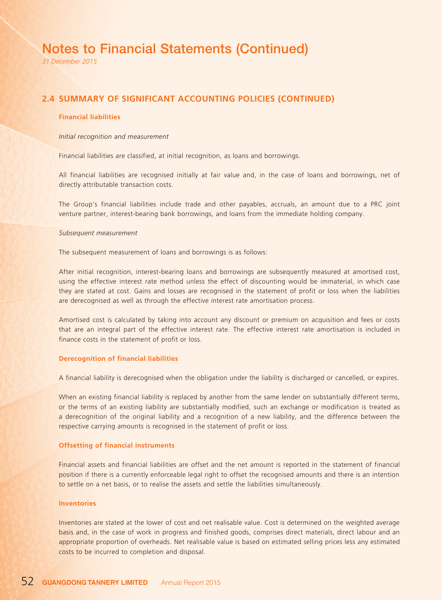*31 December 2015*

## **2.4 SUMMARY OF SIGNIFICANT ACCOUNTING POLICIES (continued)**

#### **Financial liabilities**

#### *Initial recognition and measurement*

Financial liabilities are classified, at initial recognition, as loans and borrowings.

All financial liabilities are recognised initially at fair value and, in the case of loans and borrowings, net of directly attributable transaction costs.

The Group's financial liabilities include trade and other payables, accruals, an amount due to a PRC joint venture partner, interest-bearing bank borrowings, and loans from the immediate holding company.

#### *Subsequent measurement*

The subsequent measurement of loans and borrowings is as follows:

After initial recognition, interest-bearing loans and borrowings are subsequently measured at amortised cost, using the effective interest rate method unless the effect of discounting would be immaterial, in which case they are stated at cost. Gains and losses are recognised in the statement of profit or loss when the liabilities are derecognised as well as through the effective interest rate amortisation process.

Amortised cost is calculated by taking into account any discount or premium on acquisition and fees or costs that are an integral part of the effective interest rate. The effective interest rate amortisation is included in finance costs in the statement of profit or loss.

#### **Derecognition of financial liabilities**

A financial liability is derecognised when the obligation under the liability is discharged or cancelled, or expires.

When an existing financial liability is replaced by another from the same lender on substantially different terms, or the terms of an existing liability are substantially modified, such an exchange or modification is treated as a derecognition of the original liability and a recognition of a new liability, and the difference between the respective carrying amounts is recognised in the statement of profit or loss.

#### **Offsetting of financial instruments**

Financial assets and financial liabilities are offset and the net amount is reported in the statement of financial position if there is a currently enforceable legal right to offset the recognised amounts and there is an intention to settle on a net basis, or to realise the assets and settle the liabilities simultaneously.

#### **Inventories**

Inventories are stated at the lower of cost and net realisable value. Cost is determined on the weighted average basis and, in the case of work in progress and finished goods, comprises direct materials, direct labour and an appropriate proportion of overheads. Net realisable value is based on estimated selling prices less any estimated costs to be incurred to completion and disposal.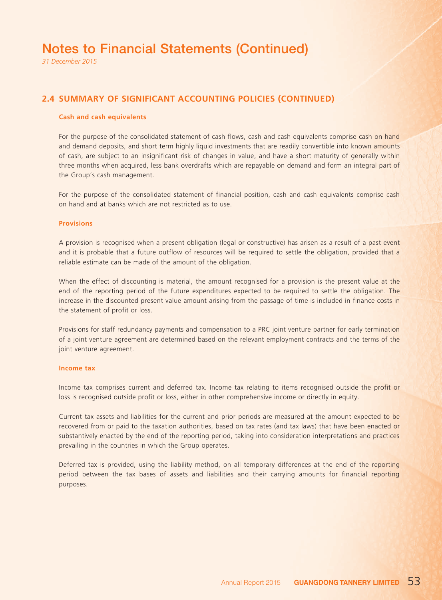*31 December 2015*

## **2.4 SUMMARY OF SIGNIFICANT ACCOUNTING POLICIES (continued)**

#### **Cash and cash equivalents**

For the purpose of the consolidated statement of cash flows, cash and cash equivalents comprise cash on hand and demand deposits, and short term highly liquid investments that are readily convertible into known amounts of cash, are subject to an insignificant risk of changes in value, and have a short maturity of generally within three months when acquired, less bank overdrafts which are repayable on demand and form an integral part of the Group's cash management.

For the purpose of the consolidated statement of financial position, cash and cash equivalents comprise cash on hand and at banks which are not restricted as to use.

#### **Provisions**

A provision is recognised when a present obligation (legal or constructive) has arisen as a result of a past event and it is probable that a future outflow of resources will be required to settle the obligation, provided that a reliable estimate can be made of the amount of the obligation.

When the effect of discounting is material, the amount recognised for a provision is the present value at the end of the reporting period of the future expenditures expected to be required to settle the obligation. The increase in the discounted present value amount arising from the passage of time is included in finance costs in the statement of profit or loss.

Provisions for staff redundancy payments and compensation to a PRC joint venture partner for early termination of a joint venture agreement are determined based on the relevant employment contracts and the terms of the joint venture agreement.

#### **Income tax**

Income tax comprises current and deferred tax. Income tax relating to items recognised outside the profit or loss is recognised outside profit or loss, either in other comprehensive income or directly in equity.

Current tax assets and liabilities for the current and prior periods are measured at the amount expected to be recovered from or paid to the taxation authorities, based on tax rates (and tax laws) that have been enacted or substantively enacted by the end of the reporting period, taking into consideration interpretations and practices prevailing in the countries in which the Group operates.

Deferred tax is provided, using the liability method, on all temporary differences at the end of the reporting period between the tax bases of assets and liabilities and their carrying amounts for financial reporting purposes.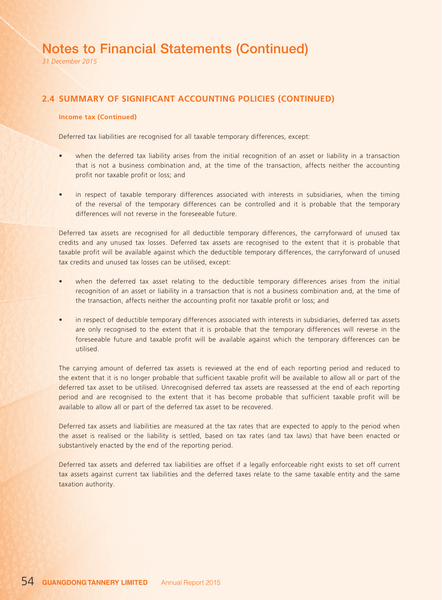## **2.4 SUMMARY OF SIGNIFICANT ACCOUNTING POLICIES (continued)**

#### **Income tax (Continued)**

Deferred tax liabilities are recognised for all taxable temporary differences, except:

- when the deferred tax liability arises from the initial recognition of an asset or liability in a transaction that is not a business combination and, at the time of the transaction, affects neither the accounting profit nor taxable profit or loss; and
- in respect of taxable temporary differences associated with interests in subsidiaries, when the timing of the reversal of the temporary differences can be controlled and it is probable that the temporary differences will not reverse in the foreseeable future.

Deferred tax assets are recognised for all deductible temporary differences, the carryforward of unused tax credits and any unused tax losses. Deferred tax assets are recognised to the extent that it is probable that taxable profit will be available against which the deductible temporary differences, the carryforward of unused tax credits and unused tax losses can be utilised, except:

- when the deferred tax asset relating to the deductible temporary differences arises from the initial recognition of an asset or liability in a transaction that is not a business combination and, at the time of the transaction, affects neither the accounting profit nor taxable profit or loss; and
- in respect of deductible temporary differences associated with interests in subsidiaries, deferred tax assets are only recognised to the extent that it is probable that the temporary differences will reverse in the foreseeable future and taxable profit will be available against which the temporary differences can be utilised.

The carrying amount of deferred tax assets is reviewed at the end of each reporting period and reduced to the extent that it is no longer probable that sufficient taxable profit will be available to allow all or part of the deferred tax asset to be utilised. Unrecognised deferred tax assets are reassessed at the end of each reporting period and are recognised to the extent that it has become probable that sufficient taxable profit will be available to allow all or part of the deferred tax asset to be recovered.

Deferred tax assets and liabilities are measured at the tax rates that are expected to apply to the period when the asset is realised or the liability is settled, based on tax rates (and tax laws) that have been enacted or substantively enacted by the end of the reporting period.

Deferred tax assets and deferred tax liabilities are offset if a legally enforceable right exists to set off current tax assets against current tax liabilities and the deferred taxes relate to the same taxable entity and the same taxation authority.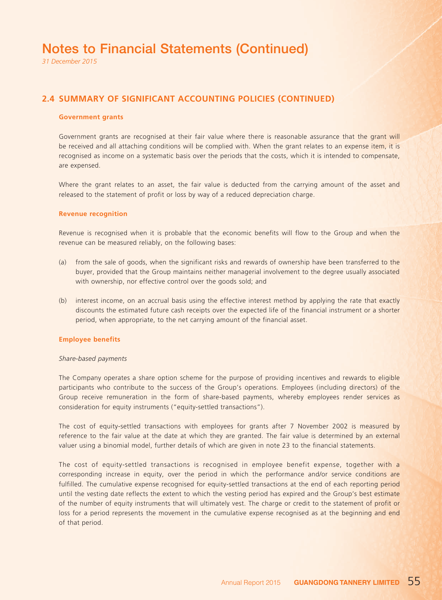*31 December 2015*

## **2.4 SUMMARY OF SIGNIFICANT ACCOUNTING POLICIES (continued)**

#### **Government grants**

Government grants are recognised at their fair value where there is reasonable assurance that the grant will be received and all attaching conditions will be complied with. When the grant relates to an expense item, it is recognised as income on a systematic basis over the periods that the costs, which it is intended to compensate, are expensed.

Where the grant relates to an asset, the fair value is deducted from the carrying amount of the asset and released to the statement of profit or loss by way of a reduced depreciation charge.

#### **Revenue recognition**

Revenue is recognised when it is probable that the economic benefits will flow to the Group and when the revenue can be measured reliably, on the following bases:

- (a) from the sale of goods, when the significant risks and rewards of ownership have been transferred to the buyer, provided that the Group maintains neither managerial involvement to the degree usually associated with ownership, nor effective control over the goods sold; and
- (b) interest income, on an accrual basis using the effective interest method by applying the rate that exactly discounts the estimated future cash receipts over the expected life of the financial instrument or a shorter period, when appropriate, to the net carrying amount of the financial asset.

#### **Employee benefits**

#### *Share-based payments*

The Company operates a share option scheme for the purpose of providing incentives and rewards to eligible participants who contribute to the success of the Group's operations. Employees (including directors) of the Group receive remuneration in the form of share-based payments, whereby employees render services as consideration for equity instruments ("equity-settled transactions").

The cost of equity-settled transactions with employees for grants after 7 November 2002 is measured by reference to the fair value at the date at which they are granted. The fair value is determined by an external valuer using a binomial model, further details of which are given in note 23 to the financial statements.

The cost of equity-settled transactions is recognised in employee benefit expense, together with a corresponding increase in equity, over the period in which the performance and/or service conditions are fulfilled. The cumulative expense recognised for equity-settled transactions at the end of each reporting period until the vesting date reflects the extent to which the vesting period has expired and the Group's best estimate of the number of equity instruments that will ultimately vest. The charge or credit to the statement of profit or loss for a period represents the movement in the cumulative expense recognised as at the beginning and end of that period.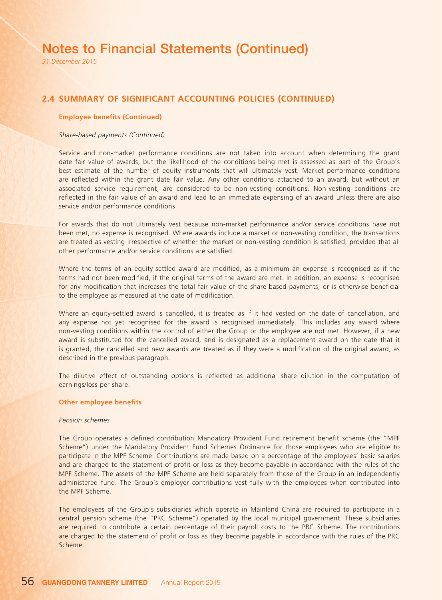## **2.4 SUMMARY OF SIGNIFICANT ACCOUNTING POLICIES (continued)**

#### **Employee benefits (Continued)**

#### *Share-based payments (Continued)*

Service and non-market performance conditions are not taken into account when determining the grant date fair value of awards, but the likelihood of the conditions being met is assessed as part of the Group's best estimate of the number of equity instruments that will ultimately vest. Market performance conditions are reflected within the grant date fair value. Any other conditions attached to an award, but without an associated service requirement, are considered to be non-vesting conditions. Non-vesting conditions are reflected in the fair value of an award and lead to an immediate expensing of an award unless there are also service and/or performance conditions.

For awards that do not ultimately vest because non-market performance and/or service conditions have not been met, no expense is recognised. Where awards include a market or non-vesting condition, the transactions are treated as vesting irrespective of whether the market or non-vesting condition is satisfied, provided that all other performance and/or service conditions are satisfied.

Where the terms of an equity-settled award are modified, as a minimum an expense is recognised as if the terms had not been modified, if the original terms of the award are met. In addition, an expense is recognised for any modification that increases the total fair value of the share-based payments, or is otherwise beneficial to the employee as measured at the date of modification.

Where an equity-settled award is cancelled, it is treated as if it had vested on the date of cancellation, and any expense not yet recognised for the award is recognised immediately. This includes any award where non-vesting conditions within the control of either the Group or the employee are not met. However, if a new award is substituted for the cancelled award, and is designated as a replacement award on the date that it is granted, the cancelled and new awards are treated as if they were a modification of the original award, as described in the previous paragraph.

The dilutive effect of outstanding options is reflected as additional share dilution in the computation of earnings/loss per share.

#### **Other employee benefits**

#### *Pension schemes*

The Group operates a defined contribution Mandatory Provident Fund retirement benefit scheme (the "MPF Scheme") under the Mandatory Provident Fund Schemes Ordinance for those employees who are eligible to participate in the MPF Scheme. Contributions are made based on a percentage of the employees' basic salaries and are charged to the statement of profit or loss as they become payable in accordance with the rules of the MPF Scheme. The assets of the MPF Scheme are held separately from those of the Group in an independently administered fund. The Group's employer contributions vest fully with the employees when contributed into the MPF Scheme.

The employees of the Group's subsidiaries which operate in Mainland China are required to participate in a central pension scheme (the "PRC Scheme") operated by the local municipal government. These subsidiaries are required to contribute a certain percentage of their payroll costs to the PRC Scheme. The contributions are charged to the statement of profit or loss as they become payable in accordance with the rules of the PRC Scheme.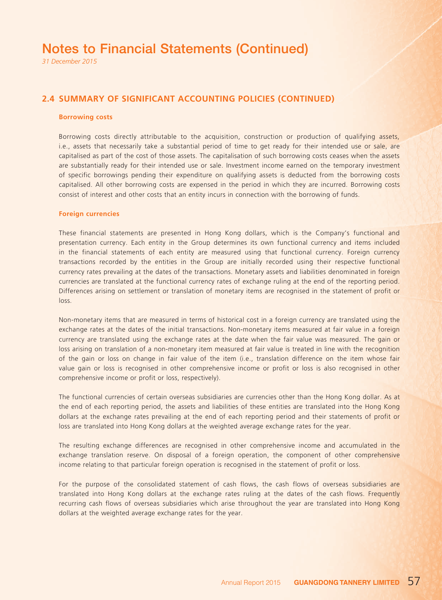*31 December 2015*

## **2.4 SUMMARY OF SIGNIFICANT ACCOUNTING POLICIES (continued)**

#### **Borrowing costs**

Borrowing costs directly attributable to the acquisition, construction or production of qualifying assets, i.e., assets that necessarily take a substantial period of time to get ready for their intended use or sale, are capitalised as part of the cost of those assets. The capitalisation of such borrowing costs ceases when the assets are substantially ready for their intended use or sale. Investment income earned on the temporary investment of specific borrowings pending their expenditure on qualifying assets is deducted from the borrowing costs capitalised. All other borrowing costs are expensed in the period in which they are incurred. Borrowing costs consist of interest and other costs that an entity incurs in connection with the borrowing of funds.

#### **Foreign currencies**

These financial statements are presented in Hong Kong dollars, which is the Company's functional and presentation currency. Each entity in the Group determines its own functional currency and items included in the financial statements of each entity are measured using that functional currency. Foreign currency transactions recorded by the entities in the Group are initially recorded using their respective functional currency rates prevailing at the dates of the transactions. Monetary assets and liabilities denominated in foreign currencies are translated at the functional currency rates of exchange ruling at the end of the reporting period. Differences arising on settlement or translation of monetary items are recognised in the statement of profit or loss.

Non-monetary items that are measured in terms of historical cost in a foreign currency are translated using the exchange rates at the dates of the initial transactions. Non-monetary items measured at fair value in a foreign currency are translated using the exchange rates at the date when the fair value was measured. The gain or loss arising on translation of a non-monetary item measured at fair value is treated in line with the recognition of the gain or loss on change in fair value of the item (i.e., translation difference on the item whose fair value gain or loss is recognised in other comprehensive income or profit or loss is also recognised in other comprehensive income or profit or loss, respectively).

The functional currencies of certain overseas subsidiaries are currencies other than the Hong Kong dollar. As at the end of each reporting period, the assets and liabilities of these entities are translated into the Hong Kong dollars at the exchange rates prevailing at the end of each reporting period and their statements of profit or loss are translated into Hong Kong dollars at the weighted average exchange rates for the year.

The resulting exchange differences are recognised in other comprehensive income and accumulated in the exchange translation reserve. On disposal of a foreign operation, the component of other comprehensive income relating to that particular foreign operation is recognised in the statement of profit or loss.

For the purpose of the consolidated statement of cash flows, the cash flows of overseas subsidiaries are translated into Hong Kong dollars at the exchange rates ruling at the dates of the cash flows. Frequently recurring cash flows of overseas subsidiaries which arise throughout the year are translated into Hong Kong dollars at the weighted average exchange rates for the year.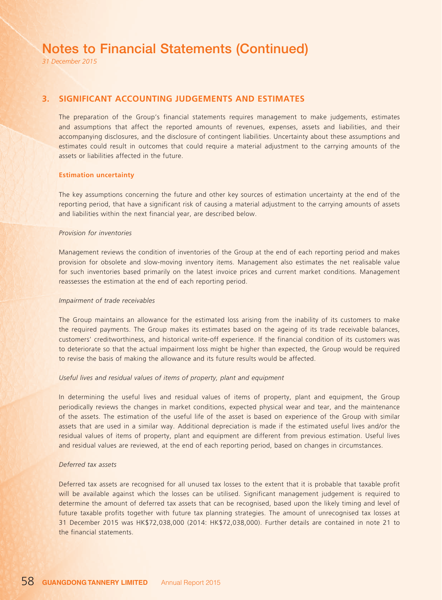## **3. SIGNIFICANT ACCOUNTING JUDGEMENTS AND ESTIMATES**

The preparation of the Group's financial statements requires management to make judgements, estimates and assumptions that affect the reported amounts of revenues, expenses, assets and liabilities, and their accompanying disclosures, and the disclosure of contingent liabilities. Uncertainty about these assumptions and estimates could result in outcomes that could require a material adjustment to the carrying amounts of the assets or liabilities affected in the future.

#### **Estimation uncertainty**

The key assumptions concerning the future and other key sources of estimation uncertainty at the end of the reporting period, that have a significant risk of causing a material adjustment to the carrying amounts of assets and liabilities within the next financial year, are described below.

#### *Provision for inventories*

Management reviews the condition of inventories of the Group at the end of each reporting period and makes provision for obsolete and slow-moving inventory items. Management also estimates the net realisable value for such inventories based primarily on the latest invoice prices and current market conditions. Management reassesses the estimation at the end of each reporting period.

#### *Impairment of trade receivables*

The Group maintains an allowance for the estimated loss arising from the inability of its customers to make the required payments. The Group makes its estimates based on the ageing of its trade receivable balances, customers' creditworthiness, and historical write-off experience. If the financial condition of its customers was to deteriorate so that the actual impairment loss might be higher than expected, the Group would be required to revise the basis of making the allowance and its future results would be affected.

#### *Useful lives and residual values of items of property, plant and equipment*

In determining the useful lives and residual values of items of property, plant and equipment, the Group periodically reviews the changes in market conditions, expected physical wear and tear, and the maintenance of the assets. The estimation of the useful life of the asset is based on experience of the Group with similar assets that are used in a similar way. Additional depreciation is made if the estimated useful lives and/or the residual values of items of property, plant and equipment are different from previous estimation. Useful lives and residual values are reviewed, at the end of each reporting period, based on changes in circumstances.

#### *Deferred tax assets*

Deferred tax assets are recognised for all unused tax losses to the extent that it is probable that taxable profit will be available against which the losses can be utilised. Significant management judgement is required to determine the amount of deferred tax assets that can be recognised, based upon the likely timing and level of future taxable profits together with future tax planning strategies. The amount of unrecognised tax losses at 31 December 2015 was HK\$72,038,000 (2014: HK\$72,038,000). Further details are contained in note 21 to the financial statements.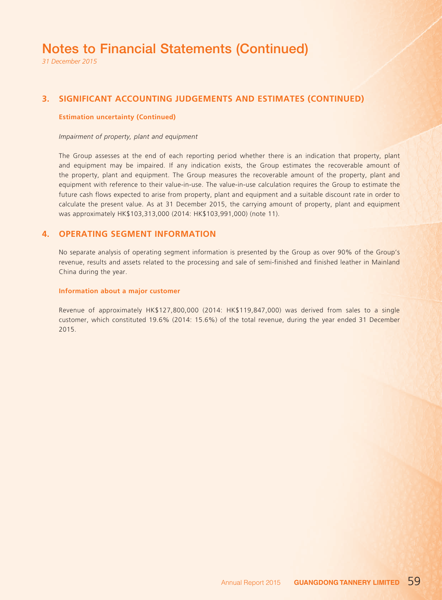*31 December 2015*

### **3. SIGNIFICANT ACCOUNTING JUDGEMENTS AND ESTIMATES (continued)**

#### **Estimation uncertainty (Continued)**

#### *Impairment of property, plant and equipment*

The Group assesses at the end of each reporting period whether there is an indication that property, plant and equipment may be impaired. If any indication exists, the Group estimates the recoverable amount of the property, plant and equipment. The Group measures the recoverable amount of the property, plant and equipment with reference to their value-in-use. The value-in-use calculation requires the Group to estimate the future cash flows expected to arise from property, plant and equipment and a suitable discount rate in order to calculate the present value. As at 31 December 2015, the carrying amount of property, plant and equipment was approximately HK\$103,313,000 (2014: HK\$103,991,000) (note 11).

### **4. OPERATING SEGMENT INFORMATION**

No separate analysis of operating segment information is presented by the Group as over 90% of the Group's revenue, results and assets related to the processing and sale of semi-finished and finished leather in Mainland China during the year.

#### **Information about a major customer**

Revenue of approximately HK\$127,800,000 (2014: HK\$119,847,000) was derived from sales to a single customer, which constituted 19.6% (2014: 15.6%) of the total revenue, during the year ended 31 December 2015.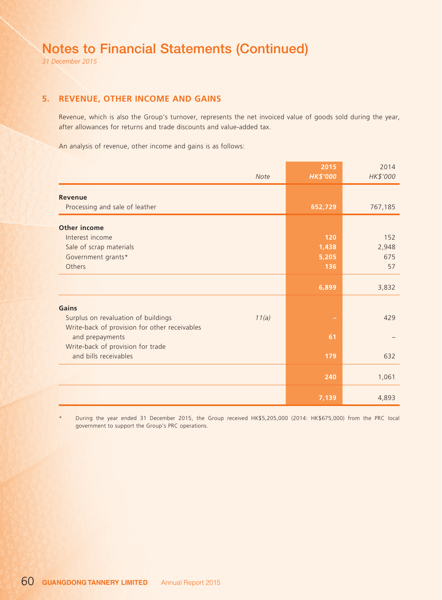## **5. REVENUE, OTHER INCOME AND GAINS**

Revenue, which is also the Group's turnover, represents the net invoiced value of goods sold during the year, after allowances for returns and trade discounts and value-added tax.

An analysis of revenue, other income and gains is as follows:

|                                               | <b>Note</b> | 2015<br><b>HK\$'000</b> | 2014<br>HK\$'000 |
|-----------------------------------------------|-------------|-------------------------|------------------|
| <b>Revenue</b>                                |             |                         |                  |
| Processing and sale of leather                |             | 652,729                 | 767,185          |
| <b>Other income</b>                           |             |                         |                  |
| Interest income                               |             | 120                     | 152              |
| Sale of scrap materials                       |             | 1,438                   | 2,948            |
| Government grants*                            |             | 5,205                   | 675              |
| Others                                        |             | 136                     | 57               |
|                                               |             |                         |                  |
|                                               |             | 6,899                   | 3,832            |
| Gains                                         |             |                         |                  |
| Surplus on revaluation of buildings           | 11(a)       |                         | 429              |
| Write-back of provision for other receivables |             |                         |                  |
| and prepayments                               |             | 61                      |                  |
| Write-back of provision for trade             |             |                         |                  |
| and bills receivables                         |             | 179                     | 632              |
|                                               |             |                         |                  |
|                                               |             | 240                     | 1,061            |
|                                               |             |                         |                  |
|                                               |             | 7,139                   | 4,893            |

During the year ended 31 December 2015, the Group received HK\$5,205,000 (2014: HK\$675,000) from the PRC local government to support the Group's PRC operations.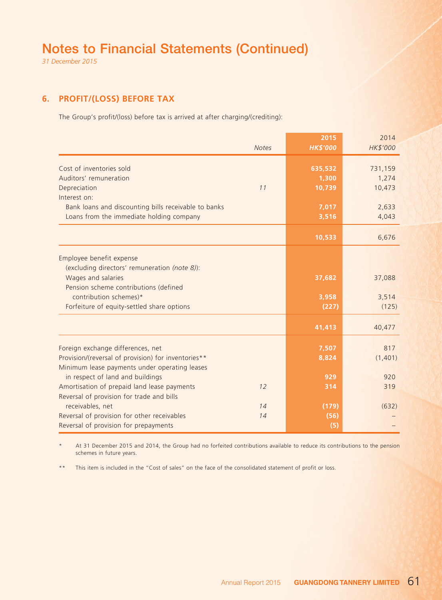*31 December 2015*

## **6. PROFIT/(LOSS) BEFORE TAX**

The Group's profit/(loss) before tax is arrived at after charging/(crediting):

|                                                      |              | 2015            | 2014     |
|------------------------------------------------------|--------------|-----------------|----------|
|                                                      | <b>Notes</b> | <b>HK\$'000</b> | HK\$'000 |
|                                                      |              |                 |          |
| Cost of inventories sold                             |              | 635,532         | 731,159  |
| Auditors' remuneration                               |              | 1,300           | 1,274    |
| Depreciation                                         | 11           | 10,739          | 10,473   |
| Interest on:                                         |              |                 |          |
| Bank loans and discounting bills receivable to banks |              | 7,017           | 2,633    |
| Loans from the immediate holding company             |              | 3,516           | 4,043    |
|                                                      |              |                 |          |
|                                                      |              | 10,533          | 6,676    |
| Employee benefit expense                             |              |                 |          |
| (excluding directors' remuneration (note 8)):        |              |                 |          |
| Wages and salaries                                   |              | 37,682          | 37,088   |
| Pension scheme contributions (defined                |              |                 |          |
| contribution schemes)*                               |              | 3,958           | 3,514    |
| Forfeiture of equity-settled share options           |              | (227)           | (125)    |
|                                                      |              |                 |          |
|                                                      |              | 41,413          | 40,477   |
|                                                      |              |                 |          |
| Foreign exchange differences, net                    |              | 7,507           | 817      |
| Provision/(reversal of provision) for inventories**  |              | 8,824           | (1, 401) |
| Minimum lease payments under operating leases        |              |                 |          |
| in respect of land and buildings                     |              | 929             | 920      |
| Amortisation of prepaid land lease payments          | 12           | 314             | 319      |
| Reversal of provision for trade and bills            |              |                 |          |
| receivables, net                                     | 14           | (179)           | (632)    |
| Reversal of provision for other receivables          | 14           | (56)            |          |
| Reversal of provision for prepayments                |              | (5)             |          |

At 31 December 2015 and 2014, the Group had no forfeited contributions available to reduce its contributions to the pension schemes in future years.

\*\* This item is included in the "Cost of sales" on the face of the consolidated statement of profit or loss.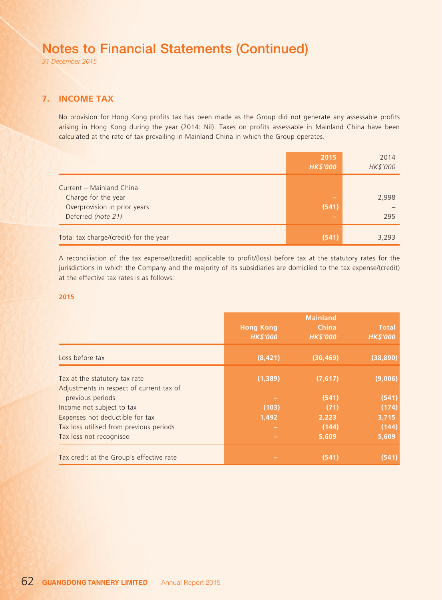*31 December 2015*

## **7. INCOME TAX**

No provision for Hong Kong profits tax has been made as the Group did not generate any assessable profits arising in Hong Kong during the year (2014: Nil). Taxes on profits assessable in Mainland China have been calculated at the rate of tax prevailing in Mainland China in which the Group operates.

|                                                                                                       | 2015<br><b>HK\$'000</b> | 2014<br>HK\$'000 |
|-------------------------------------------------------------------------------------------------------|-------------------------|------------------|
| Current - Mainland China<br>Charge for the year<br>Overprovision in prior years<br>Deferred (note 21) | $\sim$<br>(541)<br>۰    | 2,998<br>295     |
| Total tax charge/(credit) for the year                                                                | (541)                   | 3,293            |

A reconciliation of the tax expense/(credit) applicable to profit/(loss) before tax at the statutory rates for the jurisdictions in which the Company and the majority of its subsidiaries are domiciled to the tax expense/(credit) at the effective tax rates is as follows:

#### **2015**

|                                                                           | <b>Hong Kong</b><br><b>HK\$'000</b> | <b>Mainland</b><br>China<br><b>HK\$'000</b> | <b>Total</b><br><b>HK\$'000</b> |
|---------------------------------------------------------------------------|-------------------------------------|---------------------------------------------|---------------------------------|
| Loss before tax                                                           | (8,421)                             | (30, 469)                                   | (38, 890)                       |
| Tax at the statutory tax rate<br>Adjustments in respect of current tax of | (1, 389)                            | (7,617)                                     | (9,006)                         |
| previous periods                                                          |                                     | (541)                                       | (541)                           |
| Income not subject to tax                                                 | (103)                               | (71)                                        | (174)                           |
| Expenses not deductible for tax                                           | 1,492                               | 2,223                                       | 3,715                           |
| Tax loss utilised from previous periods                                   |                                     | (144)                                       | (144)                           |
| Tax loss not recognised                                                   |                                     | 5,609                                       | 5,609                           |
| Tax credit at the Group's effective rate                                  |                                     | (541)                                       | (541)                           |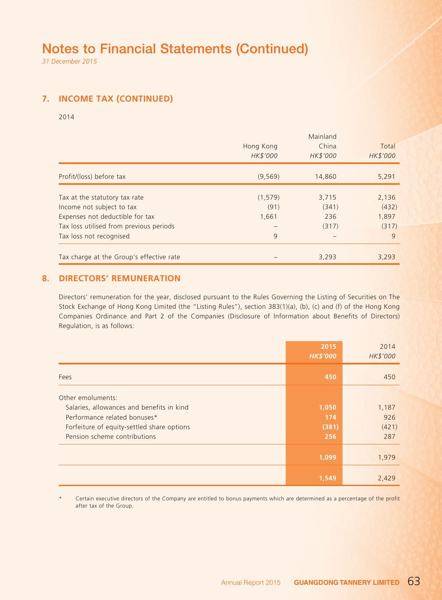*31 December 2015*

## **7. INCOME TAX (continued)**

2014

|                                          | Hong Kong<br>HK\$'000 | Mainland<br>China<br>HK\$'000 | Total<br>HK\$'000 |
|------------------------------------------|-----------------------|-------------------------------|-------------------|
| Profit/(loss) before tax                 | (9, 569)              | 14,860                        | 5,291             |
|                                          |                       |                               |                   |
| Tax at the statutory tax rate            | (1, 579)              | 3,715                         | 2,136             |
| Income not subject to tax                | (91)                  | (341)                         | (432)             |
| Expenses not deductible for tax          | 1,661                 | 236                           | 1,897             |
| Tax loss utilised from previous periods  |                       | (317)                         | (317)             |
| Tax loss not recognised                  | 9                     |                               | 9                 |
| Tax charge at the Group's effective rate |                       | 3,293                         | 3,293             |

### **8. DIRECTORS' REMUNERATION**

Directors' remuneration for the year, disclosed pursuant to the Rules Governing the Listing of Securities on The Stock Exchange of Hong Kong Limited (the "Listing Rules"), section 383(1)(a), (b), (c) and (f) of the Hong Kong Companies Ordinance and Part 2 of the Companies (Disclosure of Information about Benefits of Directors) Regulation, is as follows:

|                                                                                                                                                                              | 2015<br><b>HK\$'000</b>      | 2014<br>HK\$'000             |
|------------------------------------------------------------------------------------------------------------------------------------------------------------------------------|------------------------------|------------------------------|
| Fees                                                                                                                                                                         | 450                          | 450                          |
| Other emoluments:<br>Salaries, allowances and benefits in kind<br>Performance related bonuses*<br>Forfeiture of equity-settled share options<br>Pension scheme contributions | 1,050<br>174<br>(381)<br>256 | 1,187<br>926<br>(421)<br>287 |
|                                                                                                                                                                              | 1,099                        | 1,979                        |
|                                                                                                                                                                              | 1,549                        | 2,429                        |

Certain executive directors of the Company are entitled to bonus payments which are determined as a percentage of the profit after tax of the Group.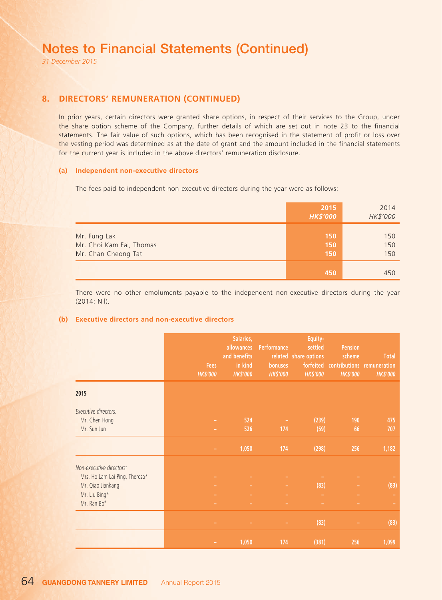### **8. DIRECTORS' REMUNERATION (continued)**

In prior years, certain directors were granted share options, in respect of their services to the Group, under the share option scheme of the Company, further details of which are set out in note 23 to the financial statements. The fair value of such options, which has been recognised in the statement of profit or loss over the vesting period was determined as at the date of grant and the amount included in the financial statements for the current year is included in the above directors' remuneration disclosure.

#### **(a) Independent non-executive directors**

The fees paid to independent non-executive directors during the year were as follows:

|                                                                 | 2015<br><b>HK\$'000</b> | 2014<br>HK\$'000  |
|-----------------------------------------------------------------|-------------------------|-------------------|
| Mr. Fung Lak<br>Mr. Choi Kam Fai, Thomas<br>Mr. Chan Cheong Tat | 150<br>150<br>150       | 150<br>150<br>150 |
|                                                                 | 450                     | 450               |

There were no other emoluments payable to the independent non-executive directors during the year (2014: Nil).

#### **(b) Executive directors and non-executive directors**

|                                                     | Fees<br><b>HK\$'000</b> | Salaries,<br>allowances<br>and benefits<br>in kind<br><b>HK\$'000</b> | Performance<br>bonuses<br><b>HK\$'000</b> | Equity-<br>settled<br>related share options<br>forfeited<br><b>HK\$'000</b> | <b>Pension</b><br>scheme<br><b>HK\$'000</b> | <b>Total</b><br>contributions remuneration<br><b>HK\$'000</b> |
|-----------------------------------------------------|-------------------------|-----------------------------------------------------------------------|-------------------------------------------|-----------------------------------------------------------------------------|---------------------------------------------|---------------------------------------------------------------|
| 2015                                                |                         |                                                                       |                                           |                                                                             |                                             |                                                               |
| Executive directors:<br>Mr. Chen Hong               |                         | 524                                                                   |                                           | (239)                                                                       | 190                                         | 475                                                           |
| Mr. Sun Jun                                         |                         | 526                                                                   | 174                                       | (59)                                                                        | 66                                          | 707                                                           |
|                                                     |                         | 1,050                                                                 | 174                                       | (298)                                                                       | 256                                         | 1,182                                                         |
| Non-executive directors:                            |                         |                                                                       |                                           |                                                                             |                                             |                                                               |
| Mrs. Ho Lam Lai Ping, Theresa*<br>Mr. Qiao Jiankang |                         |                                                                       |                                           | (83)                                                                        |                                             | (83)                                                          |
| Mr. Liu Bing*                                       |                         |                                                                       |                                           |                                                                             |                                             |                                                               |
| Mr. Ran Bo#                                         |                         |                                                                       |                                           |                                                                             |                                             |                                                               |
|                                                     |                         |                                                                       |                                           | (83)                                                                        |                                             | (83)                                                          |
|                                                     |                         | 1,050                                                                 | 174                                       | (381)                                                                       | 256                                         | 1,099                                                         |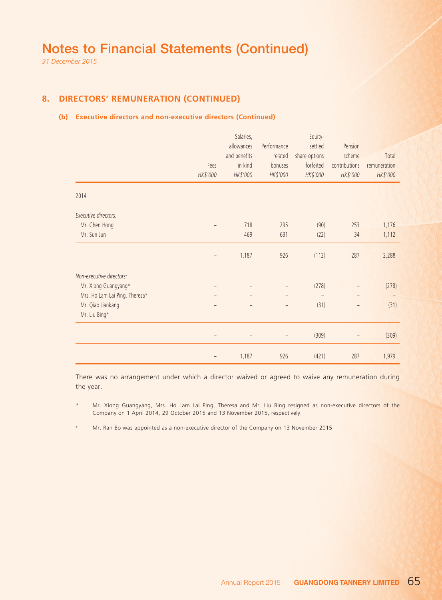## **8. DIRECTORS' REMUNERATION (continued)**

#### **(b) Executive directors and non-executive directors (Continued)**

|                                |                   | Salaries,                  |                    | Equity-                    |                         |                       |
|--------------------------------|-------------------|----------------------------|--------------------|----------------------------|-------------------------|-----------------------|
|                                |                   | allowances<br>and benefits | Performance        | settled                    | Pension                 |                       |
|                                | Fees              | in kind                    | related<br>bonuses | share options<br>forfeited | scheme<br>contributions | Total<br>remuneration |
|                                | HK\$'000          | HK\$'000                   | HK\$'000           | HK\$'000                   | HK\$'000                | HK\$'000              |
|                                |                   |                            |                    |                            |                         |                       |
| 2014                           |                   |                            |                    |                            |                         |                       |
| Executive directors:           |                   |                            |                    |                            |                         |                       |
| Mr. Chen Hong                  |                   | 718                        | 295                | (90)                       | 253                     | 1,176                 |
| Mr. Sun Jun                    |                   | 469                        | 631                | (22)                       | 34                      | 1,112                 |
|                                | $\qquad \qquad -$ | 1,187                      | 926                | (112)                      | 287                     | 2,288                 |
|                                |                   |                            |                    |                            |                         |                       |
| Non-executive directors:       |                   |                            |                    |                            |                         |                       |
| Mr. Xiong Guangyang*           |                   |                            |                    | (278)                      |                         | (278)                 |
| Mrs. Ho Lam Lai Ping, Theresa* |                   |                            |                    |                            |                         |                       |
| Mr. Qiao Jiankang              |                   |                            |                    | (31)                       |                         | (31)                  |
| Mr. Liu Bing*                  | $\qquad \qquad -$ |                            |                    |                            | -                       |                       |
|                                | -                 |                            | <sup>-</sup>       | (309)                      |                         | (309)                 |
|                                |                   | 1,187                      | 926                | (421)                      | 287                     | 1,979                 |

There was no arrangement under which a director waived or agreed to waive any remuneration during the year.

- \* Mr. Xiong Guangyang, Mrs. Ho Lam Lai Ping, Theresa and Mr. Liu Bing resigned as non-executive directors of the Company on 1 April 2014, 29 October 2015 and 13 November 2015, respectively.
- # Mr. Ran Bo was appointed as a non-executive director of the Company on 13 November 2015.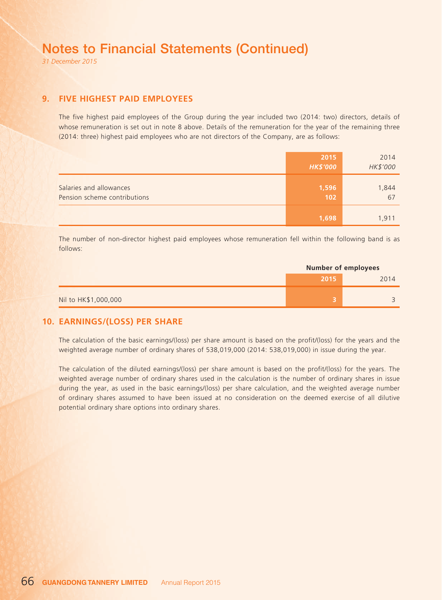*31 December 2015*

### **9. FIVE HIGHEST PAID EMPLOYEES**

The five highest paid employees of the Group during the year included two (2014: two) directors, details of whose remuneration is set out in note 8 above. Details of the remuneration for the year of the remaining three (2014: three) highest paid employees who are not directors of the Company, are as follows:

|                                                         | 2015<br><b>HK\$'000</b> | 2014<br>HK\$'000 |
|---------------------------------------------------------|-------------------------|------------------|
| Salaries and allowances<br>Pension scheme contributions | 1,596<br>102            | 1,844<br>67      |
|                                                         | 1,698                   | 1.911            |

The number of non-director highest paid employees whose remuneration fell within the following band is as follows:

|                      |       | <b>Number of employees</b> |
|----------------------|-------|----------------------------|
|                      | -2015 | 2014                       |
| Nil to HK\$1,000,000 |       |                            |

### **10. EARNINGS/(LOSS) PER SHARE**

The calculation of the basic earnings/(loss) per share amount is based on the profit/(loss) for the years and the weighted average number of ordinary shares of 538,019,000 (2014: 538,019,000) in issue during the year.

The calculation of the diluted earnings/(loss) per share amount is based on the profit/(loss) for the years. The weighted average number of ordinary shares used in the calculation is the number of ordinary shares in issue during the year, as used in the basic earnings/(loss) per share calculation, and the weighted average number of ordinary shares assumed to have been issued at no consideration on the deemed exercise of all dilutive potential ordinary share options into ordinary shares.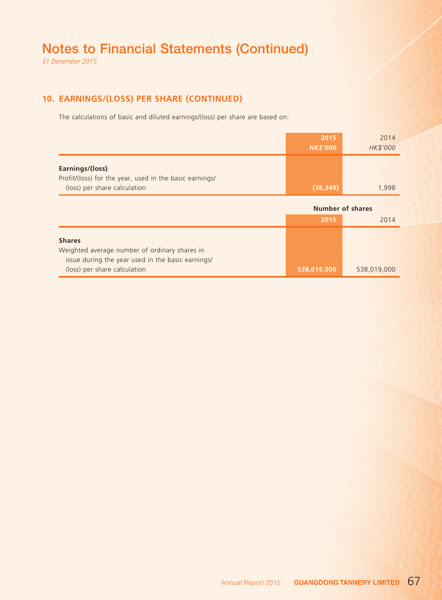*31 December 2015*

## **10. EARNINGS/(LOSS) PER SHARE (Continued)**

The calculations of basic and diluted earnings/(loss) per share are based on:

|                                                                            | 2015<br><b>HK\$'000</b> | 2014<br>HK\$'000 |
|----------------------------------------------------------------------------|-------------------------|------------------|
| Earnings/(loss)<br>Profit/(loss) for the year, used in the basic earnings/ |                         |                  |
| (loss) per share calculation                                               | (38, 349)               | 1,998            |
|                                                                            | <b>Number of shares</b> |                  |
|                                                                            | 2015                    | 2014             |
|                                                                            |                         |                  |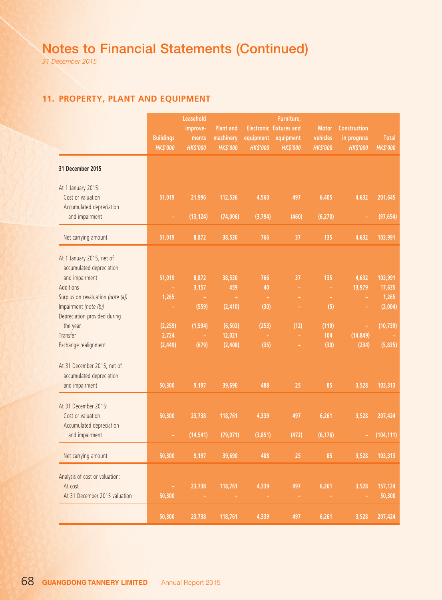*31 December 2015*

## **11. PROPERTY, PLANT AND EQUIPMENT**

|                                                                     |                                     | Leasehold<br>improve-    | <b>Plant and</b>             |                              | Furniture,<br><b>Electronic fixtures and</b> | <b>Motor</b>                | <b>Construction</b>            |                                 |
|---------------------------------------------------------------------|-------------------------------------|--------------------------|------------------------------|------------------------------|----------------------------------------------|-----------------------------|--------------------------------|---------------------------------|
|                                                                     | <b>Buildings</b><br><b>HK\$'000</b> | ments<br><b>HK\$'000</b> | machinery<br><b>HK\$'000</b> | equipment<br><b>HK\$'000</b> | equipment<br><b>HK\$'000</b>                 | vehicles<br><b>HK\$'000</b> | in progress<br><b>HK\$'000</b> | <b>Total</b><br><b>HK\$'000</b> |
| 31 December 2015                                                    |                                     |                          |                              |                              |                                              |                             |                                |                                 |
| At 1 January 2015:<br>Cost or valuation<br>Accumulated depreciation | 51,019                              | 21,996                   | 112,536                      | 4,560                        | 497                                          | 6,405                       | 4,632                          | 201,645                         |
| and impairment                                                      | ۰                                   | (13, 124)                | (74,006)                     | (3,794)                      | (460)                                        | (6, 270)                    |                                | (97, 654)                       |
| Net carrying amount                                                 | 51,019                              | 8,872                    | 38,530                       | 766                          | 37                                           | 135                         | 4,632                          | 103,991                         |
| At 1 January 2015, net of<br>accumulated depreciation               |                                     |                          |                              |                              |                                              |                             |                                |                                 |
| and impairment                                                      | 51,019                              | 8,872                    | 38,530                       | 766                          | 37                                           | 135                         | 4,632                          | 103,991                         |
| <b>Additions</b>                                                    |                                     | 3,157                    | 459                          | 40                           | $\overline{\phantom{a}}$                     | $\overline{\phantom{a}}$    | 13,979                         | 17,635                          |
| Surplus on revaluation (note (a))<br>Impairment (note (b))          | 1,265                               | (559)                    | (2, 410)                     | (30)                         | ٠                                            | ٠<br>(5)                    | ٠                              | 1,265<br>(3,004)                |
| Depreciation provided during                                        |                                     |                          |                              |                              |                                              |                             |                                |                                 |
| the year                                                            | (2, 259)                            | (1, 594)                 | (6, 502)                     | (253)                        | (12)                                         | (119)                       | ÷                              | (10, 739)                       |
| Transfer                                                            | 2,724                               | (679)                    | 12,021                       | (35)                         |                                              | 104                         | (14, 849)                      |                                 |
| Exchange realignment                                                | (2, 449)                            |                          | (2, 408)                     |                              | ٠                                            | (30)                        | (234)                          | (5,835)                         |
| At 31 December 2015, net of<br>accumulated depreciation             |                                     |                          |                              |                              |                                              |                             |                                |                                 |
| and impairment                                                      | 50,300                              | 9,197                    | 39,690                       | 488                          | 25                                           | 85                          | 3,528                          | 103,313                         |
| At 31 December 2015:                                                |                                     |                          |                              |                              |                                              |                             |                                |                                 |
| Cost or valuation                                                   | 50,300                              | 23,738                   | 118,761                      | 4,339                        | 497                                          | 6,261                       | 3,528                          | 207,424                         |
| Accumulated depreciation                                            |                                     |                          |                              |                              |                                              |                             |                                |                                 |
| and impairment                                                      |                                     | (14, 541)                | (79, 071)                    | (3,851)                      | (472)                                        | (6, 176)                    |                                | (104, 111)                      |
| Net carrying amount                                                 | 50,300                              | 9,197                    | 39,690                       | 488                          | 25                                           | 85                          | 3,528                          | 103,313                         |
| Analysis of cost or valuation:                                      |                                     |                          |                              |                              |                                              |                             |                                |                                 |
| At cost                                                             | ۰                                   | 23,738                   | 118,761                      | 4,339                        | 497                                          | 6,261                       | 3,528                          | 157,124                         |
| At 31 December 2015 valuation                                       | 50,300                              |                          |                              |                              |                                              |                             |                                | 50,300                          |
|                                                                     | 50,300                              | 23,738                   | 118,761                      | 4,339                        | 497                                          | 6,261                       | 3,528                          | 207,424                         |
|                                                                     |                                     |                          |                              |                              |                                              |                             |                                |                                 |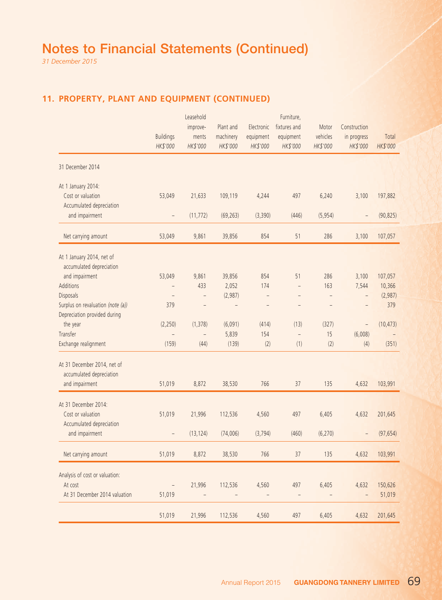*31 December 2015*

## **11. PROPERTY, PLANT AND EQUIPMENT (continued)**

|                                                                           | <b>Buildings</b><br>HK\$'000        | Leasehold<br>improve-<br>ments<br>HK\$'000 | Plant and<br>machinery<br>HK\$'000 | Electronic<br>equipment<br>HK\$'000 | Furniture,<br>fixtures and<br>equipment<br>HK\$'000 | Motor<br>vehicles<br>HK\$'000 | Construction<br>in progress<br>HK\$'000 | Total<br>HK\$'000 |
|---------------------------------------------------------------------------|-------------------------------------|--------------------------------------------|------------------------------------|-------------------------------------|-----------------------------------------------------|-------------------------------|-----------------------------------------|-------------------|
| 31 December 2014                                                          |                                     |                                            |                                    |                                     |                                                     |                               |                                         |                   |
| At 1 January 2014:                                                        |                                     |                                            |                                    |                                     |                                                     |                               |                                         |                   |
| Cost or valuation                                                         | 53,049                              | 21,633                                     | 109,119                            | 4,244                               | 497                                                 | 6,240                         | 3,100                                   | 197,882           |
| Accumulated depreciation<br>and impairment                                | $\overline{\phantom{a}}$            | (11, 772)                                  | (69, 263)                          | (3,390)                             | (446)                                               | (5, 954)                      |                                         | (90, 825)         |
| Net carrying amount                                                       | 53,049                              | 9,861                                      | 39,856                             | 854                                 | 51                                                  | 286                           | 3,100                                   | 107,057           |
| At 1 January 2014, net of                                                 |                                     |                                            |                                    |                                     |                                                     |                               |                                         |                   |
| accumulated depreciation                                                  |                                     |                                            |                                    |                                     |                                                     |                               |                                         |                   |
| and impairment                                                            | 53,049                              | 9,861                                      | 39,856                             | 854                                 | 51                                                  | 286                           | 3,100                                   | 107,057           |
| Additions                                                                 |                                     | 433                                        | 2,052                              | 174                                 | $\overline{a}$                                      | 163                           | 7,544                                   | 10,366            |
| Disposals                                                                 |                                     | $\overline{\phantom{a}}$                   | (2,987)                            | $\qquad \qquad -$                   | $\qquad \qquad -$                                   |                               | $\overline{\phantom{0}}$                | (2,987)           |
| Surplus on revaluation (note (a))                                         | 379                                 | $\overline{\phantom{0}}$                   |                                    | $\qquad \qquad -$                   | $\overline{\phantom{0}}$                            | $\overline{\phantom{m}}$      | $\overline{\phantom{0}}$                | 379               |
| Depreciation provided during                                              |                                     |                                            |                                    |                                     |                                                     |                               |                                         |                   |
| the year<br>Transfer                                                      | (2,250)<br>$\overline{\phantom{a}}$ | (1, 378)<br>$\qquad \qquad -$              | (6,091)<br>5,839                   | (414)<br>154                        | (13)<br>$\qquad \qquad -$                           | (327)<br>15                   | $\overline{\phantom{0}}$<br>(6,008)     | (10, 473)         |
| Exchange realignment                                                      | (159)                               | (44)                                       | (139)                              | (2)                                 | (1)                                                 | (2)                           | (4)                                     | (351)             |
| At 31 December 2014, net of<br>accumulated depreciation<br>and impairment | 51,019                              | 8,872                                      | 38,530                             | 766                                 | 37                                                  | 135                           | 4,632                                   | 103,991           |
|                                                                           |                                     |                                            |                                    |                                     |                                                     |                               |                                         |                   |
| At 31 December 2014:<br>Cost or valuation                                 | 51,019                              | 21,996                                     | 112,536                            | 4,560                               | 497                                                 | 6,405                         | 4,632                                   | 201,645           |
| Accumulated depreciation                                                  |                                     |                                            |                                    |                                     |                                                     |                               |                                         |                   |
| and impairment                                                            | $\overline{\phantom{a}}$            | (13, 124)                                  | (74,006)                           | (3, 794)                            | (460)                                               | (6, 270)                      |                                         | (97, 654)         |
| Net carrying amount                                                       | 51,019                              | 8,872                                      | 38,530                             | 766                                 | 37                                                  | 135                           | 4,632                                   | 103,991           |
| Analysis of cost or valuation:                                            |                                     |                                            |                                    |                                     |                                                     |                               |                                         |                   |
| At cost                                                                   | $\overline{\phantom{a}}$            | 21,996                                     | 112,536                            | 4,560                               | 497                                                 | 6,405                         | 4,632                                   | 150,626           |
| At 31 December 2014 valuation                                             | 51,019                              |                                            |                                    | $\qquad \qquad -$                   | $\overline{\phantom{0}}$                            |                               | $\overline{\phantom{0}}$                | 51,019            |
|                                                                           | 51,019                              | 21,996                                     | 112,536                            | 4,560                               | 497                                                 | 6,405                         | 4,632                                   | 201,645           |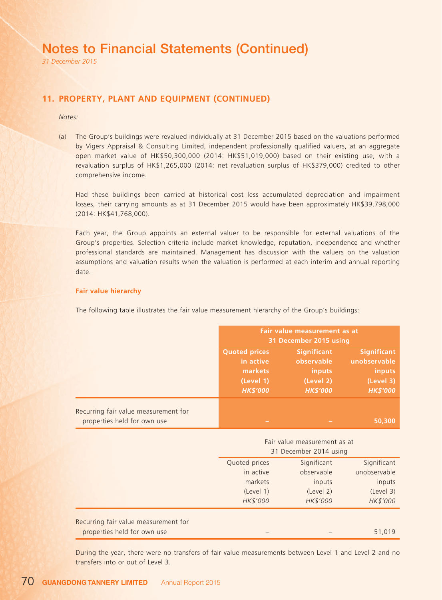## **11. PROPERTY, PLANT AND EQUIPMENT (continued)**

#### *Notes:*

(a) The Group's buildings were revalued individually at 31 December 2015 based on the valuations performed by Vigers Appraisal & Consulting Limited, independent professionally qualified valuers, at an aggregate open market value of HK\$50,300,000 (2014: HK\$51,019,000) based on their existing use, with a revaluation surplus of HK\$1,265,000 (2014: net revaluation surplus of HK\$379,000) credited to other comprehensive income.

Had these buildings been carried at historical cost less accumulated depreciation and impairment losses, their carrying amounts as at 31 December 2015 would have been approximately HK\$39,798,000 (2014: HK\$41,768,000).

Each year, the Group appoints an external valuer to be responsible for external valuations of the Group's properties. Selection criteria include market knowledge, reputation, independence and whether professional standards are maintained. Management has discussion with the valuers on the valuation assumptions and valuation results when the valuation is performed at each interim and annual reporting date.

#### **Fair value hierarchy**

The following table illustrates the fair value measurement hierarchy of the Group's buildings:

|                                                                     |                                                                              | Fair value measurement as at<br>31 December 2015 using                     |                                                                              |
|---------------------------------------------------------------------|------------------------------------------------------------------------------|----------------------------------------------------------------------------|------------------------------------------------------------------------------|
|                                                                     | <b>Quoted prices</b><br>in active<br>markets<br>(Level 1)<br><b>HK\$'000</b> | <b>Significant</b><br>observable<br>inputs<br>(Level 2)<br><b>HK\$'000</b> | <b>Significant</b><br>unobservable<br>inputs<br>(Level 3)<br><b>HK\$'000</b> |
| Recurring fair value measurement for<br>properties held for own use | $\overline{\phantom{a}}$                                                     |                                                                            | 50,300                                                                       |

|                                      | Fair value measurement as at |             |              |
|--------------------------------------|------------------------------|-------------|--------------|
|                                      | 31 December 2014 using       |             |              |
|                                      | Quoted prices                | Significant | Significant  |
|                                      | in active                    | observable  | unobservable |
|                                      | markets                      | inputs      | inputs       |
|                                      | (Level 1)                    | (Level 2)   | (Level 3)    |
|                                      | HK\$'000                     | HK\$'000    | HK\$'000     |
| Recurring fair value measurement for |                              |             |              |
| properties held for own use          |                              |             | 51,019       |

During the year, there were no transfers of fair value measurements between Level 1 and Level 2 and no transfers into or out of Level 3.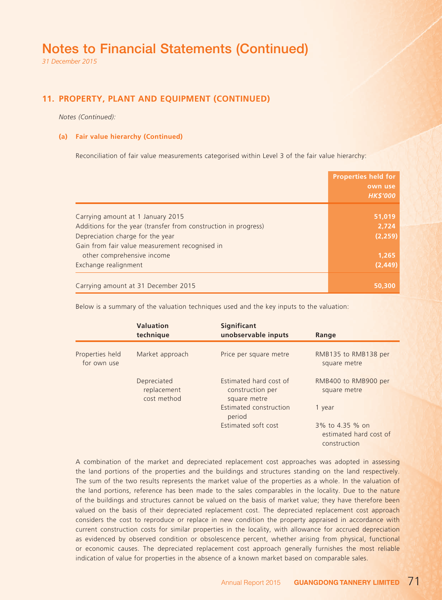## **11. PROPERTY, PLANT AND EQUIPMENT (continued)**

#### *Notes (Continued):*

#### **(a) Fair value hierarchy (Continued)**

Reconciliation of fair value measurements categorised within Level 3 of the fair value hierarchy:

|                                                                 | <b>Properties held for</b><br>own use<br><b>HK\$'000</b> |
|-----------------------------------------------------------------|----------------------------------------------------------|
| Carrying amount at 1 January 2015                               | 51,019                                                   |
| Additions for the year (transfer from construction in progress) | 2.724                                                    |
| Depreciation charge for the year                                | (2, 259)                                                 |
| Gain from fair value measurement recognised in                  |                                                          |
| other comprehensive income                                      | 1,265                                                    |
| Exchange realignment                                            | (2, 449)                                                 |
| Carrying amount at 31 December 2015                             | 50.300                                                   |

Below is a summary of the valuation techniques used and the key inputs to the valuation:

|                                | <b>Valuation</b><br>technique             | Significant<br>unobservable inputs                         | Range                                                     |
|--------------------------------|-------------------------------------------|------------------------------------------------------------|-----------------------------------------------------------|
| Properties held<br>for own use | Market approach                           | Price per square metre                                     | RMB135 to RMB138 per<br>square metre                      |
|                                | Depreciated<br>replacement<br>cost method | Estimated hard cost of<br>construction per<br>square metre | RMB400 to RMB900 per<br>square metre                      |
|                                |                                           | Estimated construction<br>period                           | 1 year                                                    |
|                                |                                           | Estimated soft cost                                        | 3% to 4.35 % on<br>estimated hard cost of<br>construction |

A combination of the market and depreciated replacement cost approaches was adopted in assessing the land portions of the properties and the buildings and structures standing on the land respectively. The sum of the two results represents the market value of the properties as a whole. In the valuation of the land portions, reference has been made to the sales comparables in the locality. Due to the nature of the buildings and structures cannot be valued on the basis of market value; they have therefore been valued on the basis of their depreciated replacement cost. The depreciated replacement cost approach considers the cost to reproduce or replace in new condition the property appraised in accordance with current construction costs for similar properties in the locality, with allowance for accrued depreciation as evidenced by observed condition or obsolescence percent, whether arising from physical, functional or economic causes. The depreciated replacement cost approach generally furnishes the most reliable indication of value for properties in the absence of a known market based on comparable sales.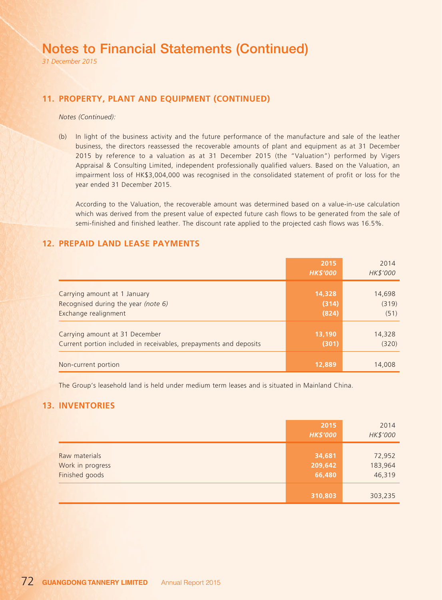## **11. PROPERTY, PLANT AND EQUIPMENT (continued)**

#### *Notes (Continued):*

(b) In light of the business activity and the future performance of the manufacture and sale of the leather business, the directors reassessed the recoverable amounts of plant and equipment as at 31 December 2015 by reference to a valuation as at 31 December 2015 (the "Valuation") performed by Vigers Appraisal & Consulting Limited, independent professionally qualified valuers. Based on the Valuation, an impairment loss of HK\$3,004,000 was recognised in the consolidated statement of profit or loss for the year ended 31 December 2015.

According to the Valuation, the recoverable amount was determined based on a value-in-use calculation which was derived from the present value of expected future cash flows to be generated from the sale of semi-finished and finished leather. The discount rate applied to the projected cash flows was 16.5%.

## **12. PREPAID LAND LEASE PAYMENTS**

|                                                                   | 2015<br><b>HK\$'000</b> | 2014<br>HK\$'000 |
|-------------------------------------------------------------------|-------------------------|------------------|
| Carrying amount at 1 January                                      | 14,328                  | 14,698           |
| Recognised during the year (note 6)                               | (314)                   | (319)            |
| Exchange realignment                                              | (824)                   | (51)             |
| Carrying amount at 31 December                                    | 13,190                  | 14,328           |
| Current portion included in receivables, prepayments and deposits | (301)                   | (320)            |
| Non-current portion                                               | 12,889                  | 14.008           |

The Group's leasehold land is held under medium term leases and is situated in Mainland China.

#### **13. INVENTORIES**

|                                                     | 2015<br><b>HK\$'000</b>     | 2014<br>HK\$'000            |
|-----------------------------------------------------|-----------------------------|-----------------------------|
| Raw materials<br>Work in progress<br>Finished goods | 34,681<br>209,642<br>66,480 | 72,952<br>183,964<br>46,319 |
|                                                     | 310,803                     | 303,235                     |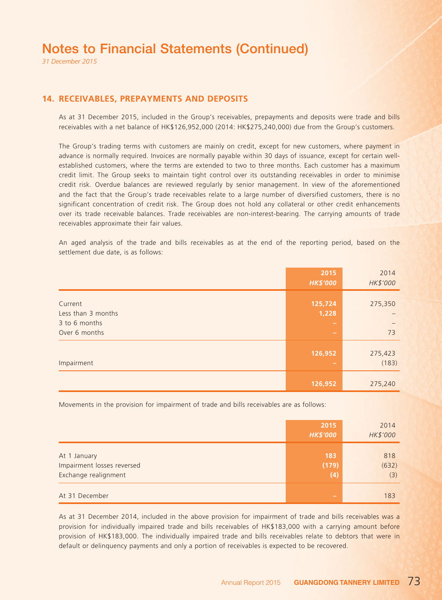*31 December 2015*

#### **14. RECEIVABLES, PREPAYMENTS AND DEPOSITS**

As at 31 December 2015, included in the Group's receivables, prepayments and deposits were trade and bills receivables with a net balance of HK\$126,952,000 (2014: HK\$275,240,000) due from the Group's customers.

The Group's trading terms with customers are mainly on credit, except for new customers, where payment in advance is normally required. Invoices are normally payable within 30 days of issuance, except for certain wellestablished customers, where the terms are extended to two to three months. Each customer has a maximum credit limit. The Group seeks to maintain tight control over its outstanding receivables in order to minimise credit risk. Overdue balances are reviewed regularly by senior management. In view of the aforementioned and the fact that the Group's trade receivables relate to a large number of diversified customers, there is no significant concentration of credit risk. The Group does not hold any collateral or other credit enhancements over its trade receivable balances. Trade receivables are non-interest-bearing. The carrying amounts of trade receivables approximate their fair values.

An aged analysis of the trade and bills receivables as at the end of the reporting period, based on the settlement due date, is as follows:

|                                                                 | 2015<br><b>HK\$'000</b>         | 2014<br>HK\$'000 |
|-----------------------------------------------------------------|---------------------------------|------------------|
| Current<br>Less than 3 months<br>3 to 6 months<br>Over 6 months | 125,724<br>1,228<br>$\sim$<br>- | 275,350<br>73    |
| Impairment                                                      | 126,952<br>$\sim$               | 275,423<br>(183) |
|                                                                 | 126,952                         | 275,240          |

Movements in the provision for impairment of trade and bills receivables are as follows:

|                                                                    | 2015<br><b>HK\$'000</b> | 2014<br>HK\$'000    |
|--------------------------------------------------------------------|-------------------------|---------------------|
| At 1 January<br>Impairment losses reversed<br>Exchange realignment | 183<br>(179)<br>(4)     | 818<br>(632)<br>(3) |
| At 31 December                                                     | $\sim$                  | 183                 |

As at 31 December 2014, included in the above provision for impairment of trade and bills receivables was a provision for individually impaired trade and bills receivables of HK\$183,000 with a carrying amount before provision of HK\$183,000. The individually impaired trade and bills receivables relate to debtors that were in default or delinquency payments and only a portion of receivables is expected to be recovered.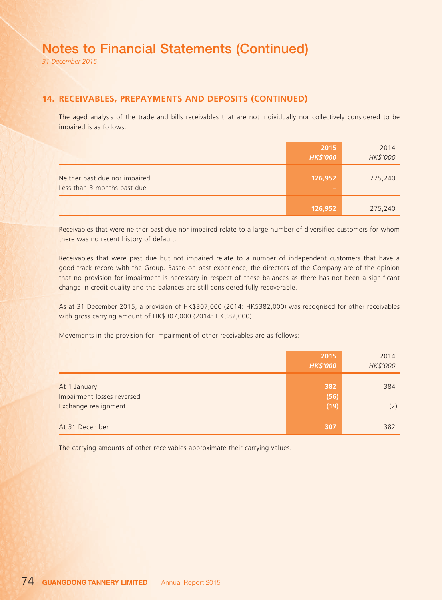## **14. RECEIVABLES, PREPAYMENTS AND DEPOSITS (Continued)**

The aged analysis of the trade and bills receivables that are not individually nor collectively considered to be impaired is as follows:

|                                                              | 2015<br><b>HK\$'000</b> | 2014<br>HK\$'000 |
|--------------------------------------------------------------|-------------------------|------------------|
| Neither past due nor impaired<br>Less than 3 months past due | 126,952<br>$\sim$       | 275,240          |
|                                                              | 126,952                 | 275,240          |

Receivables that were neither past due nor impaired relate to a large number of diversified customers for whom there was no recent history of default.

Receivables that were past due but not impaired relate to a number of independent customers that have a good track record with the Group. Based on past experience, the directors of the Company are of the opinion that no provision for impairment is necessary in respect of these balances as there has not been a significant change in credit quality and the balances are still considered fully recoverable.

As at 31 December 2015, a provision of HK\$307,000 (2014: HK\$382,000) was recognised for other receivables with gross carrying amount of HK\$307,000 (2014: HK382,000).

Movements in the provision for impairment of other receivables are as follows:

|                                                                    | 2015<br><b>HK\$'000</b> | 2014<br>HK\$'000 |
|--------------------------------------------------------------------|-------------------------|------------------|
| At 1 January<br>Impairment losses reversed<br>Exchange realignment | 382<br>(56)<br>(19)     | 384<br>(2)       |
| At 31 December                                                     | 307                     | 382              |

The carrying amounts of other receivables approximate their carrying values.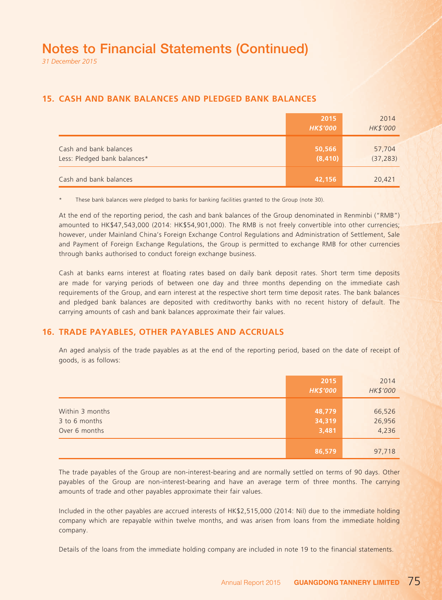# **15. CASH AND BANK BALANCES AND PLEDGED BANK BALANCES**

|                                                        | 2015<br><b>HK\$'000</b> | 2014<br>HK\$'000    |
|--------------------------------------------------------|-------------------------|---------------------|
| Cash and bank balances<br>Less: Pledged bank balances* | 50,566<br>(8, 410)      | 57,704<br>(37, 283) |
| Cash and bank balances                                 | 42,156                  | 20,421              |

These bank balances were pledged to banks for banking facilities granted to the Group (note 30).

At the end of the reporting period, the cash and bank balances of the Group denominated in Renminbi ("RMB") amounted to HK\$47,543,000 (2014: HK\$54,901,000). The RMB is not freely convertible into other currencies; however, under Mainland China's Foreign Exchange Control Regulations and Administration of Settlement, Sale and Payment of Foreign Exchange Regulations, the Group is permitted to exchange RMB for other currencies through banks authorised to conduct foreign exchange business.

Cash at banks earns interest at floating rates based on daily bank deposit rates. Short term time deposits are made for varying periods of between one day and three months depending on the immediate cash requirements of the Group, and earn interest at the respective short term time deposit rates. The bank balances and pledged bank balances are deposited with creditworthy banks with no recent history of default. The carrying amounts of cash and bank balances approximate their fair values.

## **16. TRADE PAYABLES, OTHER PAYABLES AND ACCRUALS**

An aged analysis of the trade payables as at the end of the reporting period, based on the date of receipt of goods, is as follows:

|                 | 2015<br><b>HK\$'000</b> | 2014<br>HK\$'000 |
|-----------------|-------------------------|------------------|
|                 |                         |                  |
| Within 3 months | 48,779                  | 66,526           |
| 3 to 6 months   | 34,319                  | 26,956           |
| Over 6 months   | 3,481                   | 4,236            |
|                 |                         |                  |
|                 | 86,579                  | 97,718           |

The trade payables of the Group are non-interest-bearing and are normally settled on terms of 90 days. Other payables of the Group are non-interest-bearing and have an average term of three months. The carrying amounts of trade and other payables approximate their fair values.

Included in the other payables are accrued interests of HK\$2,515,000 (2014: Nil) due to the immediate holding company which are repayable within twelve months, and was arisen from loans from the immediate holding company.

Details of the loans from the immediate holding company are included in note 19 to the financial statements.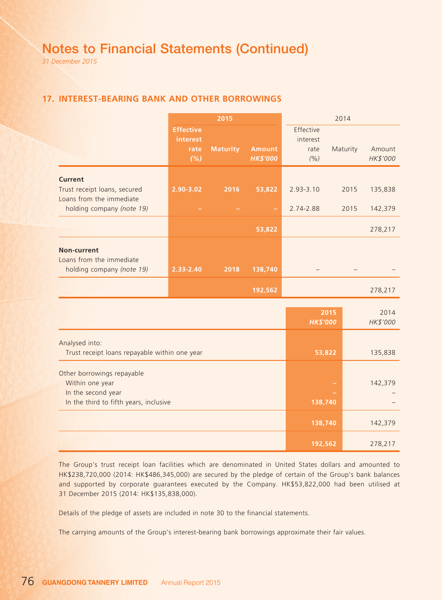# **17. INTEREST-BEARING BANK AND OTHER BORROWINGS**

|                                                                                                         |                                             | 2015            |                                  |                                              | 2014         |                    |
|---------------------------------------------------------------------------------------------------------|---------------------------------------------|-----------------|----------------------------------|----------------------------------------------|--------------|--------------------|
|                                                                                                         | <b>Effective</b><br>interest<br>rate<br>(%) | <b>Maturity</b> | <b>Amount</b><br><b>HK\$'000</b> | <b>Effective</b><br>interest<br>rate<br>(% ) | Maturity     | Amount<br>HK\$'000 |
| <b>Current</b><br>Trust receipt loans, secured<br>Loans from the immediate<br>holding company (note 19) | 2.90-3.02                                   | 2016            | 53,822                           | $2.93 - 3.10$<br>2.74-2.88                   | 2015<br>2015 | 135,838<br>142,379 |
|                                                                                                         |                                             |                 | 53,822                           |                                              |              | 278,217            |
| <b>Non-current</b><br>Loans from the immediate<br>holding company (note 19)                             | 2.33-2.40                                   | 2018            | 138,740                          |                                              |              |                    |
|                                                                                                         |                                             |                 | 192,562                          |                                              |              | 278,217            |

|                                               | 2015<br><b>HK\$'000</b> | 2014<br>HK\$'000 |
|-----------------------------------------------|-------------------------|------------------|
| Analysed into:                                |                         |                  |
| Trust receipt loans repayable within one year | 53,822                  | 135,838          |
| Other borrowings repayable                    |                         |                  |
| Within one year                               |                         | 142,379          |
| In the second year                            | -                       |                  |
| In the third to fifth years, inclusive        | 138,740                 |                  |
|                                               | 138,740                 | 142,379          |
|                                               | 192,562                 | 278,217          |

The Group's trust receipt loan facilities which are denominated in United States dollars and amounted to HK\$238,720,000 (2014: HK\$486,345,000) are secured by the pledge of certain of the Group's bank balances and supported by corporate guarantees executed by the Company. HK\$53,822,000 had been utilised at 31 December 2015 (2014: HK\$135,838,000).

Details of the pledge of assets are included in note 30 to the financial statements.

The carrying amounts of the Group's interest-bearing bank borrowings approximate their fair values.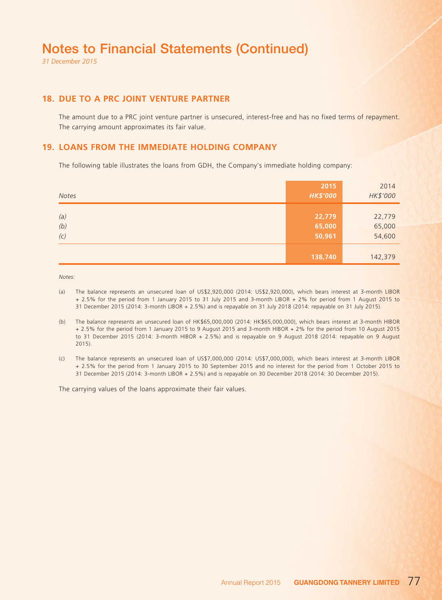*31 December 2015*

### **18. DUE TO A PRC JOINT VENTURE PARTNER**

The amount due to a PRC joint venture partner is unsecured, interest-free and has no fixed terms of repayment. The carrying amount approximates its fair value.

### **19. LOANS FROM THE IMMEDIATE HOLDING COMPANY**

The following table illustrates the loans from GDH, the Company's immediate holding company:

| <b>Notes</b>      | 2015<br><b>HK\$'000</b>    | 2014<br>HK\$'000           |
|-------------------|----------------------------|----------------------------|
| (a)<br>(b)<br>(c) | 22,779<br>65,000<br>50,961 | 22,779<br>65,000<br>54,600 |
|                   | 138,740                    | 142,379                    |

*Notes:*

- (a) The balance represents an unsecured loan of US\$2,920,000 (2014: US\$2,920,000), which bears interest at 3-month LIBOR + 2.5% for the period from 1 January 2015 to 31 July 2015 and 3-month LIBOR + 2% for period from 1 August 2015 to 31 December 2015 (2014: 3-month LIBOR + 2.5%) and is repayable on 31 July 2018 (2014: repayable on 31 July 2015).
- (b) The balance represents an unsecured loan of HK\$65,000,000 (2014: HK\$65,000,000), which bears interest at 3-month HIBOR + 2.5% for the period from 1 January 2015 to 9 August 2015 and 3-month HIBOR + 2% for the period from 10 August 2015 to 31 December 2015 (2014: 3-month HIBOR + 2.5%) and is repayable on 9 August 2018 (2014: repayable on 9 August 2015).
- (c) The balance represents an unsecured loan of US\$7,000,000 (2014: US\$7,000,000), which bears interest at 3-month LIBOR + 2.5% for the period from 1 January 2015 to 30 September 2015 and no interest for the period from 1 October 2015 to 31 December 2015 (2014: 3-month LIBOR + 2.5%) and is repayable on 30 December 2018 (2014: 30 December 2015).

The carrying values of the loans approximate their fair values.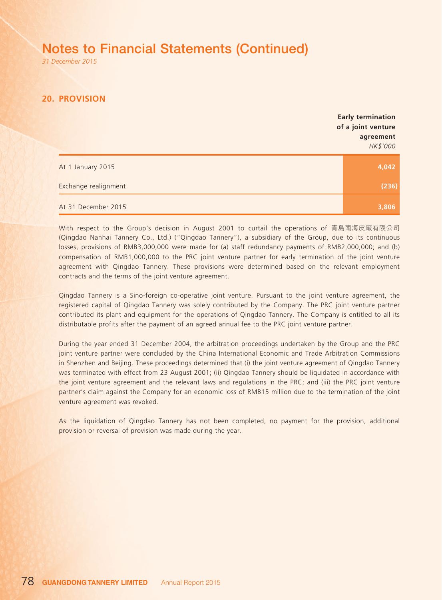*31 December 2015*

### **20. PROVISION**

|                      | <b>Early termination</b><br>of a joint venture |
|----------------------|------------------------------------------------|
|                      | agreement<br>HK\$'000                          |
| At 1 January 2015    | 4,042                                          |
| Exchange realignment | (236)                                          |
| At 31 December 2015  | 3,806                                          |

With respect to the Group's decision in August 2001 to curtail the operations of 青島南海皮廠有限公司 (Qingdao Nanhai Tannery Co., Ltd.) ("Qingdao Tannery"), a subsidiary of the Group, due to its continuous losses, provisions of RMB3,000,000 were made for (a) staff redundancy payments of RMB2,000,000; and (b) compensation of RMB1,000,000 to the PRC joint venture partner for early termination of the joint venture agreement with Qingdao Tannery. These provisions were determined based on the relevant employment contracts and the terms of the joint venture agreement.

Qingdao Tannery is a Sino-foreign co-operative joint venture. Pursuant to the joint venture agreement, the registered capital of Qingdao Tannery was solely contributed by the Company. The PRC joint venture partner contributed its plant and equipment for the operations of Qingdao Tannery. The Company is entitled to all its distributable profits after the payment of an agreed annual fee to the PRC joint venture partner.

During the year ended 31 December 2004, the arbitration proceedings undertaken by the Group and the PRC joint venture partner were concluded by the China International Economic and Trade Arbitration Commissions in Shenzhen and Beijing. These proceedings determined that (i) the joint venture agreement of Qingdao Tannery was terminated with effect from 23 August 2001; (ii) Qingdao Tannery should be liquidated in accordance with the joint venture agreement and the relevant laws and regulations in the PRC; and (iii) the PRC joint venture partner's claim against the Company for an economic loss of RMB15 million due to the termination of the joint venture agreement was revoked.

As the liquidation of Qingdao Tannery has not been completed, no payment for the provision, additional provision or reversal of provision was made during the year.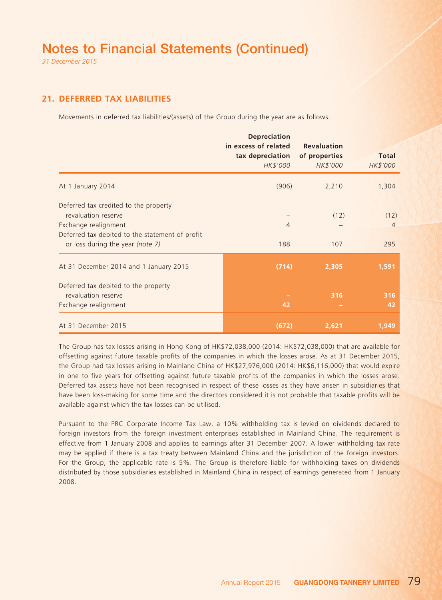*31 December 2015*

### **21. DEFERRED TAX LIABILITIES**

Movements in deferred tax liabilities/(assets) of the Group during the year are as follows:

|                                                                                                                                                                             | <b>Depreciation</b><br>in excess of related<br>tax depreciation<br>HK\$'000 | <b>Revaluation</b><br>of properties<br>HK\$'000 | <b>Total</b><br>HK\$'000      |
|-----------------------------------------------------------------------------------------------------------------------------------------------------------------------------|-----------------------------------------------------------------------------|-------------------------------------------------|-------------------------------|
| At 1 January 2014                                                                                                                                                           | (906)                                                                       | 2,210                                           | 1,304                         |
| Deferred tax credited to the property<br>revaluation reserve<br>Exchange realignment<br>Deferred tax debited to the statement of profit<br>or loss during the year (note 7) | $\overline{4}$<br>188                                                       | (12)<br>107                                     | (12)<br>$\overline{4}$<br>295 |
| At 31 December 2014 and 1 January 2015                                                                                                                                      | (714)                                                                       | 2,305                                           | 1,591                         |
| Deferred tax debited to the property<br>revaluation reserve<br>Exchange realignment                                                                                         | 42                                                                          | 316                                             | 316<br>42                     |
| At 31 December 2015                                                                                                                                                         | (672)                                                                       | 2,621                                           | 1,949                         |

The Group has tax losses arising in Hong Kong of HK\$72,038,000 (2014: HK\$72,038,000) that are available for offsetting against future taxable profits of the companies in which the losses arose. As at 31 December 2015, the Group had tax losses arising in Mainland China of HK\$27,976,000 (2014: HK\$6,116,000) that would expire in one to five years for offsetting against future taxable profits of the companies in which the losses arose. Deferred tax assets have not been recognised in respect of these losses as they have arisen in subsidiaries that have been loss-making for some time and the directors considered it is not probable that taxable profits will be available against which the tax losses can be utilised.

Pursuant to the PRC Corporate Income Tax Law, a 10% withholding tax is levied on dividends declared to foreign investors from the foreign investment enterprises established in Mainland China. The requirement is effective from 1 January 2008 and applies to earnings after 31 December 2007. A lower withholding tax rate may be applied if there is a tax treaty between Mainland China and the jurisdiction of the foreign investors. For the Group, the applicable rate is 5%. The Group is therefore liable for withholding taxes on dividends distributed by those subsidiaries established in Mainland China in respect of earnings generated from 1 January 2008.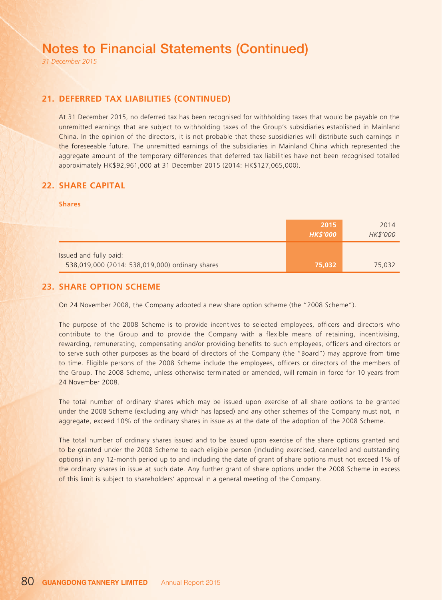#### **21. DEFERRED TAX LIABILITIES (continued)**

At 31 December 2015, no deferred tax has been recognised for withholding taxes that would be payable on the unremitted earnings that are subject to withholding taxes of the Group's subsidiaries established in Mainland China. In the opinion of the directors, it is not probable that these subsidiaries will distribute such earnings in the foreseeable future. The unremitted earnings of the subsidiaries in Mainland China which represented the aggregate amount of the temporary differences that deferred tax liabilities have not been recognised totalled approximately HK\$92,961,000 at 31 December 2015 (2014: HK\$127,065,000).

#### **22. SHARE CAPITAL**

**Shares**

|                                                                           | 2015<br><b>HK\$'000</b> | 2014<br>HK\$'000 |
|---------------------------------------------------------------------------|-------------------------|------------------|
| Issued and fully paid:<br>538,019,000 (2014: 538,019,000) ordinary shares | 75,032                  | 75,032           |

#### **23. SHARE OPTION SCHEME**

On 24 November 2008, the Company adopted a new share option scheme (the "2008 Scheme").

The purpose of the 2008 Scheme is to provide incentives to selected employees, officers and directors who contribute to the Group and to provide the Company with a flexible means of retaining, incentivising, rewarding, remunerating, compensating and/or providing benefits to such employees, officers and directors or to serve such other purposes as the board of directors of the Company (the "Board") may approve from time to time. Eligible persons of the 2008 Scheme include the employees, officers or directors of the members of the Group. The 2008 Scheme, unless otherwise terminated or amended, will remain in force for 10 years from 24 November 2008.

The total number of ordinary shares which may be issued upon exercise of all share options to be granted under the 2008 Scheme (excluding any which has lapsed) and any other schemes of the Company must not, in aggregate, exceed 10% of the ordinary shares in issue as at the date of the adoption of the 2008 Scheme.

The total number of ordinary shares issued and to be issued upon exercise of the share options granted and to be granted under the 2008 Scheme to each eligible person (including exercised, cancelled and outstanding options) in any 12-month period up to and including the date of grant of share options must not exceed 1% of the ordinary shares in issue at such date. Any further grant of share options under the 2008 Scheme in excess of this limit is subject to shareholders' approval in a general meeting of the Company.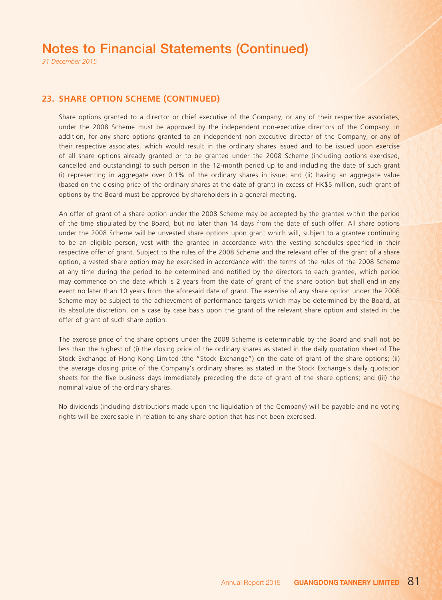*31 December 2015*

#### **23. SHARE OPTION SCHEME (continued)**

Share options granted to a director or chief executive of the Company, or any of their respective associates, under the 2008 Scheme must be approved by the independent non-executive directors of the Company. In addition, for any share options granted to an independent non-executive director of the Company, or any of their respective associates, which would result in the ordinary shares issued and to be issued upon exercise of all share options already granted or to be granted under the 2008 Scheme (including options exercised, cancelled and outstanding) to such person in the 12-month period up to and including the date of such grant (i) representing in aggregate over 0.1% of the ordinary shares in issue; and (ii) having an aggregate value (based on the closing price of the ordinary shares at the date of grant) in excess of HK\$5 million, such grant of options by the Board must be approved by shareholders in a general meeting.

An offer of grant of a share option under the 2008 Scheme may be accepted by the grantee within the period of the time stipulated by the Board, but no later than 14 days from the date of such offer. All share options under the 2008 Scheme will be unvested share options upon grant which will, subject to a grantee continuing to be an eligible person, vest with the grantee in accordance with the vesting schedules specified in their respective offer of grant. Subject to the rules of the 2008 Scheme and the relevant offer of the grant of a share option, a vested share option may be exercised in accordance with the terms of the rules of the 2008 Scheme at any time during the period to be determined and notified by the directors to each grantee, which period may commence on the date which is 2 years from the date of grant of the share option but shall end in any event no later than 10 years from the aforesaid date of grant. The exercise of any share option under the 2008 Scheme may be subject to the achievement of performance targets which may be determined by the Board, at its absolute discretion, on a case by case basis upon the grant of the relevant share option and stated in the offer of grant of such share option.

The exercise price of the share options under the 2008 Scheme is determinable by the Board and shall not be less than the highest of (i) the closing price of the ordinary shares as stated in the daily quotation sheet of The Stock Exchange of Hong Kong Limited (the "Stock Exchange") on the date of grant of the share options; (ii) the average closing price of the Company's ordinary shares as stated in the Stock Exchange's daily quotation sheets for the five business days immediately preceding the date of grant of the share options; and (iii) the nominal value of the ordinary shares.

No dividends (including distributions made upon the liquidation of the Company) will be payable and no voting rights will be exercisable in relation to any share option that has not been exercised.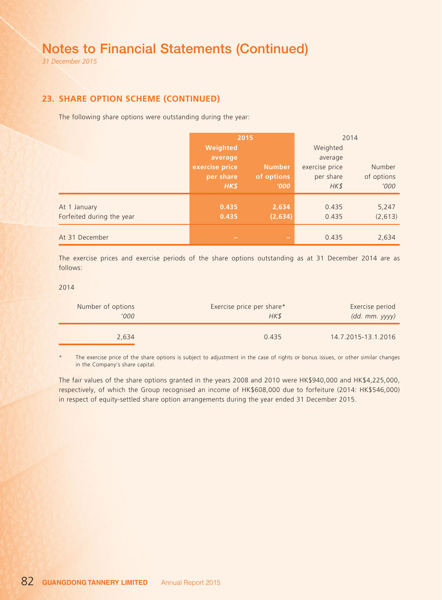## **23. SHARE OPTION SCHEME (continued)**

The following share options were outstanding during the year:

|                           |                | 2015          |                | 2014       |
|---------------------------|----------------|---------------|----------------|------------|
|                           | Weighted       |               | Weighted       |            |
|                           | average        |               | average        |            |
|                           | exercise price | <b>Number</b> | exercise price | Number     |
|                           | per share      | of options    | per share      | of options |
|                           | HK\$           | '000          | HK\$           | '000       |
|                           |                |               |                |            |
| At 1 January              | 0.435          | 2,634         | 0.435          | 5,247      |
| Forfeited during the year | 0.435          | (2,634)       | 0.435          | (2,613)    |
|                           |                |               |                |            |
| At 31 December            |                | ٠             | 0.435          | 2,634      |

The exercise prices and exercise periods of the share options outstanding as at 31 December 2014 are as follows:

2014

| Number of options | Exercise price per share* | Exercise period     |
|-------------------|---------------------------|---------------------|
| '000'             | HKS                       | $(dd.$ mm. $yyyy)$  |
| 2.634             | 0435                      | 14.7.2015-13.1.2016 |

\* The exercise price of the share options is subject to adjustment in the case of rights or bonus issues, or other similar changes in the Company's share capital.

The fair values of the share options granted in the years 2008 and 2010 were HK\$940,000 and HK\$4,225,000, respectively, of which the Group recognised an income of HK\$608,000 due to forfeiture (2014: HK\$546,000) in respect of equity-settled share option arrangements during the year ended 31 December 2015.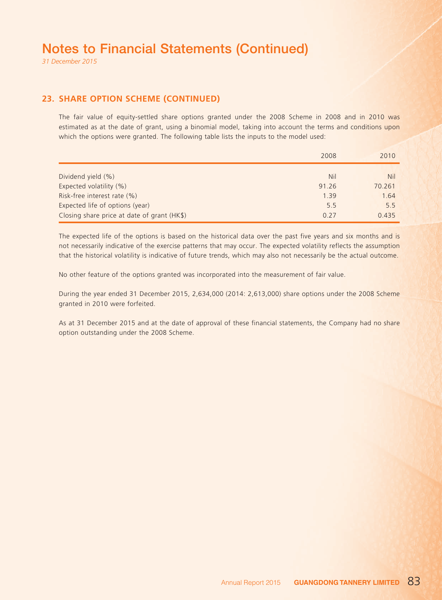*31 December 2015*

### **23. SHARE OPTION SCHEME (continued)**

The fair value of equity-settled share options granted under the 2008 Scheme in 2008 and in 2010 was estimated as at the date of grant, using a binomial model, taking into account the terms and conditions upon which the options were granted. The following table lists the inputs to the model used:

|                                             | 2008       | 2010       |
|---------------------------------------------|------------|------------|
| Dividend yield (%)                          | <b>Nil</b> | <b>Nil</b> |
| Expected volatility (%)                     | 91.26      | 70.261     |
| Risk-free interest rate (%)                 | 1.39       | 1.64       |
| Expected life of options (year)             | 5.5        | 5.5        |
| Closing share price at date of grant (HK\$) | 0.27       | 0.435      |

The expected life of the options is based on the historical data over the past five years and six months and is not necessarily indicative of the exercise patterns that may occur. The expected volatility reflects the assumption that the historical volatility is indicative of future trends, which may also not necessarily be the actual outcome.

No other feature of the options granted was incorporated into the measurement of fair value.

During the year ended 31 December 2015, 2,634,000 (2014: 2,613,000) share options under the 2008 Scheme granted in 2010 were forfeited.

As at 31 December 2015 and at the date of approval of these financial statements, the Company had no share option outstanding under the 2008 Scheme.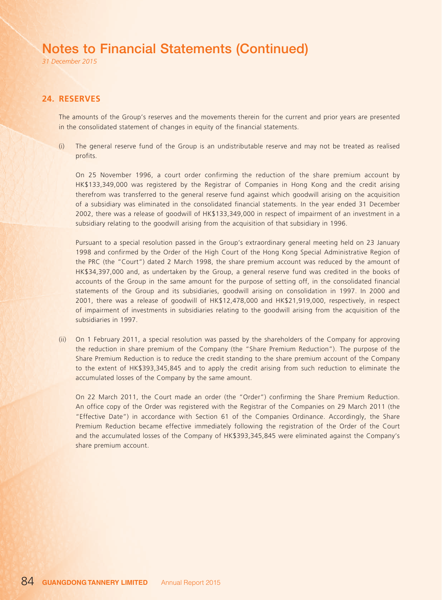*31 December 2015*

# **24. RESERVES**

The amounts of the Group's reserves and the movements therein for the current and prior years are presented in the consolidated statement of changes in equity of the financial statements.

(i) The general reserve fund of the Group is an undistributable reserve and may not be treated as realised profits.

On 25 November 1996, a court order confirming the reduction of the share premium account by HK\$133,349,000 was registered by the Registrar of Companies in Hong Kong and the credit arising therefrom was transferred to the general reserve fund against which goodwill arising on the acquisition of a subsidiary was eliminated in the consolidated financial statements. In the year ended 31 December 2002, there was a release of goodwill of HK\$133,349,000 in respect of impairment of an investment in a subsidiary relating to the goodwill arising from the acquisition of that subsidiary in 1996.

Pursuant to a special resolution passed in the Group's extraordinary general meeting held on 23 January 1998 and confirmed by the Order of the High Court of the Hong Kong Special Administrative Region of the PRC (the "Court") dated 2 March 1998, the share premium account was reduced by the amount of HK\$34,397,000 and, as undertaken by the Group, a general reserve fund was credited in the books of accounts of the Group in the same amount for the purpose of setting off, in the consolidated financial statements of the Group and its subsidiaries, goodwill arising on consolidation in 1997. In 2000 and 2001, there was a release of goodwill of HK\$12,478,000 and HK\$21,919,000, respectively, in respect of impairment of investments in subsidiaries relating to the goodwill arising from the acquisition of the subsidiaries in 1997.

(ii) On 1 February 2011, a special resolution was passed by the shareholders of the Company for approving the reduction in share premium of the Company (the "Share Premium Reduction"). The purpose of the Share Premium Reduction is to reduce the credit standing to the share premium account of the Company to the extent of HK\$393,345,845 and to apply the credit arising from such reduction to eliminate the accumulated losses of the Company by the same amount.

On 22 March 2011, the Court made an order (the "Order") confirming the Share Premium Reduction. An office copy of the Order was registered with the Registrar of the Companies on 29 March 2011 (the "Effective Date") in accordance with Section 61 of the Companies Ordinance. Accordingly, the Share Premium Reduction became effective immediately following the registration of the Order of the Court and the accumulated losses of the Company of HK\$393,345,845 were eliminated against the Company's share premium account.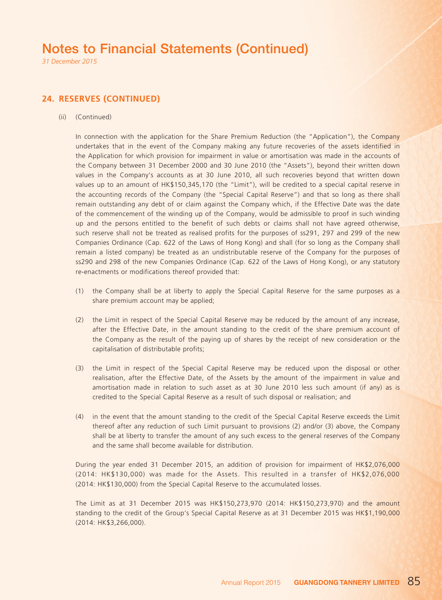*31 December 2015*

## **24. RESERVES (continued)**

(ii) (Continued)

In connection with the application for the Share Premium Reduction (the "Application"), the Company undertakes that in the event of the Company making any future recoveries of the assets identified in the Application for which provision for impairment in value or amortisation was made in the accounts of the Company between 31 December 2000 and 30 June 2010 (the "Assets"), beyond their written down values in the Company's accounts as at 30 June 2010, all such recoveries beyond that written down values up to an amount of HK\$150,345,170 (the "Limit"), will be credited to a special capital reserve in the accounting records of the Company (the "Special Capital Reserve") and that so long as there shall remain outstanding any debt of or claim against the Company which, if the Effective Date was the date of the commencement of the winding up of the Company, would be admissible to proof in such winding up and the persons entitled to the benefit of such debts or claims shall not have agreed otherwise, such reserve shall not be treated as realised profits for the purposes of ss291, 297 and 299 of the new Companies Ordinance (Cap. 622 of the Laws of Hong Kong) and shall (for so long as the Company shall remain a listed company) be treated as an undistributable reserve of the Company for the purposes of ss290 and 298 of the new Companies Ordinance (Cap. 622 of the Laws of Hong Kong), or any statutory re-enactments or modifications thereof provided that:

- (1) the Company shall be at liberty to apply the Special Capital Reserve for the same purposes as a share premium account may be applied;
- (2) the Limit in respect of the Special Capital Reserve may be reduced by the amount of any increase, after the Effective Date, in the amount standing to the credit of the share premium account of the Company as the result of the paying up of shares by the receipt of new consideration or the capitalisation of distributable profits;
- (3) the Limit in respect of the Special Capital Reserve may be reduced upon the disposal or other realisation, after the Effective Date, of the Assets by the amount of the impairment in value and amortisation made in relation to such asset as at 30 June 2010 less such amount (if any) as is credited to the Special Capital Reserve as a result of such disposal or realisation; and
- (4) in the event that the amount standing to the credit of the Special Capital Reserve exceeds the Limit thereof after any reduction of such Limit pursuant to provisions (2) and/or (3) above, the Company shall be at liberty to transfer the amount of any such excess to the general reserves of the Company and the same shall become available for distribution.

During the year ended 31 December 2015, an addition of provision for impairment of HK\$2,076,000 (2014: HK\$130,000) was made for the Assets. This resulted in a transfer of HK\$2,076,000 (2014: HK\$130,000) from the Special Capital Reserve to the accumulated losses.

The Limit as at 31 December 2015 was HK\$150,273,970 (2014: HK\$150,273,970) and the amount standing to the credit of the Group's Special Capital Reserve as at 31 December 2015 was HK\$1,190,000 (2014: HK\$3,266,000).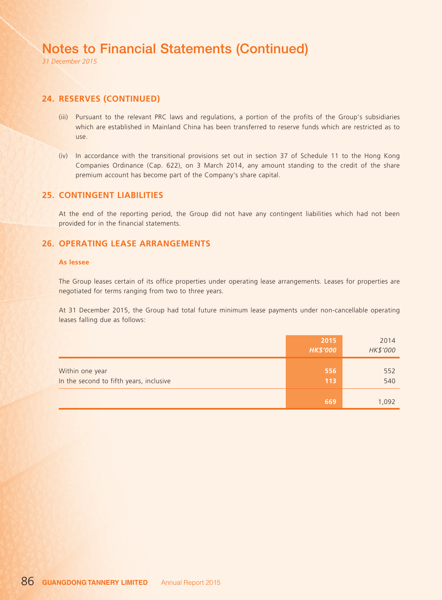*31 December 2015*

### 24. RESERVES (CONTINUED)

- (iii) Pursuant to the relevant PRC laws and regulations, a portion of the profits of the Group's subsidiaries which are established in Mainland China has been transferred to reserve funds which are restricted as to use.
- (iv) In accordance with the transitional provisions set out in section 37 of Schedule 11 to the Hong Kong Companies Ordinance (Cap. 622), on 3 March 2014, any amount standing to the credit of the share premium account has become part of the Company's share capital.

#### **25. CONTINGENT LIABILITIES**

At the end of the reporting period, the Group did not have any contingent liabilities which had not been provided for in the financial statements.

### **26. OPERATING LEASE ARRANGEMENTS**

#### **As lessee**

The Group leases certain of its office properties under operating lease arrangements. Leases for properties are negotiated for terms ranging from two to three years.

At 31 December 2015, the Group had total future minimum lease payments under non-cancellable operating leases falling due as follows:

|                                                            | 2015<br><b>HK\$'000</b> | 2014<br>HK\$'000 |
|------------------------------------------------------------|-------------------------|------------------|
| Within one year<br>In the second to fifth years, inclusive | 556<br>113              | 552<br>540       |
|                                                            | 669                     | 1,092            |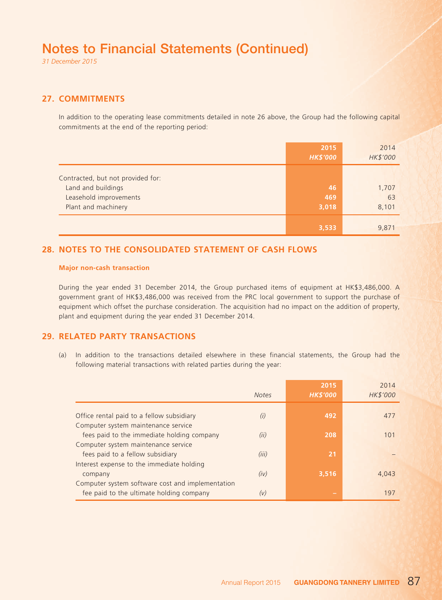*31 December 2015*

## **27. COMMITMENTS**

In addition to the operating lease commitments detailed in note 26 above, the Group had the following capital commitments at the end of the reporting period:

|                                                                                                          | 2015<br><b>HK\$'000</b> | 2014<br>HK\$'000     |
|----------------------------------------------------------------------------------------------------------|-------------------------|----------------------|
| Contracted, but not provided for:<br>Land and buildings<br>Leasehold improvements<br>Plant and machinery | 46<br>469<br>3,018      | 1,707<br>63<br>8,101 |
|                                                                                                          | 3,533                   | 9,871                |

## **28. NOTES TO THE CONSOLIDATED STATEMENT OF CASH FLOWS**

#### **Major non-cash transaction**

During the year ended 31 December 2014, the Group purchased items of equipment at HK\$3,486,000. A government grant of HK\$3,486,000 was received from the PRC local government to support the purchase of equipment which offset the purchase consideration. The acquisition had no impact on the addition of property, plant and equipment during the year ended 31 December 2014.

## **29. RELATED PARTY TRANSACTIONS**

(a) In addition to the transactions detailed elsewhere in these financial statements, the Group had the following material transactions with related parties during the year:

| <b>Notes</b> | 2015<br><b>HK\$'000</b> | 2014<br><b>HK\$'000</b> |
|--------------|-------------------------|-------------------------|
| (i)          | 492                     | 477                     |
| (ii)         | 208                     | 101                     |
|              |                         |                         |
|              |                         | 4,043                   |
| (v)          |                         | 197                     |
|              | (iii)<br>(iv)           | 21<br>3,516             |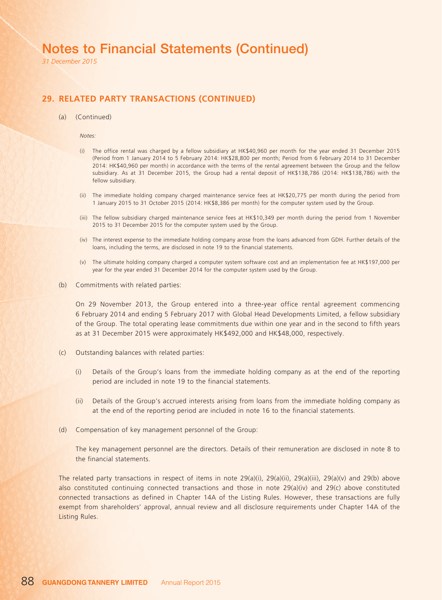## **29. RELATED PARTY TRANSACTIONS (continued)**

#### (a) (Continued)

*Notes:*

- (i) The office rental was charged by a fellow subsidiary at HK\$40,960 per month for the year ended 31 December 2015 (Period from 1 January 2014 to 5 February 2014: HK\$28,800 per month; Period from 6 February 2014 to 31 December 2014: HK\$40,960 per month) in accordance with the terms of the rental agreement between the Group and the fellow subsidiary. As at 31 December 2015, the Group had a rental deposit of HK\$138,786 (2014: HK\$138,786) with the fellow subsidiary.
- (ii) The immediate holding company charged maintenance service fees at HK\$20,775 per month during the period from 1 January 2015 to 31 October 2015 (2014: HK\$8,386 per month) for the computer system used by the Group.
- (iii) The fellow subsidiary charged maintenance service fees at HK\$10,349 per month during the period from 1 November 2015 to 31 December 2015 for the computer system used by the Group.
- (iv) The interest expense to the immediate holding company arose from the loans advanced from GDH. Further details of the loans, including the terms, are disclosed in note 19 to the financial statements.
- (v) The ultimate holding company charged a computer system software cost and an implementation fee at HK\$197,000 per year for the year ended 31 December 2014 for the computer system used by the Group.
- (b) Commitments with related parties:

On 29 November 2013, the Group entered into a three-year office rental agreement commencing 6 February 2014 and ending 5 February 2017 with Global Head Developments Limited, a fellow subsidiary of the Group. The total operating lease commitments due within one year and in the second to fifth years as at 31 December 2015 were approximately HK\$492,000 and HK\$48,000, respectively.

- (c) Outstanding balances with related parties:
	- (i) Details of the Group's loans from the immediate holding company as at the end of the reporting period are included in note 19 to the financial statements.
	- (ii) Details of the Group's accrued interests arising from loans from the immediate holding company as at the end of the reporting period are included in note 16 to the financial statements.
- (d) Compensation of key management personnel of the Group:

The key management personnel are the directors. Details of their remuneration are disclosed in note 8 to the financial statements.

The related party transactions in respect of items in note  $29(a)(i)$ ,  $29(a)(ii)$ ,  $29(a)(iii)$ ,  $29(a)(v)$  and  $29(b)$  above also constituted continuing connected transactions and those in note 29(a)(iv) and 29(c) above constituted connected transactions as defined in Chapter 14A of the Listing Rules. However, these transactions are fully exempt from shareholders' approval, annual review and all disclosure requirements under Chapter 14A of the Listing Rules.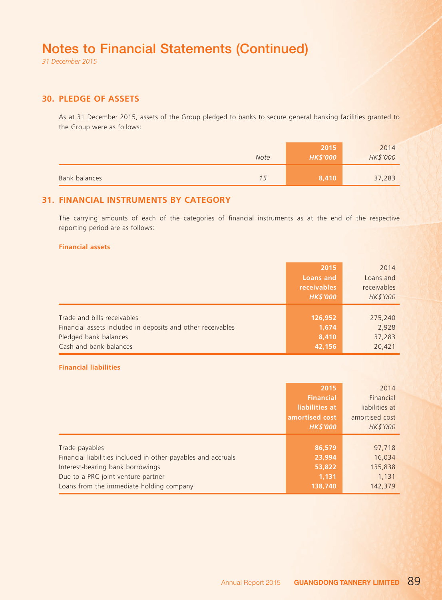*31 December 2015*

### **30. PLEDGE OF ASSETS**

As at 31 December 2015, assets of the Group pledged to banks to secure general banking facilities granted to the Group were as follows:

|               | <b>Note</b>    | 2015<br><b>HK\$'000</b> | 2014<br>HK\$'000 |
|---------------|----------------|-------------------------|------------------|
| Bank balances | 1 <sup>h</sup> | 8,410                   | 37,283           |

### **31. FINANCIAL INSTRUMENTS BY CATEGORY**

The carrying amounts of each of the categories of financial instruments as at the end of the respective reporting period are as follows:

#### **Financial assets**

|                                                             | 2015<br><b>Loans and</b><br>receivables<br><b>HK\$'000</b> | 2014<br>Loans and<br>receivables<br>HK\$'000 |
|-------------------------------------------------------------|------------------------------------------------------------|----------------------------------------------|
| Trade and bills receivables                                 | 126,952                                                    | 275,240                                      |
| Financial assets included in deposits and other receivables | 1,674                                                      | 2,928                                        |
| Pledged bank balances                                       | 8,410                                                      | 37,283                                       |
| Cash and bank balances                                      | 42,156                                                     | 20,421                                       |

#### **Financial liabilities**

|                                                               | 2015             | 2014           |
|---------------------------------------------------------------|------------------|----------------|
|                                                               | <b>Financial</b> | Financial      |
|                                                               | liabilities at   | liabilities at |
|                                                               | amortised cost   | amortised cost |
|                                                               | <b>HK\$'000</b>  | HK\$'000       |
|                                                               |                  |                |
| Trade payables                                                | 86,579           | 97,718         |
| Financial liabilities included in other payables and accruals | 23,994           | 16,034         |
| Interest-bearing bank borrowings                              | 53,822           | 135,838        |
| Due to a PRC joint venture partner                            | 1,131            | 1,131          |
| Loans from the immediate holding company                      | 138,740          | 142,379        |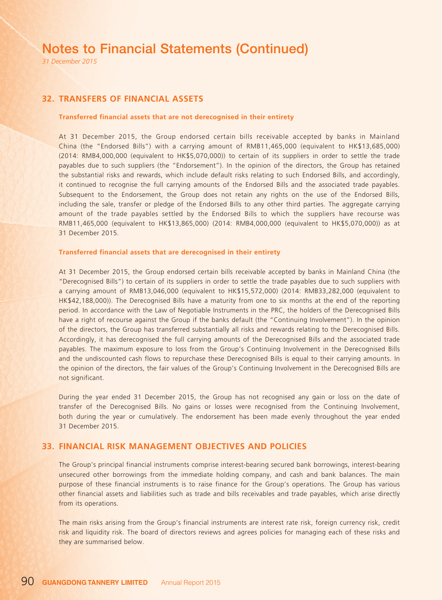*31 December 2015*

#### **32. TRANSFERS OF FINANCIAL ASSETS**

#### **Transferred financial assets that are not derecognised in their entirety**

At 31 December 2015, the Group endorsed certain bills receivable accepted by banks in Mainland China (the "Endorsed Bills") with a carrying amount of RMB11,465,000 (equivalent to HK\$13,685,000) (2014: RMB4,000,000 (equivalent to HK\$5,070,000)) to certain of its suppliers in order to settle the trade payables due to such suppliers (the "Endorsement"). In the opinion of the directors, the Group has retained the substantial risks and rewards, which include default risks relating to such Endorsed Bills, and accordingly, it continued to recognise the full carrying amounts of the Endorsed Bills and the associated trade payables. Subsequent to the Endorsement, the Group does not retain any rights on the use of the Endorsed Bills, including the sale, transfer or pledge of the Endorsed Bills to any other third parties. The aggregate carrying amount of the trade payables settled by the Endorsed Bills to which the suppliers have recourse was RMB11,465,000 (equivalent to HK\$13,865,000) (2014: RMB4,000,000 (equivalent to HK\$5,070,000)) as at 31 December 2015.

#### **Transferred financial assets that are derecognised in their entirety**

At 31 December 2015, the Group endorsed certain bills receivable accepted by banks in Mainland China (the "Derecognised Bills") to certain of its suppliers in order to settle the trade payables due to such suppliers with a carrying amount of RMB13,046,000 (equivalent to HK\$15,572,000) (2014: RMB33,282,000 (equivalent to HK\$42,188,000)). The Derecognised Bills have a maturity from one to six months at the end of the reporting period. In accordance with the Law of Negotiable Instruments in the PRC, the holders of the Derecognised Bills have a right of recourse against the Group if the banks default (the "Continuing Involvement"). In the opinion of the directors, the Group has transferred substantially all risks and rewards relating to the Derecognised Bills. Accordingly, it has derecognised the full carrying amounts of the Derecognised Bills and the associated trade payables. The maximum exposure to loss from the Group's Continuing Involvement in the Derecognised Bills and the undiscounted cash flows to repurchase these Derecognised Bills is equal to their carrying amounts. In the opinion of the directors, the fair values of the Group's Continuing Involvement in the Derecognised Bills are not significant.

During the year ended 31 December 2015, the Group has not recognised any gain or loss on the date of transfer of the Derecognised Bills. No gains or losses were recognised from the Continuing Involvement, both during the year or cumulatively. The endorsement has been made evenly throughout the year ended 31 December 2015.

#### **33. FINANCIAL RISK MANAGEMENT OBJECTIVES AND POLICIES**

The Group's principal financial instruments comprise interest-bearing secured bank borrowings, interest-bearing unsecured other borrowings from the immediate holding company, and cash and bank balances. The main purpose of these financial instruments is to raise finance for the Group's operations. The Group has various other financial assets and liabilities such as trade and bills receivables and trade payables, which arise directly from its operations.

The main risks arising from the Group's financial instruments are interest rate risk, foreign currency risk, credit risk and liquidity risk. The board of directors reviews and agrees policies for managing each of these risks and they are summarised below.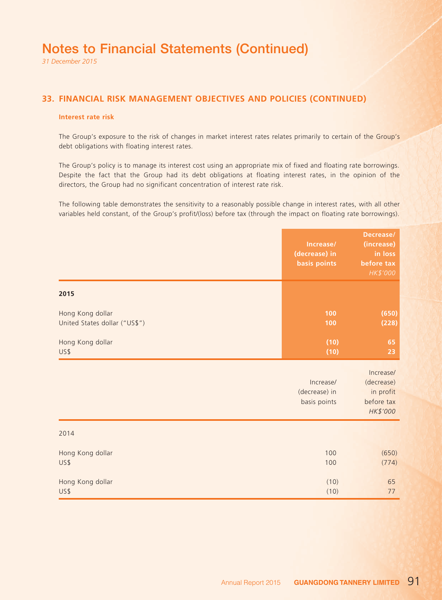### **33. FINANCIAL RISK MANAGEMENT OBJECTIVES AND POLICIES (CONTINUED)**

#### **Interest rate risk**

The Group's exposure to the risk of changes in market interest rates relates primarily to certain of the Group's debt obligations with floating interest rates.

The Group's policy is to manage its interest cost using an appropriate mix of fixed and floating rate borrowings. Despite the fact that the Group had its debt obligations at floating interest rates, in the opinion of the directors, the Group had no significant concentration of interest rate risk.

The following table demonstrates the sensitivity to a reasonably possible change in interest rates, with all other variables held constant, of the Group's profit/(loss) before tax (through the impact on floating rate borrowings).

|                               | Increase/<br>(decrease) in<br>basis points | Decrease/<br>(increase)<br>in loss<br>before tax<br>HK\$'000   |
|-------------------------------|--------------------------------------------|----------------------------------------------------------------|
| 2015                          |                                            |                                                                |
| Hong Kong dollar              | 100                                        | (650)                                                          |
| United States dollar ("US\$") | 100                                        | (228)                                                          |
| Hong Kong dollar              | (10)                                       | 65                                                             |
| US\$                          | (10)                                       | 23                                                             |
|                               | Increase/<br>(decrease) in<br>basis points | Increase/<br>(decrease)<br>in profit<br>before tax<br>HK\$'000 |
| 2014                          |                                            |                                                                |
| Hong Kong dollar              | 100                                        | (650)                                                          |
| US\$                          | 100                                        | (774)                                                          |
| Hong Kong dollar              | (10)                                       | 65                                                             |
| US\$                          | (10)                                       | 77                                                             |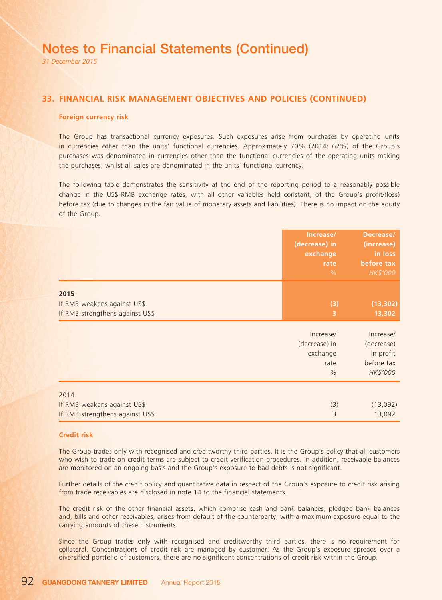### **33. FINANCIAL RISK MANAGEMENT OBJECTIVES AND POLICIES (continued)**

#### **Foreign currency risk**

The Group has transactional currency exposures. Such exposures arise from purchases by operating units in currencies other than the units' functional currencies. Approximately 70% (2014: 62%) of the Group's purchases was denominated in currencies other than the functional currencies of the operating units making the purchases, whilst all sales are denominated in the units' functional currency.

The following table demonstrates the sensitivity at the end of the reporting period to a reasonably possible change in the US\$-RMB exchange rates, with all other variables held constant, of the Group's profit/(loss) before tax (due to changes in the fair value of monetary assets and liabilities). There is no impact on the equity of the Group.

|                                                                        | Increase/<br>(decrease) in<br>exchange<br>rate<br>$\frac{0}{0}$ | Decrease/<br>(increase)<br>in loss<br>before tax<br>HK\$'000   |
|------------------------------------------------------------------------|-----------------------------------------------------------------|----------------------------------------------------------------|
| 2015<br>If RMB weakens against US\$<br>If RMB strengthens against US\$ | (3)<br>3                                                        | (13, 302)<br>13,302                                            |
|                                                                        | Increase/<br>(decrease) in<br>exchange<br>rate<br>$\frac{0}{0}$ | Increase/<br>(decrease)<br>in profit<br>before tax<br>HK\$'000 |
| 2014<br>If RMB weakens against US\$<br>If RMB strengthens against US\$ | (3)<br>3                                                        | (13,092)<br>13,092                                             |

#### **Credit risk**

The Group trades only with recognised and creditworthy third parties. It is the Group's policy that all customers who wish to trade on credit terms are subject to credit verification procedures. In addition, receivable balances are monitored on an ongoing basis and the Group's exposure to bad debts is not significant.

Further details of the credit policy and quantitative data in respect of the Group's exposure to credit risk arising from trade receivables are disclosed in note 14 to the financial statements.

The credit risk of the other financial assets, which comprise cash and bank balances, pledged bank balances and, bills and other receivables, arises from default of the counterparty, with a maximum exposure equal to the carrying amounts of these instruments.

Since the Group trades only with recognised and creditworthy third parties, there is no requirement for collateral. Concentrations of credit risk are managed by customer. As the Group's exposure spreads over a diversified portfolio of customers, there are no significant concentrations of credit risk within the Group.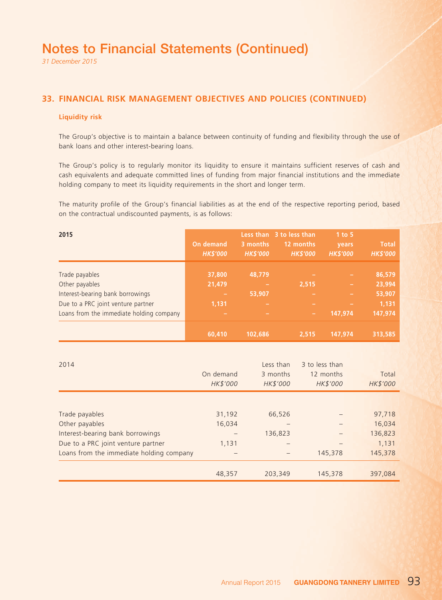### **33. FINANCIAL RISK MANAGEMENT OBJECTIVES AND POLICIES (continued)**

#### **Liquidity risk**

The Group's objective is to maintain a balance between continuity of funding and flexibility through the use of bank loans and other interest-bearing loans.

The Group's policy is to regularly monitor its liquidity to ensure it maintains sufficient reserves of cash and cash equivalents and adequate committed lines of funding from major financial institutions and the immediate holding company to meet its liquidity requirements in the short and longer term.

The maturity profile of the Group's financial liabilities as at the end of the respective reporting period, based on the contractual undiscounted payments, is as follows:

| 2015                                     | On demand<br><b>HK\$'000</b> | 3 months<br><b>HK\$'000</b> | Less than 3 to less than<br>12 months<br><b>HK\$'000</b> | $1$ to 5<br>years<br><b>HK\$'000</b> | <b>Total</b><br><b>HK\$'000</b> |
|------------------------------------------|------------------------------|-----------------------------|----------------------------------------------------------|--------------------------------------|---------------------------------|
|                                          |                              |                             |                                                          |                                      |                                 |
| Trade payables                           | 37,800                       | 48.779                      |                                                          |                                      | 86,579                          |
| Other payables                           | 21,479                       |                             | 2.515                                                    | -                                    | 23,994                          |
| Interest-bearing bank borrowings         | $\sim$                       | 53,907                      |                                                          |                                      | 53,907                          |
| Due to a PRC joint venture partner       | 1,131                        |                             |                                                          |                                      | 1,131                           |
| Loans from the immediate holding company | ۰                            |                             | н.                                                       | 147.974                              | 147,974                         |
|                                          | 60.410                       | 102.686                     | 2.515                                                    | 147.974                              | 313,585                         |

| 2014                                     | On demand<br>HK\$'000 | Less than<br>3 months<br>HK\$'000 | 3 to less than<br>12 months<br>HK\$'000 | Total<br><b>HK\$'000</b> |
|------------------------------------------|-----------------------|-----------------------------------|-----------------------------------------|--------------------------|
|                                          |                       |                                   |                                         |                          |
| Trade payables                           | 31,192                | 66,526                            |                                         | 97,718                   |
| Other payables                           | 16,034                |                                   |                                         | 16,034                   |
| Interest-bearing bank borrowings         |                       | 136,823                           |                                         | 136,823                  |
| Due to a PRC joint venture partner       | 1,131                 |                                   |                                         | 1,131                    |
| Loans from the immediate holding company |                       |                                   | 145,378                                 | 145,378                  |
|                                          | 48,357                | 203,349                           | 145,378                                 | 397,084                  |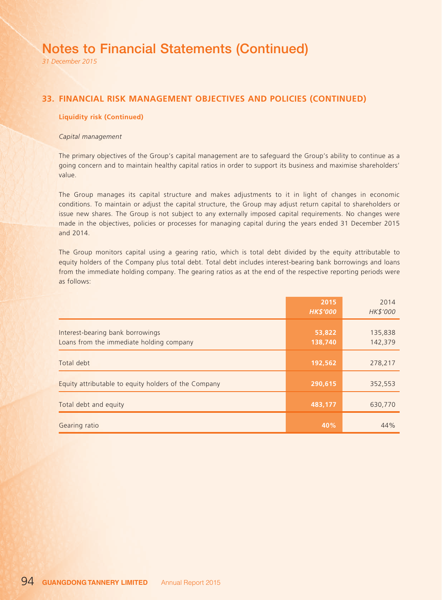## **33. FINANCIAL RISK MANAGEMENT OBJECTIVES AND POLICIES (continued)**

#### **Liquidity risk (Continued)**

#### *Capital management*

The primary objectives of the Group's capital management are to safeguard the Group's ability to continue as a going concern and to maintain healthy capital ratios in order to support its business and maximise shareholders' value.

The Group manages its capital structure and makes adjustments to it in light of changes in economic conditions. To maintain or adjust the capital structure, the Group may adjust return capital to shareholders or issue new shares. The Group is not subject to any externally imposed capital requirements. No changes were made in the objectives, policies or processes for managing capital during the years ended 31 December 2015 and 2014.

The Group monitors capital using a gearing ratio, which is total debt divided by the equity attributable to equity holders of the Company plus total debt. Total debt includes interest-bearing bank borrowings and loans from the immediate holding company. The gearing ratios as at the end of the respective reporting periods were as follows:

|                                                                              | 2015<br><b>HK\$'000</b> | 2014<br>HK\$'000   |
|------------------------------------------------------------------------------|-------------------------|--------------------|
| Interest-bearing bank borrowings<br>Loans from the immediate holding company | 53,822<br>138,740       | 135,838<br>142,379 |
| Total debt                                                                   | 192,562                 | 278,217            |
| Equity attributable to equity holders of the Company                         | 290,615                 | 352,553            |
| Total debt and equity                                                        | 483,177                 | 630,770            |
| Gearing ratio                                                                | 40%                     | 44%                |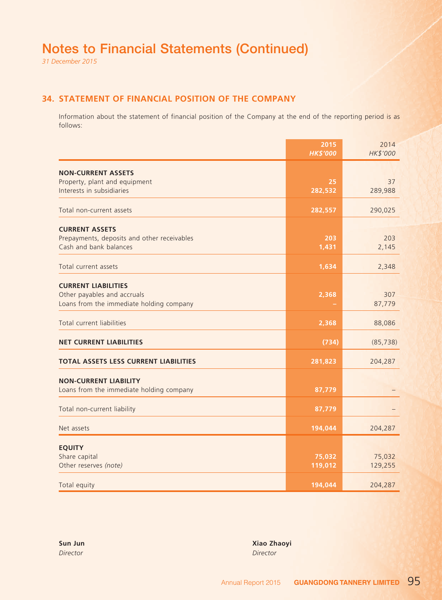*31 December 2015*

## **34. STATEMENT OF FINANCIAL POSITION OF THE COMPANY**

Information about the statement of financial position of the Company at the end of the reporting period is as follows:

|                                              | 2015<br><b>HK\$'000</b> | 2014<br>HK\$'000 |
|----------------------------------------------|-------------------------|------------------|
| <b>NON-CURRENT ASSETS</b>                    |                         |                  |
| Property, plant and equipment                | 25                      | 37               |
| Interests in subsidiaries                    | 282,532                 | 289,988          |
| Total non-current assets                     | 282,557                 | 290,025          |
| <b>CURRENT ASSETS</b>                        |                         |                  |
| Prepayments, deposits and other receivables  | 203                     | 203              |
| Cash and bank balances                       | 1,431                   | 2,145            |
| Total current assets                         | 1,634                   | 2,348            |
| <b>CURRENT LIABILITIES</b>                   |                         |                  |
| Other payables and accruals                  | 2,368                   | 307              |
| Loans from the immediate holding company     |                         | 87,779           |
| Total current liabilities                    | 2,368                   | 88,086           |
| <b>NET CURRENT LIABILITIES</b>               | (734)                   | (85, 738)        |
| <b>TOTAL ASSETS LESS CURRENT LIABILITIES</b> | 281,823                 | 204,287          |
| <b>NON-CURRENT LIABILITY</b>                 |                         |                  |
| Loans from the immediate holding company     | 87,779                  |                  |
| Total non-current liability                  | 87,779                  |                  |
| Net assets                                   | 194,044                 | 204,287          |
| <b>EQUITY</b>                                |                         |                  |
| Share capital                                | 75,032                  | 75,032           |
| Other reserves (note)                        | 119,012                 | 129,255          |
| Total equity                                 | 194,044                 | 204,287          |

*Director Director*

**Sun Jun Xiao Zhaoyi**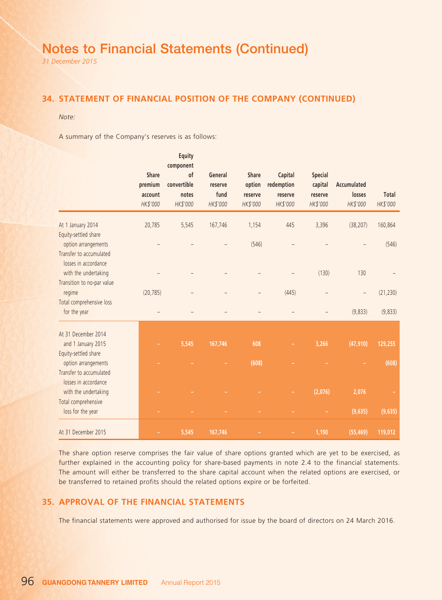## **34. STATEMENT OF FINANCIAL POSITION OF THE COMPANY (continued)**

#### *Note:*

A summary of the Company's reserves is as follows:

|                                                                                                | Share<br>premium<br>account<br>HK\$'000 | <b>Equity</b><br>component<br>of<br>convertible<br>notes<br>HK\$'000 | General<br>reserve<br>fund<br>HK\$'000 | Share<br>option<br>reserve<br>HK\$'000 | <b>Capital</b><br>redemption<br>reserve<br>HK\$'000 | <b>Special</b><br>capital<br>reserve<br>HK\$'000 | Accumulated<br>losses<br>HK\$'000 | <b>Total</b><br>HK\$'000 |
|------------------------------------------------------------------------------------------------|-----------------------------------------|----------------------------------------------------------------------|----------------------------------------|----------------------------------------|-----------------------------------------------------|--------------------------------------------------|-----------------------------------|--------------------------|
| At 1 January 2014                                                                              | 20,785                                  | 5,545                                                                | 167,746                                | 1,154                                  | 445                                                 | 3,396                                            | (38, 207)                         | 160,864                  |
| Equity-settled share<br>option arrangements<br>Transfer to accumulated<br>losses in accordance |                                         |                                                                      |                                        | (546)                                  |                                                     |                                                  |                                   | (546)                    |
| with the undertaking                                                                           |                                         |                                                                      |                                        |                                        |                                                     | (130)                                            | 130                               |                          |
| Transition to no-par value<br>regime                                                           | (20, 785)                               |                                                                      |                                        | $\qquad \qquad -$                      | (445)                                               |                                                  | $\overline{a}$                    | (21, 230)                |
| Total comprehensive loss<br>for the year                                                       |                                         |                                                                      |                                        |                                        |                                                     |                                                  | (9,833)                           | (9,833)                  |
| At 31 December 2014                                                                            |                                         |                                                                      |                                        |                                        |                                                     |                                                  |                                   |                          |
| and 1 January 2015                                                                             |                                         | 5,545                                                                | 167,746                                | 608                                    |                                                     | 3,266                                            | (47, 910)                         | 129,255                  |
| Equity-settled share<br>option arrangements<br>Transfer to accumulated<br>losses in accordance |                                         |                                                                      |                                        | (608)                                  |                                                     |                                                  |                                   | (608)                    |
| with the undertaking<br>Total comprehensive                                                    |                                         |                                                                      |                                        |                                        |                                                     | (2,076)                                          | 2,076                             |                          |
| loss for the year                                                                              |                                         |                                                                      |                                        |                                        |                                                     |                                                  | (9,635)                           | (9,635)                  |
| At 31 December 2015                                                                            |                                         | 5,545                                                                | 167,746                                |                                        |                                                     | 1,190                                            | (55, 469)                         | 119,012                  |

The share option reserve comprises the fair value of share options granted which are yet to be exercised, as further explained in the accounting policy for share-based payments in note 2.4 to the financial statements. The amount will either be transferred to the share capital account when the related options are exercised, or be transferred to retained profits should the related options expire or be forfeited.

#### **35. APPROVAL OF THE FINANCIAL STATEMENTS**

The financial statements were approved and authorised for issue by the board of directors on 24 March 2016.